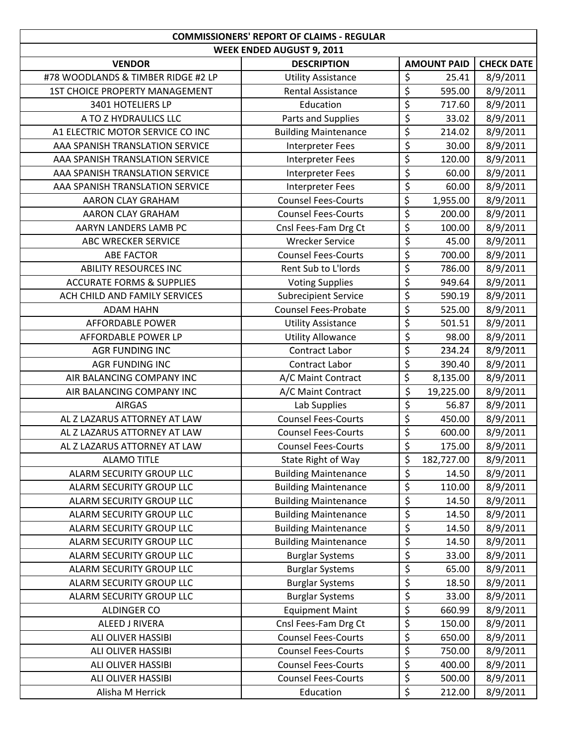|                                      | <b>COMMISSIONERS' REPORT OF CLAIMS - REGULAR</b> |                          |                    |                   |  |  |  |
|--------------------------------------|--------------------------------------------------|--------------------------|--------------------|-------------------|--|--|--|
|                                      | <b>WEEK ENDED AUGUST 9, 2011</b>                 |                          |                    |                   |  |  |  |
| <b>VENDOR</b>                        | <b>DESCRIPTION</b>                               |                          | <b>AMOUNT PAID</b> | <b>CHECK DATE</b> |  |  |  |
| #78 WOODLANDS & TIMBER RIDGE #2 LP   | <b>Utility Assistance</b>                        | \$                       | 25.41              | 8/9/2011          |  |  |  |
| 1ST CHOICE PROPERTY MANAGEMENT       | <b>Rental Assistance</b>                         | \$                       | 595.00             | 8/9/2011          |  |  |  |
| 3401 HOTELIERS LP                    | Education                                        | \$                       | 717.60             | 8/9/2011          |  |  |  |
| A TO Z HYDRAULICS LLC                | Parts and Supplies                               | $\overline{\mathcal{L}}$ | 33.02              | 8/9/2011          |  |  |  |
| A1 ELECTRIC MOTOR SERVICE CO INC     | <b>Building Maintenance</b>                      | \$                       | 214.02             | 8/9/2011          |  |  |  |
| AAA SPANISH TRANSLATION SERVICE      | Interpreter Fees                                 | $\overline{\xi}$         | 30.00              | 8/9/2011          |  |  |  |
| AAA SPANISH TRANSLATION SERVICE      | Interpreter Fees                                 | $\overline{\xi}$         | 120.00             | 8/9/2011          |  |  |  |
| AAA SPANISH TRANSLATION SERVICE      | Interpreter Fees                                 | $\overline{\varsigma}$   | 60.00              | 8/9/2011          |  |  |  |
| AAA SPANISH TRANSLATION SERVICE      | <b>Interpreter Fees</b>                          | \$                       | 60.00              | 8/9/2011          |  |  |  |
| AARON CLAY GRAHAM                    | <b>Counsel Fees-Courts</b>                       | \$                       | 1,955.00           | 8/9/2011          |  |  |  |
| <b>AARON CLAY GRAHAM</b>             | <b>Counsel Fees-Courts</b>                       | $\overline{\xi}$         | 200.00             | 8/9/2011          |  |  |  |
| AARYN LANDERS LAMB PC                | Cnsl Fees-Fam Drg Ct                             | \$                       | 100.00             | 8/9/2011          |  |  |  |
| ABC WRECKER SERVICE                  | <b>Wrecker Service</b>                           | $\overline{\xi}$         | 45.00              | 8/9/2011          |  |  |  |
| <b>ABE FACTOR</b>                    | <b>Counsel Fees-Courts</b>                       | $\overline{\xi}$         | 700.00             | 8/9/2011          |  |  |  |
| <b>ABILITY RESOURCES INC</b>         | Rent Sub to L'Iords                              | $\overline{\varsigma}$   | 786.00             | 8/9/2011          |  |  |  |
| <b>ACCURATE FORMS &amp; SUPPLIES</b> | <b>Voting Supplies</b>                           | $\overline{\xi}$         | 949.64             | 8/9/2011          |  |  |  |
| ACH CHILD AND FAMILY SERVICES        | <b>Subrecipient Service</b>                      | $\overline{\xi}$         | 590.19             | 8/9/2011          |  |  |  |
| <b>ADAM HAHN</b>                     | <b>Counsel Fees-Probate</b>                      | \$                       | 525.00             | 8/9/2011          |  |  |  |
| <b>AFFORDABLE POWER</b>              | <b>Utility Assistance</b>                        | \$                       | 501.51             | 8/9/2011          |  |  |  |
| AFFORDABLE POWER LP                  | <b>Utility Allowance</b>                         | \$                       | 98.00              | 8/9/2011          |  |  |  |
| <b>AGR FUNDING INC</b>               | <b>Contract Labor</b>                            | \$                       | 234.24             | 8/9/2011          |  |  |  |
| <b>AGR FUNDING INC</b>               | Contract Labor                                   | $\overline{\xi}$         | 390.40             | 8/9/2011          |  |  |  |
| AIR BALANCING COMPANY INC            | A/C Maint Contract                               | \$                       | 8,135.00           | 8/9/2011          |  |  |  |
| AIR BALANCING COMPANY INC            | A/C Maint Contract                               | \$                       | 19,225.00          | 8/9/2011          |  |  |  |
| <b>AIRGAS</b>                        | Lab Supplies                                     | $\overline{\varsigma}$   | 56.87              | 8/9/2011          |  |  |  |
| AL Z LAZARUS ATTORNEY AT LAW         | <b>Counsel Fees-Courts</b>                       | \$                       | 450.00             | 8/9/2011          |  |  |  |
| AL Z LAZARUS ATTORNEY AT LAW         | <b>Counsel Fees-Courts</b>                       | \$                       | 600.00             | 8/9/2011          |  |  |  |
| AL Z LAZARUS ATTORNEY AT LAW         | <b>Counsel Fees-Courts</b>                       | \$                       | 175.00             | 8/9/2011          |  |  |  |
| <b>ALAMO TITLE</b>                   | State Right of Way                               | \$                       | 182,727.00         | 8/9/2011          |  |  |  |
| <b>ALARM SECURITY GROUP LLC</b>      | <b>Building Maintenance</b>                      | \$                       | 14.50              | 8/9/2011          |  |  |  |
| <b>ALARM SECURITY GROUP LLC</b>      | <b>Building Maintenance</b>                      | \$                       | 110.00             | 8/9/2011          |  |  |  |
| ALARM SECURITY GROUP LLC             | <b>Building Maintenance</b>                      | \$                       | 14.50              | 8/9/2011          |  |  |  |
| ALARM SECURITY GROUP LLC             | <b>Building Maintenance</b>                      | \$                       | 14.50              | 8/9/2011          |  |  |  |
| ALARM SECURITY GROUP LLC             | <b>Building Maintenance</b>                      | \$                       | 14.50              | 8/9/2011          |  |  |  |
| ALARM SECURITY GROUP LLC             | <b>Building Maintenance</b>                      | \$                       | 14.50              | 8/9/2011          |  |  |  |
| <b>ALARM SECURITY GROUP LLC</b>      | <b>Burglar Systems</b>                           | $\overline{\xi}$         | 33.00              | 8/9/2011          |  |  |  |
| ALARM SECURITY GROUP LLC             | <b>Burglar Systems</b>                           | \$                       | 65.00              | 8/9/2011          |  |  |  |
| ALARM SECURITY GROUP LLC             | <b>Burglar Systems</b>                           | \$                       | 18.50              | 8/9/2011          |  |  |  |
| ALARM SECURITY GROUP LLC             | <b>Burglar Systems</b>                           | \$                       | 33.00              | 8/9/2011          |  |  |  |
| ALDINGER CO                          | <b>Equipment Maint</b>                           | \$                       | 660.99             | 8/9/2011          |  |  |  |
| <b>ALEED J RIVERA</b>                | Cnsl Fees-Fam Drg Ct                             | \$                       | 150.00             | 8/9/2011          |  |  |  |
| ALI OLIVER HASSIBI                   | <b>Counsel Fees-Courts</b>                       | $\overline{\xi}$         | 650.00             | 8/9/2011          |  |  |  |
| ALI OLIVER HASSIBI                   | <b>Counsel Fees-Courts</b>                       | \$                       | 750.00             | 8/9/2011          |  |  |  |
| ALI OLIVER HASSIBI                   | <b>Counsel Fees-Courts</b>                       | \$                       | 400.00             | 8/9/2011          |  |  |  |
| <b>ALI OLIVER HASSIBI</b>            | <b>Counsel Fees-Courts</b>                       | \$                       | 500.00             | 8/9/2011          |  |  |  |
| Alisha M Herrick                     | Education                                        | \$                       |                    |                   |  |  |  |
|                                      |                                                  |                          | 212.00             | 8/9/2011          |  |  |  |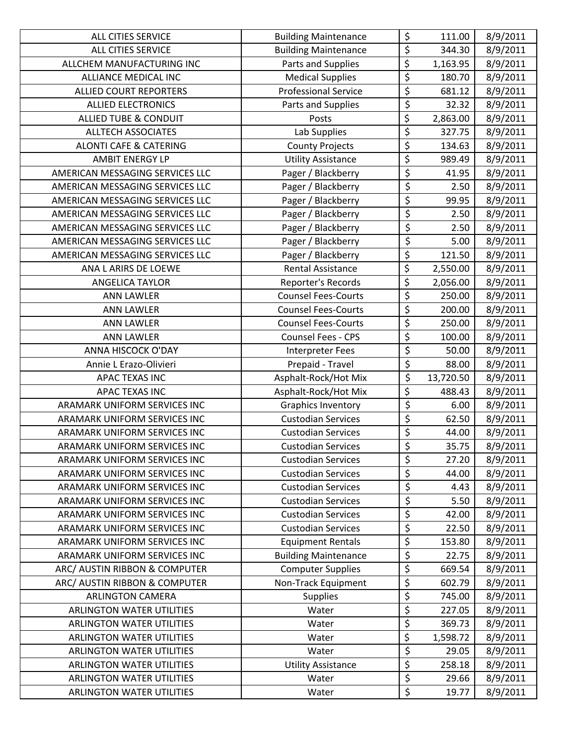| <b>ALL CITIES SERVICE</b>         | <b>Building Maintenance</b> | \$                                  | 111.00    | 8/9/2011 |
|-----------------------------------|-----------------------------|-------------------------------------|-----------|----------|
| ALL CITIES SERVICE                | <b>Building Maintenance</b> | $\overline{\xi}$                    | 344.30    | 8/9/2011 |
| ALLCHEM MANUFACTURING INC         | Parts and Supplies          | \$                                  | 1,163.95  | 8/9/2011 |
| ALLIANCE MEDICAL INC              | <b>Medical Supplies</b>     | \$                                  | 180.70    | 8/9/2011 |
| <b>ALLIED COURT REPORTERS</b>     | <b>Professional Service</b> | \$                                  | 681.12    | 8/9/2011 |
| <b>ALLIED ELECTRONICS</b>         | Parts and Supplies          | \$                                  | 32.32     | 8/9/2011 |
| <b>ALLIED TUBE &amp; CONDUIT</b>  | Posts                       | \$                                  | 2,863.00  | 8/9/2011 |
| <b>ALLTECH ASSOCIATES</b>         | Lab Supplies                | \$                                  | 327.75    | 8/9/2011 |
| <b>ALONTI CAFE &amp; CATERING</b> | <b>County Projects</b>      | \$                                  | 134.63    | 8/9/2011 |
| <b>AMBIT ENERGY LP</b>            | <b>Utility Assistance</b>   | $\overline{\varsigma}$              | 989.49    | 8/9/2011 |
| AMERICAN MESSAGING SERVICES LLC   | Pager / Blackberry          | $\overline{\xi}$                    | 41.95     | 8/9/2011 |
| AMERICAN MESSAGING SERVICES LLC   | Pager / Blackberry          | $\overline{\xi}$                    | 2.50      | 8/9/2011 |
| AMERICAN MESSAGING SERVICES LLC   | Pager / Blackberry          | $\overline{\boldsymbol{\varsigma}}$ | 99.95     | 8/9/2011 |
| AMERICAN MESSAGING SERVICES LLC   | Pager / Blackberry          | $\overline{\xi}$                    | 2.50      | 8/9/2011 |
| AMERICAN MESSAGING SERVICES LLC   | Pager / Blackberry          | $\overline{\xi}$                    | 2.50      | 8/9/2011 |
| AMERICAN MESSAGING SERVICES LLC   | Pager / Blackberry          | $\overline{\xi}$                    | 5.00      | 8/9/2011 |
| AMERICAN MESSAGING SERVICES LLC   | Pager / Blackberry          | \$                                  | 121.50    | 8/9/2011 |
| ANA L ARIRS DE LOEWE              | <b>Rental Assistance</b>    | $\overline{\xi}$                    | 2,550.00  | 8/9/2011 |
| <b>ANGELICA TAYLOR</b>            | Reporter's Records          | \$                                  | 2,056.00  | 8/9/2011 |
| <b>ANN LAWLER</b>                 | <b>Counsel Fees-Courts</b>  | $\overline{\xi}$                    | 250.00    | 8/9/2011 |
| <b>ANN LAWLER</b>                 | <b>Counsel Fees-Courts</b>  | \$                                  | 200.00    | 8/9/2011 |
| <b>ANN LAWLER</b>                 | <b>Counsel Fees-Courts</b>  | $\overline{\xi}$                    | 250.00    | 8/9/2011 |
| <b>ANN LAWLER</b>                 | Counsel Fees - CPS          | $\overline{\xi}$                    | 100.00    | 8/9/2011 |
| ANNA HISCOCK O'DAY                | <b>Interpreter Fees</b>     | \$                                  | 50.00     | 8/9/2011 |
| Annie L Erazo-Olivieri            | Prepaid - Travel            | $\overline{\xi}$                    | 88.00     | 8/9/2011 |
| APAC TEXAS INC                    | Asphalt-Rock/Hot Mix        | $\overline{\xi}$                    | 13,720.50 | 8/9/2011 |
| <b>APAC TEXAS INC</b>             | Asphalt-Rock/Hot Mix        | \$                                  | 488.43    | 8/9/2011 |
| ARAMARK UNIFORM SERVICES INC      | Graphics Inventory          | $\overline{\xi}$                    | 6.00      | 8/9/2011 |
| ARAMARK UNIFORM SERVICES INC      | <b>Custodian Services</b>   | $\overline{\xi}$                    | 62.50     | 8/9/2011 |
| ARAMARK UNIFORM SERVICES INC      | <b>Custodian Services</b>   | \$                                  | 44.00     | 8/9/2011 |
| ARAMARK UNIFORM SERVICES INC      | <b>Custodian Services</b>   | \$                                  | 35.75     | 8/9/2011 |
| ARAMARK UNIFORM SERVICES INC      | <b>Custodian Services</b>   | \$                                  | 27.20     | 8/9/2011 |
| ARAMARK UNIFORM SERVICES INC      | <b>Custodian Services</b>   | $\overline{\xi}$                    | 44.00     | 8/9/2011 |
| ARAMARK UNIFORM SERVICES INC      | <b>Custodian Services</b>   | \$                                  | 4.43      | 8/9/2011 |
| ARAMARK UNIFORM SERVICES INC      | <b>Custodian Services</b>   | $\overline{\mathcal{L}}$            | 5.50      | 8/9/2011 |
| ARAMARK UNIFORM SERVICES INC      | <b>Custodian Services</b>   | $\overline{\mathcal{L}}$            | 42.00     | 8/9/2011 |
| ARAMARK UNIFORM SERVICES INC      | <b>Custodian Services</b>   | \$                                  | 22.50     | 8/9/2011 |
| ARAMARK UNIFORM SERVICES INC      | <b>Equipment Rentals</b>    | \$                                  | 153.80    | 8/9/2011 |
| ARAMARK UNIFORM SERVICES INC      | <b>Building Maintenance</b> | $\overline{\boldsymbol{\varsigma}}$ | 22.75     | 8/9/2011 |
| ARC/ AUSTIN RIBBON & COMPUTER     | <b>Computer Supplies</b>    | \$                                  | 669.54    | 8/9/2011 |
| ARC/ AUSTIN RIBBON & COMPUTER     | Non-Track Equipment         | \$                                  | 602.79    | 8/9/2011 |
| <b>ARLINGTON CAMERA</b>           | <b>Supplies</b>             | $\overline{\xi}$                    | 745.00    | 8/9/2011 |
| <b>ARLINGTON WATER UTILITIES</b>  | Water                       | \$                                  | 227.05    | 8/9/2011 |
| <b>ARLINGTON WATER UTILITIES</b>  | Water                       | \$                                  | 369.73    | 8/9/2011 |
| <b>ARLINGTON WATER UTILITIES</b>  |                             | \$                                  | 1,598.72  | 8/9/2011 |
|                                   | Water                       |                                     |           |          |
| <b>ARLINGTON WATER UTILITIES</b>  | Water                       | \$                                  | 29.05     | 8/9/2011 |
| <b>ARLINGTON WATER UTILITIES</b>  | <b>Utility Assistance</b>   | \$                                  | 258.18    | 8/9/2011 |
| <b>ARLINGTON WATER UTILITIES</b>  | Water                       | $\overline{\xi}$<br>\$              | 29.66     | 8/9/2011 |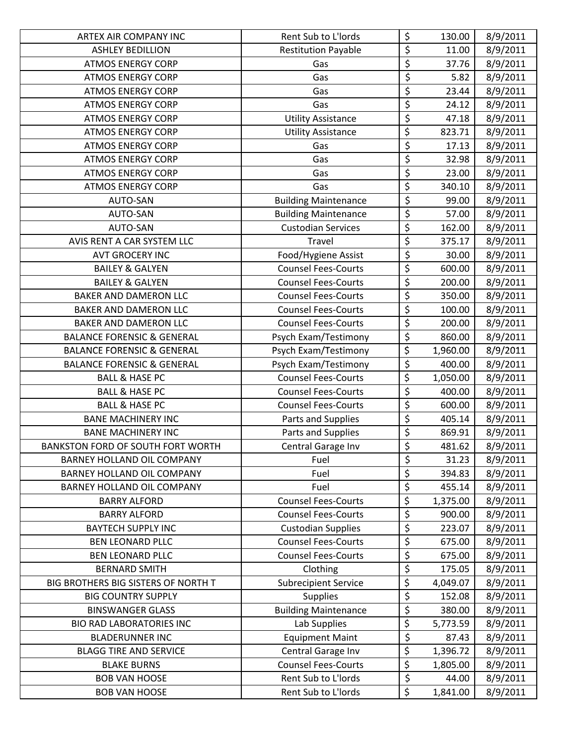| ARTEX AIR COMPANY INC                 | Rent Sub to L'Iords         | \$                                  | 130.00   | 8/9/2011 |
|---------------------------------------|-----------------------------|-------------------------------------|----------|----------|
| <b>ASHLEY BEDILLION</b>               | <b>Restitution Payable</b>  | \$                                  | 11.00    | 8/9/2011 |
| <b>ATMOS ENERGY CORP</b>              | Gas                         | $\overline{\xi}$                    | 37.76    | 8/9/2011 |
| <b>ATMOS ENERGY CORP</b>              | Gas                         | \$                                  | 5.82     | 8/9/2011 |
| <b>ATMOS ENERGY CORP</b>              | Gas                         | $\overline{\xi}$                    | 23.44    | 8/9/2011 |
| <b>ATMOS ENERGY CORP</b>              | Gas                         | $\overline{\xi}$                    | 24.12    | 8/9/2011 |
| <b>ATMOS ENERGY CORP</b>              | <b>Utility Assistance</b>   | $\overline{\boldsymbol{\zeta}}$     | 47.18    | 8/9/2011 |
| <b>ATMOS ENERGY CORP</b>              | <b>Utility Assistance</b>   | \$                                  | 823.71   | 8/9/2011 |
| <b>ATMOS ENERGY CORP</b>              | Gas                         | $\overline{\xi}$                    | 17.13    | 8/9/2011 |
| <b>ATMOS ENERGY CORP</b>              | Gas                         | $\overline{\xi}$                    | 32.98    | 8/9/2011 |
| <b>ATMOS ENERGY CORP</b>              | Gas                         | $\overline{\xi}$                    | 23.00    | 8/9/2011 |
| <b>ATMOS ENERGY CORP</b>              | Gas                         | $\overline{\xi}$                    | 340.10   | 8/9/2011 |
| AUTO-SAN                              | <b>Building Maintenance</b> | $\overline{\xi}$                    | 99.00    | 8/9/2011 |
| AUTO-SAN                              | <b>Building Maintenance</b> | $\overline{\xi}$                    | 57.00    | 8/9/2011 |
| AUTO-SAN                              | <b>Custodian Services</b>   | $\overline{\xi}$                    | 162.00   | 8/9/2011 |
| AVIS RENT A CAR SYSTEM LLC            | Travel                      | \$                                  | 375.17   | 8/9/2011 |
| <b>AVT GROCERY INC</b>                | Food/Hygiene Assist         | $\overline{\boldsymbol{\varsigma}}$ | 30.00    | 8/9/2011 |
| <b>BAILEY &amp; GALYEN</b>            | <b>Counsel Fees-Courts</b>  | $\overline{\xi}$                    | 600.00   | 8/9/2011 |
| <b>BAILEY &amp; GALYEN</b>            | <b>Counsel Fees-Courts</b>  | \$                                  | 200.00   | 8/9/2011 |
| <b>BAKER AND DAMERON LLC</b>          | <b>Counsel Fees-Courts</b>  | \$                                  | 350.00   | 8/9/2011 |
| BAKER AND DAMERON LLC                 | <b>Counsel Fees-Courts</b>  | \$                                  | 100.00   | 8/9/2011 |
| <b>BAKER AND DAMERON LLC</b>          | <b>Counsel Fees-Courts</b>  | \$                                  | 200.00   | 8/9/2011 |
| <b>BALANCE FORENSIC &amp; GENERAL</b> | Psych Exam/Testimony        | \$                                  | 860.00   | 8/9/2011 |
| <b>BALANCE FORENSIC &amp; GENERAL</b> | Psych Exam/Testimony        | \$                                  | 1,960.00 | 8/9/2011 |
| <b>BALANCE FORENSIC &amp; GENERAL</b> | Psych Exam/Testimony        | $\overline{\xi}$                    | 400.00   | 8/9/2011 |
| <b>BALL &amp; HASE PC</b>             | <b>Counsel Fees-Courts</b>  | \$                                  | 1,050.00 | 8/9/2011 |
| <b>BALL &amp; HASE PC</b>             | <b>Counsel Fees-Courts</b>  | \$                                  | 400.00   | 8/9/2011 |
| <b>BALL &amp; HASE PC</b>             | <b>Counsel Fees-Courts</b>  | $\overline{\xi}$                    | 600.00   | 8/9/2011 |
| <b>BANE MACHINERY INC</b>             | Parts and Supplies          | \$                                  | 405.14   | 8/9/2011 |
| <b>BANE MACHINERY INC</b>             | Parts and Supplies          | \$                                  | 869.91   | 8/9/2011 |
| BANKSTON FORD OF SOUTH FORT WORTH     | Central Garage Inv          | $\overline{\xi}$                    | 481.62   | 8/9/2011 |
| BARNEY HOLLAND OIL COMPANY            | Fuel                        | \$                                  | 31.23    | 8/9/2011 |
| BARNEY HOLLAND OIL COMPANY            | Fuel                        | \$                                  | 394.83   | 8/9/2011 |
| BARNEY HOLLAND OIL COMPANY            | Fuel                        | $\overline{\xi}$                    | 455.14   | 8/9/2011 |
| <b>BARRY ALFORD</b>                   | <b>Counsel Fees-Courts</b>  | \$                                  | 1,375.00 | 8/9/2011 |
| <b>BARRY ALFORD</b>                   | <b>Counsel Fees-Courts</b>  | \$                                  | 900.00   | 8/9/2011 |
| <b>BAYTECH SUPPLY INC</b>             | <b>Custodian Supplies</b>   | \$                                  | 223.07   | 8/9/2011 |
| <b>BEN LEONARD PLLC</b>               | <b>Counsel Fees-Courts</b>  | \$                                  | 675.00   | 8/9/2011 |
| <b>BEN LEONARD PLLC</b>               | <b>Counsel Fees-Courts</b>  | \$                                  | 675.00   | 8/9/2011 |
| <b>BERNARD SMITH</b>                  | Clothing                    | \$                                  | 175.05   | 8/9/2011 |
| BIG BROTHERS BIG SISTERS OF NORTH T   | <b>Subrecipient Service</b> | \$                                  | 4,049.07 | 8/9/2011 |
| <b>BIG COUNTRY SUPPLY</b>             | <b>Supplies</b>             | \$                                  | 152.08   | 8/9/2011 |
| <b>BINSWANGER GLASS</b>               | <b>Building Maintenance</b> | \$                                  | 380.00   | 8/9/2011 |
| <b>BIO RAD LABORATORIES INC</b>       | Lab Supplies                | \$                                  | 5,773.59 | 8/9/2011 |
| <b>BLADERUNNER INC</b>                | <b>Equipment Maint</b>      | \$                                  | 87.43    | 8/9/2011 |
| <b>BLAGG TIRE AND SERVICE</b>         | Central Garage Inv          | \$                                  | 1,396.72 | 8/9/2011 |
| <b>BLAKE BURNS</b>                    | <b>Counsel Fees-Courts</b>  | \$                                  | 1,805.00 | 8/9/2011 |
| <b>BOB VAN HOOSE</b>                  | Rent Sub to L'Iords         | \$                                  | 44.00    | 8/9/2011 |
| <b>BOB VAN HOOSE</b>                  | Rent Sub to L'Iords         | \$                                  | 1,841.00 | 8/9/2011 |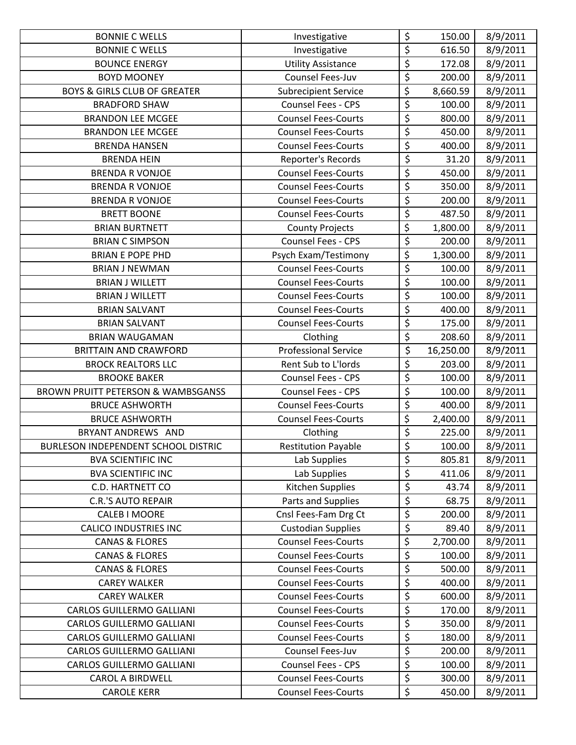| <b>BONNIE C WELLS</b>                         | Investigative               | \$                              | 150.00    | 8/9/2011 |
|-----------------------------------------------|-----------------------------|---------------------------------|-----------|----------|
| <b>BONNIE C WELLS</b>                         | Investigative               | $\overline{\xi}$                | 616.50    | 8/9/2011 |
| <b>BOUNCE ENERGY</b>                          | <b>Utility Assistance</b>   | \$                              | 172.08    | 8/9/2011 |
| <b>BOYD MOONEY</b>                            | Counsel Fees-Juv            | $\overline{\xi}$                | 200.00    | 8/9/2011 |
| <b>BOYS &amp; GIRLS CLUB OF GREATER</b>       | <b>Subrecipient Service</b> | \$                              | 8,660.59  | 8/9/2011 |
| <b>BRADFORD SHAW</b>                          | Counsel Fees - CPS          | \$                              | 100.00    | 8/9/2011 |
| <b>BRANDON LEE MCGEE</b>                      | <b>Counsel Fees-Courts</b>  | $\overline{\mathsf{S}}$         | 800.00    | 8/9/2011 |
| <b>BRANDON LEE MCGEE</b>                      | <b>Counsel Fees-Courts</b>  | $\overline{\xi}$                | 450.00    | 8/9/2011 |
| <b>BRENDA HANSEN</b>                          | <b>Counsel Fees-Courts</b>  | \$                              | 400.00    | 8/9/2011 |
| <b>BRENDA HEIN</b>                            | Reporter's Records          | $\overline{\xi}$                | 31.20     | 8/9/2011 |
| <b>BRENDA R VONJOE</b>                        | <b>Counsel Fees-Courts</b>  | \$                              | 450.00    | 8/9/2011 |
| <b>BRENDA R VONJOE</b>                        | <b>Counsel Fees-Courts</b>  | $\overline{\xi}$                | 350.00    | 8/9/2011 |
| <b>BRENDA R VONJOE</b>                        | <b>Counsel Fees-Courts</b>  | \$                              | 200.00    | 8/9/2011 |
| <b>BRETT BOONE</b>                            | <b>Counsel Fees-Courts</b>  | \$                              | 487.50    | 8/9/2011 |
| <b>BRIAN BURTNETT</b>                         | <b>County Projects</b>      | \$                              | 1,800.00  | 8/9/2011 |
| <b>BRIAN C SIMPSON</b>                        | Counsel Fees - CPS          | \$                              | 200.00    | 8/9/2011 |
| <b>BRIAN E POPE PHD</b>                       | Psych Exam/Testimony        | \$                              | 1,300.00  | 8/9/2011 |
| <b>BRIAN J NEWMAN</b>                         | <b>Counsel Fees-Courts</b>  | $\overline{\varsigma}$          | 100.00    | 8/9/2011 |
| <b>BRIAN J WILLETT</b>                        | <b>Counsel Fees-Courts</b>  | \$                              | 100.00    | 8/9/2011 |
| <b>BRIAN J WILLETT</b>                        | <b>Counsel Fees-Courts</b>  | $\overline{\xi}$                | 100.00    | 8/9/2011 |
| <b>BRIAN SALVANT</b>                          | <b>Counsel Fees-Courts</b>  | $\overline{\boldsymbol{\zeta}}$ | 400.00    | 8/9/2011 |
| <b>BRIAN SALVANT</b>                          | <b>Counsel Fees-Courts</b>  | $\overline{\xi}$                | 175.00    | 8/9/2011 |
| <b>BRIAN WAUGAMAN</b>                         | Clothing                    | $\overline{\xi}$                | 208.60    | 8/9/2011 |
| <b>BRITTAIN AND CRAWFORD</b>                  | <b>Professional Service</b> | $\overline{\boldsymbol{\zeta}}$ | 16,250.00 | 8/9/2011 |
| <b>BROCK REALTORS LLC</b>                     | Rent Sub to L'Iords         | \$                              | 203.00    | 8/9/2011 |
| <b>BROOKE BAKER</b>                           | Counsel Fees - CPS          | $\overline{\xi}$                | 100.00    | 8/9/2011 |
| <b>BROWN PRUITT PETERSON &amp; WAMBSGANSS</b> | Counsel Fees - CPS          | \$                              | 100.00    | 8/9/2011 |
| <b>BRUCE ASHWORTH</b>                         | <b>Counsel Fees-Courts</b>  | $\overline{\varsigma}$          | 400.00    | 8/9/2011 |
| <b>BRUCE ASHWORTH</b>                         | <b>Counsel Fees-Courts</b>  | $\overline{\xi}$                | 2,400.00  | 8/9/2011 |
| BRYANT ANDREWS AND                            | Clothing                    | \$                              | 225.00    | 8/9/2011 |
| BURLESON INDEPENDENT SCHOOL DISTRIC           | <b>Restitution Payable</b>  | $\overline{\xi}$                | 100.00    | 8/9/2011 |
| <b>BVA SCIENTIFIC INC</b>                     | Lab Supplies                | \$                              | 805.81    | 8/9/2011 |
| <b>BVA SCIENTIFIC INC</b>                     | Lab Supplies                | \$                              | 411.06    | 8/9/2011 |
| C.D. HARTNETT CO                              | Kitchen Supplies            | $\boldsymbol{\zeta}$            | 43.74     | 8/9/2011 |
| <b>C.R.'S AUTO REPAIR</b>                     | Parts and Supplies          | $\overline{\varsigma}$          | 68.75     | 8/9/2011 |
| <b>CALEB I MOORE</b>                          | Cnsl Fees-Fam Drg Ct        | \$                              | 200.00    | 8/9/2011 |
| <b>CALICO INDUSTRIES INC</b>                  | <b>Custodian Supplies</b>   | \$                              | 89.40     | 8/9/2011 |
| <b>CANAS &amp; FLORES</b>                     | <b>Counsel Fees-Courts</b>  | \$                              | 2,700.00  | 8/9/2011 |
| <b>CANAS &amp; FLORES</b>                     | <b>Counsel Fees-Courts</b>  | \$                              | 100.00    | 8/9/2011 |
| <b>CANAS &amp; FLORES</b>                     | <b>Counsel Fees-Courts</b>  | \$                              | 500.00    | 8/9/2011 |
| <b>CAREY WALKER</b>                           | <b>Counsel Fees-Courts</b>  | $\overline{\xi}$                | 400.00    | 8/9/2011 |
| <b>CAREY WALKER</b>                           | <b>Counsel Fees-Courts</b>  | $\overline{\xi}$                | 600.00    | 8/9/2011 |
| <b>CARLOS GUILLERMO GALLIANI</b>              | <b>Counsel Fees-Courts</b>  | $\overline{\varsigma}$          | 170.00    | 8/9/2011 |
| <b>CARLOS GUILLERMO GALLIANI</b>              | <b>Counsel Fees-Courts</b>  | \$                              | 350.00    | 8/9/2011 |
| <b>CARLOS GUILLERMO GALLIANI</b>              | <b>Counsel Fees-Courts</b>  | $\overline{\xi}$                | 180.00    | 8/9/2011 |
| <b>CARLOS GUILLERMO GALLIANI</b>              | Counsel Fees-Juv            | $\overline{\varsigma}$          | 200.00    | 8/9/2011 |
| CARLOS GUILLERMO GALLIANI                     | Counsel Fees - CPS          | \$                              | 100.00    | 8/9/2011 |
| <b>CAROL A BIRDWELL</b>                       | <b>Counsel Fees-Courts</b>  | \$                              | 300.00    | 8/9/2011 |
| <b>CAROLE KERR</b>                            | <b>Counsel Fees-Courts</b>  | \$                              | 450.00    | 8/9/2011 |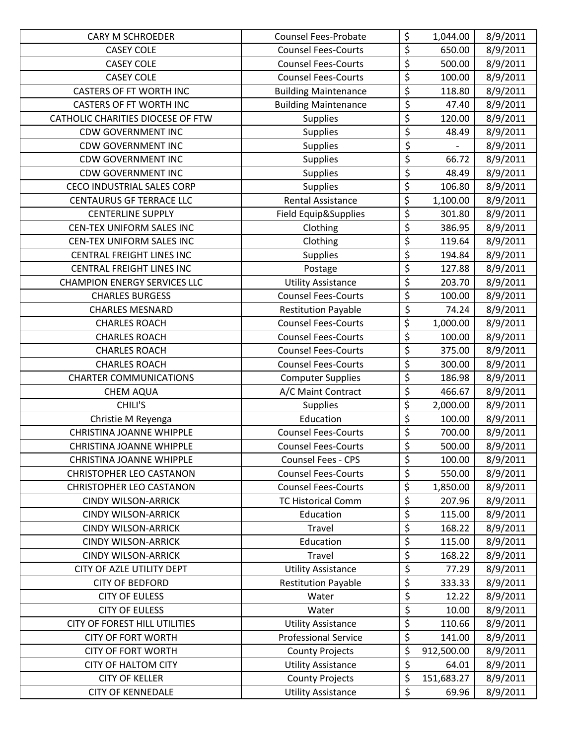| <b>CARY M SCHROEDER</b>             | <b>Counsel Fees-Probate</b> | \$                             | 1,044.00   | 8/9/2011 |
|-------------------------------------|-----------------------------|--------------------------------|------------|----------|
| <b>CASEY COLE</b>                   | <b>Counsel Fees-Courts</b>  | \$                             | 650.00     | 8/9/2011 |
| <b>CASEY COLE</b>                   | <b>Counsel Fees-Courts</b>  | $\overline{\xi}$               | 500.00     | 8/9/2011 |
| <b>CASEY COLE</b>                   | <b>Counsel Fees-Courts</b>  | \$                             | 100.00     | 8/9/2011 |
| <b>CASTERS OF FT WORTH INC</b>      | <b>Building Maintenance</b> | \$                             | 118.80     | 8/9/2011 |
| <b>CASTERS OF FT WORTH INC</b>      | <b>Building Maintenance</b> | $\boldsymbol{\dot{\varsigma}}$ | 47.40      | 8/9/2011 |
| CATHOLIC CHARITIES DIOCESE OF FTW   | <b>Supplies</b>             | \$                             | 120.00     | 8/9/2011 |
| <b>CDW GOVERNMENT INC</b>           | <b>Supplies</b>             | $\overline{\xi}$               | 48.49      | 8/9/2011 |
| <b>CDW GOVERNMENT INC</b>           | <b>Supplies</b>             | \$                             |            | 8/9/2011 |
| <b>CDW GOVERNMENT INC</b>           | <b>Supplies</b>             | $\overline{\mathcal{L}}$       | 66.72      | 8/9/2011 |
| <b>CDW GOVERNMENT INC</b>           | <b>Supplies</b>             | $\overline{\xi}$               | 48.49      | 8/9/2011 |
| <b>CECO INDUSTRIAL SALES CORP</b>   | <b>Supplies</b>             | \$                             | 106.80     | 8/9/2011 |
| <b>CENTAURUS GF TERRACE LLC</b>     | <b>Rental Assistance</b>    | \$                             | 1,100.00   | 8/9/2011 |
| <b>CENTERLINE SUPPLY</b>            | Field Equip&Supplies        | $\overline{\xi}$               | 301.80     | 8/9/2011 |
| CEN-TEX UNIFORM SALES INC           | Clothing                    | \$                             | 386.95     | 8/9/2011 |
| CEN-TEX UNIFORM SALES INC           | Clothing                    | \$                             | 119.64     | 8/9/2011 |
| <b>CENTRAL FREIGHT LINES INC</b>    | <b>Supplies</b>             | $\overline{\xi}$               | 194.84     | 8/9/2011 |
| <b>CENTRAL FREIGHT LINES INC</b>    | Postage                     | \$                             | 127.88     | 8/9/2011 |
| <b>CHAMPION ENERGY SERVICES LLC</b> | <b>Utility Assistance</b>   | \$                             | 203.70     | 8/9/2011 |
| <b>CHARLES BURGESS</b>              | <b>Counsel Fees-Courts</b>  | $\overline{\xi}$               | 100.00     | 8/9/2011 |
| <b>CHARLES MESNARD</b>              | <b>Restitution Payable</b>  | \$                             | 74.24      | 8/9/2011 |
| <b>CHARLES ROACH</b>                | <b>Counsel Fees-Courts</b>  | \$                             | 1,000.00   | 8/9/2011 |
| <b>CHARLES ROACH</b>                | <b>Counsel Fees-Courts</b>  | \$                             | 100.00     | 8/9/2011 |
| <b>CHARLES ROACH</b>                | <b>Counsel Fees-Courts</b>  | \$                             | 375.00     | 8/9/2011 |
| <b>CHARLES ROACH</b>                | <b>Counsel Fees-Courts</b>  | \$                             | 300.00     | 8/9/2011 |
| <b>CHARTER COMMUNICATIONS</b>       | <b>Computer Supplies</b>    | \$                             | 186.98     | 8/9/2011 |
| <b>CHEM AQUA</b>                    | A/C Maint Contract          | \$                             | 466.67     | 8/9/2011 |
| CHILI'S                             | <b>Supplies</b>             | \$                             | 2,000.00   | 8/9/2011 |
| Christie M Reyenga                  | Education                   | \$                             | 100.00     | 8/9/2011 |
| <b>CHRISTINA JOANNE WHIPPLE</b>     | <b>Counsel Fees-Courts</b>  | \$                             | 700.00     | 8/9/2011 |
| <b>CHRISTINA JOANNE WHIPPLE</b>     | <b>Counsel Fees-Courts</b>  | \$                             | 500.00     | 8/9/2011 |
| <b>CHRISTINA JOANNE WHIPPLE</b>     | Counsel Fees - CPS          | \$                             | 100.00     | 8/9/2011 |
| <b>CHRISTOPHER LEO CASTANON</b>     | <b>Counsel Fees-Courts</b>  | \$                             | 550.00     | 8/9/2011 |
| <b>CHRISTOPHER LEO CASTANON</b>     | <b>Counsel Fees-Courts</b>  | \$                             | 1,850.00   | 8/9/2011 |
| <b>CINDY WILSON-ARRICK</b>          | <b>TC Historical Comm</b>   | \$                             | 207.96     | 8/9/2011 |
| <b>CINDY WILSON-ARRICK</b>          | Education                   | $\overline{\xi}$               | 115.00     | 8/9/2011 |
| <b>CINDY WILSON-ARRICK</b>          | Travel                      | \$                             | 168.22     | 8/9/2011 |
| <b>CINDY WILSON-ARRICK</b>          | Education                   | \$                             | 115.00     | 8/9/2011 |
| <b>CINDY WILSON-ARRICK</b>          | Travel                      | $\overline{\xi}$               | 168.22     | 8/9/2011 |
| CITY OF AZLE UTILITY DEPT           | <b>Utility Assistance</b>   | \$                             | 77.29      | 8/9/2011 |
| <b>CITY OF BEDFORD</b>              | <b>Restitution Payable</b>  | \$                             | 333.33     | 8/9/2011 |
| <b>CITY OF EULESS</b>               | Water                       | $\overline{\xi}$               | 12.22      | 8/9/2011 |
| <b>CITY OF EULESS</b>               | Water                       | $\overline{\xi}$               | 10.00      | 8/9/2011 |
| CITY OF FOREST HILL UTILITIES       | <b>Utility Assistance</b>   | \$                             | 110.66     | 8/9/2011 |
| <b>CITY OF FORT WORTH</b>           | <b>Professional Service</b> | \$                             | 141.00     | 8/9/2011 |
| <b>CITY OF FORT WORTH</b>           | <b>County Projects</b>      | \$                             | 912,500.00 | 8/9/2011 |
| <b>CITY OF HALTOM CITY</b>          | <b>Utility Assistance</b>   | \$                             | 64.01      | 8/9/2011 |
| <b>CITY OF KELLER</b>               | <b>County Projects</b>      | \$                             | 151,683.27 | 8/9/2011 |
| <b>CITY OF KENNEDALE</b>            | <b>Utility Assistance</b>   | \$                             | 69.96      | 8/9/2011 |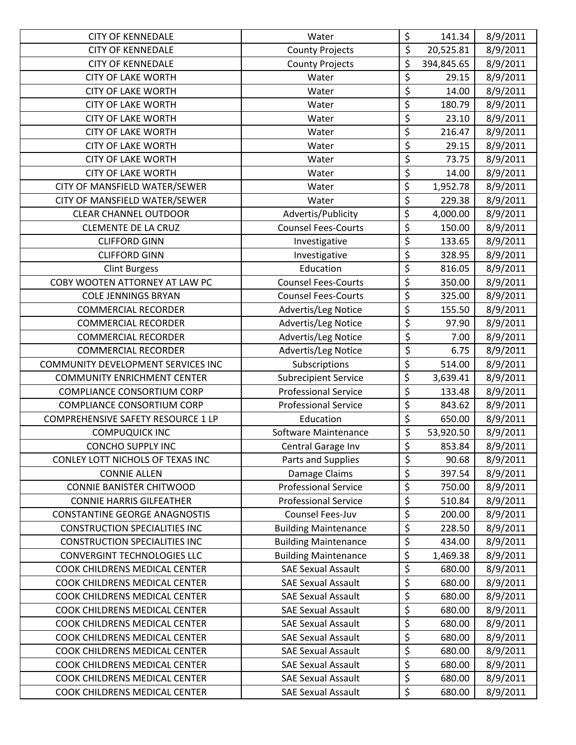| <b>CITY OF KENNEDALE</b>             | Water                       | \$                              | 141.34     | 8/9/2011 |
|--------------------------------------|-----------------------------|---------------------------------|------------|----------|
| <b>CITY OF KENNEDALE</b>             | <b>County Projects</b>      | \$                              | 20,525.81  | 8/9/2011 |
| <b>CITY OF KENNEDALE</b>             | <b>County Projects</b>      | \$                              | 394,845.65 | 8/9/2011 |
| <b>CITY OF LAKE WORTH</b>            | Water                       | \$                              | 29.15      | 8/9/2011 |
| <b>CITY OF LAKE WORTH</b>            | Water                       | $\overline{\xi}$                | 14.00      | 8/9/2011 |
| <b>CITY OF LAKE WORTH</b>            | Water                       | \$                              | 180.79     | 8/9/2011 |
| <b>CITY OF LAKE WORTH</b>            | Water                       | $\overline{\xi}$                | 23.10      | 8/9/2011 |
| <b>CITY OF LAKE WORTH</b>            | Water                       | \$                              | 216.47     | 8/9/2011 |
| <b>CITY OF LAKE WORTH</b>            | Water                       | \$                              | 29.15      | 8/9/2011 |
| <b>CITY OF LAKE WORTH</b>            | Water                       | \$                              | 73.75      | 8/9/2011 |
| <b>CITY OF LAKE WORTH</b>            | Water                       | $\overline{\xi}$                | 14.00      | 8/9/2011 |
| CITY OF MANSFIELD WATER/SEWER        | Water                       | $\overline{\xi}$                | 1,952.78   | 8/9/2011 |
| CITY OF MANSFIELD WATER/SEWER        | Water                       | \$                              | 229.38     | 8/9/2011 |
| <b>CLEAR CHANNEL OUTDOOR</b>         | Advertis/Publicity          | $\overline{\boldsymbol{\zeta}}$ | 4,000.00   | 8/9/2011 |
| <b>CLEMENTE DE LA CRUZ</b>           | <b>Counsel Fees-Courts</b>  | $\overline{\xi}$                | 150.00     | 8/9/2011 |
| <b>CLIFFORD GINN</b>                 | Investigative               | \$                              | 133.65     | 8/9/2011 |
| <b>CLIFFORD GINN</b>                 | Investigative               | \$                              | 328.95     | 8/9/2011 |
| <b>Clint Burgess</b>                 | Education                   | \$                              | 816.05     | 8/9/2011 |
| COBY WOOTEN ATTORNEY AT LAW PC       | <b>Counsel Fees-Courts</b>  | \$                              | 350.00     | 8/9/2011 |
| <b>COLE JENNINGS BRYAN</b>           | <b>Counsel Fees-Courts</b>  | \$                              | 325.00     | 8/9/2011 |
| <b>COMMERCIAL RECORDER</b>           | Advertis/Leg Notice         | \$                              | 155.50     | 8/9/2011 |
| <b>COMMERCIAL RECORDER</b>           | Advertis/Leg Notice         | \$                              | 97.90      | 8/9/2011 |
| <b>COMMERCIAL RECORDER</b>           | Advertis/Leg Notice         | $\overline{\xi}$                | 7.00       | 8/9/2011 |
| <b>COMMERCIAL RECORDER</b>           | Advertis/Leg Notice         | $\overline{\xi}$                | 6.75       | 8/9/2011 |
| COMMUNITY DEVELOPMENT SERVICES INC   | Subscriptions               | \$                              | 514.00     | 8/9/2011 |
| <b>COMMUNITY ENRICHMENT CENTER</b>   | <b>Subrecipient Service</b> | \$                              | 3,639.41   | 8/9/2011 |
| COMPLIANCE CONSORTIUM CORP           | <b>Professional Service</b> | \$                              | 133.48     | 8/9/2011 |
| <b>COMPLIANCE CONSORTIUM CORP</b>    | <b>Professional Service</b> | \$                              | 843.62     | 8/9/2011 |
| COMPREHENSIVE SAFETY RESOURCE 1 LP   | Education                   | $\overline{\xi}$                | 650.00     | 8/9/2011 |
| <b>COMPUQUICK INC</b>                | Software Maintenance        | \$                              | 53,920.50  | 8/9/2011 |
| <b>CONCHO SUPPLY INC</b>             | Central Garage Inv          | $\overline{\boldsymbol{\zeta}}$ | 853.84     | 8/9/2011 |
| CONLEY LOTT NICHOLS OF TEXAS INC     | Parts and Supplies          | \$                              | 90.68      | 8/9/2011 |
| <b>CONNIE ALLEN</b>                  | Damage Claims               | \$                              | 397.54     | 8/9/2011 |
| <b>CONNIE BANISTER CHITWOOD</b>      | <b>Professional Service</b> | \$                              | 750.00     | 8/9/2011 |
| <b>CONNIE HARRIS GILFEATHER</b>      | <b>Professional Service</b> | \$                              | 510.84     | 8/9/2011 |
| <b>CONSTANTINE GEORGE ANAGNOSTIS</b> | Counsel Fees-Juv            | \$                              | 200.00     | 8/9/2011 |
| <b>CONSTRUCTION SPECIALITIES INC</b> | <b>Building Maintenance</b> | \$                              | 228.50     | 8/9/2011 |
| <b>CONSTRUCTION SPECIALITIES INC</b> | <b>Building Maintenance</b> | \$                              | 434.00     | 8/9/2011 |
| <b>CONVERGINT TECHNOLOGIES LLC</b>   | <b>Building Maintenance</b> | \$                              | 1,469.38   | 8/9/2011 |
| COOK CHILDRENS MEDICAL CENTER        | <b>SAE Sexual Assault</b>   | \$                              | 680.00     | 8/9/2011 |
| COOK CHILDRENS MEDICAL CENTER        | <b>SAE Sexual Assault</b>   | \$                              | 680.00     | 8/9/2011 |
| COOK CHILDRENS MEDICAL CENTER        | <b>SAE Sexual Assault</b>   | \$                              | 680.00     | 8/9/2011 |
| COOK CHILDRENS MEDICAL CENTER        | <b>SAE Sexual Assault</b>   | \$                              | 680.00     | 8/9/2011 |
| COOK CHILDRENS MEDICAL CENTER        | <b>SAE Sexual Assault</b>   | \$                              | 680.00     | 8/9/2011 |
| COOK CHILDRENS MEDICAL CENTER        | <b>SAE Sexual Assault</b>   | \$                              | 680.00     | 8/9/2011 |
| COOK CHILDRENS MEDICAL CENTER        | <b>SAE Sexual Assault</b>   | \$                              | 680.00     | 8/9/2011 |
| COOK CHILDRENS MEDICAL CENTER        | <b>SAE Sexual Assault</b>   | \$                              | 680.00     | 8/9/2011 |
| COOK CHILDRENS MEDICAL CENTER        | <b>SAE Sexual Assault</b>   | \$                              | 680.00     | 8/9/2011 |
| COOK CHILDRENS MEDICAL CENTER        | <b>SAE Sexual Assault</b>   | \$                              | 680.00     | 8/9/2011 |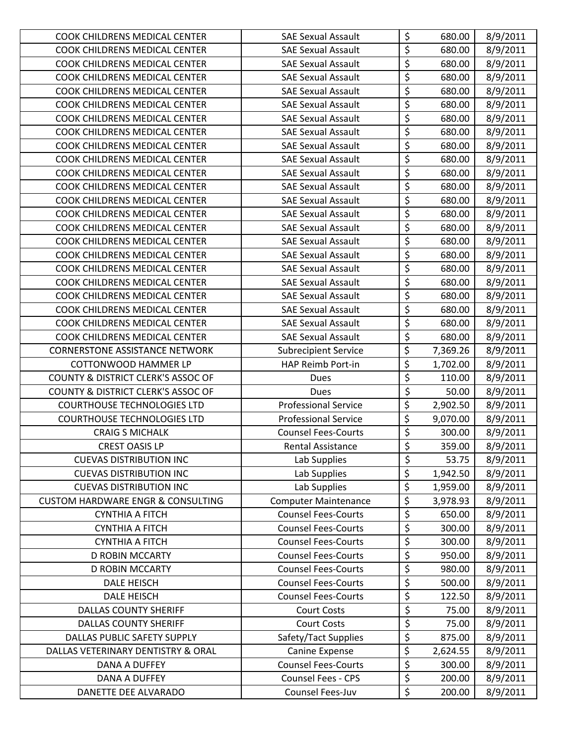| <b>COOK CHILDRENS MEDICAL CENTER</b>          | <b>SAE Sexual Assault</b>   | \$                     | 680.00   | 8/9/2011 |
|-----------------------------------------------|-----------------------------|------------------------|----------|----------|
| COOK CHILDRENS MEDICAL CENTER                 | <b>SAE Sexual Assault</b>   | \$                     | 680.00   | 8/9/2011 |
| COOK CHILDRENS MEDICAL CENTER                 | <b>SAE Sexual Assault</b>   | $\overline{\xi}$       | 680.00   | 8/9/2011 |
| COOK CHILDRENS MEDICAL CENTER                 | <b>SAE Sexual Assault</b>   | $\overline{\xi}$       | 680.00   | 8/9/2011 |
| COOK CHILDRENS MEDICAL CENTER                 | <b>SAE Sexual Assault</b>   | \$                     | 680.00   | 8/9/2011 |
| COOK CHILDRENS MEDICAL CENTER                 | <b>SAE Sexual Assault</b>   | \$                     | 680.00   | 8/9/2011 |
| COOK CHILDRENS MEDICAL CENTER                 | <b>SAE Sexual Assault</b>   | \$                     | 680.00   | 8/9/2011 |
| COOK CHILDRENS MEDICAL CENTER                 | <b>SAE Sexual Assault</b>   | \$                     | 680.00   | 8/9/2011 |
| COOK CHILDRENS MEDICAL CENTER                 | <b>SAE Sexual Assault</b>   | \$                     | 680.00   | 8/9/2011 |
| COOK CHILDRENS MEDICAL CENTER                 | <b>SAE Sexual Assault</b>   | $\overline{\xi}$       | 680.00   | 8/9/2011 |
| COOK CHILDRENS MEDICAL CENTER                 | <b>SAE Sexual Assault</b>   | $\overline{\xi}$       | 680.00   | 8/9/2011 |
| COOK CHILDRENS MEDICAL CENTER                 | <b>SAE Sexual Assault</b>   | \$                     | 680.00   | 8/9/2011 |
| COOK CHILDRENS MEDICAL CENTER                 | <b>SAE Sexual Assault</b>   | \$                     | 680.00   | 8/9/2011 |
| COOK CHILDRENS MEDICAL CENTER                 | <b>SAE Sexual Assault</b>   | $\overline{\xi}$       | 680.00   | 8/9/2011 |
| COOK CHILDRENS MEDICAL CENTER                 | <b>SAE Sexual Assault</b>   | \$                     | 680.00   | 8/9/2011 |
| COOK CHILDRENS MEDICAL CENTER                 | <b>SAE Sexual Assault</b>   | $\overline{\xi}$       | 680.00   | 8/9/2011 |
| COOK CHILDRENS MEDICAL CENTER                 | <b>SAE Sexual Assault</b>   | $\overline{\xi}$       | 680.00   | 8/9/2011 |
| COOK CHILDRENS MEDICAL CENTER                 | <b>SAE Sexual Assault</b>   | \$                     | 680.00   | 8/9/2011 |
| COOK CHILDRENS MEDICAL CENTER                 | <b>SAE Sexual Assault</b>   | \$                     | 680.00   | 8/9/2011 |
| COOK CHILDRENS MEDICAL CENTER                 | <b>SAE Sexual Assault</b>   | $\overline{\xi}$       | 680.00   | 8/9/2011 |
| COOK CHILDRENS MEDICAL CENTER                 | <b>SAE Sexual Assault</b>   | \$                     | 680.00   | 8/9/2011 |
| COOK CHILDRENS MEDICAL CENTER                 | <b>SAE Sexual Assault</b>   | $\overline{\xi}$       | 680.00   | 8/9/2011 |
| COOK CHILDRENS MEDICAL CENTER                 | <b>SAE Sexual Assault</b>   | $\overline{\xi}$       | 680.00   | 8/9/2011 |
| <b>CORNERSTONE ASSISTANCE NETWORK</b>         | <b>Subrecipient Service</b> | \$                     | 7,369.26 | 8/9/2011 |
| <b>COTTONWOOD HAMMER LP</b>                   | HAP Reimb Port-in           | \$                     | 1,702.00 | 8/9/2011 |
| COUNTY & DISTRICT CLERK'S ASSOC OF            | Dues                        | \$                     | 110.00   | 8/9/2011 |
| <b>COUNTY &amp; DISTRICT CLERK'S ASSOC OF</b> | <b>Dues</b>                 | $\overline{\xi}$       | 50.00    | 8/9/2011 |
| <b>COURTHOUSE TECHNOLOGIES LTD</b>            | <b>Professional Service</b> | $\overline{\xi}$       | 2,902.50 | 8/9/2011 |
| <b>COURTHOUSE TECHNOLOGIES LTD</b>            | <b>Professional Service</b> | $\overline{\xi}$       | 9,070.00 | 8/9/2011 |
| <b>CRAIG S MICHALK</b>                        | <b>Counsel Fees-Courts</b>  | \$                     | 300.00   | 8/9/2011 |
| <b>CREST OASIS LP</b>                         | Rental Assistance           | \$                     | 359.00   | 8/9/2011 |
| <b>CUEVAS DISTRIBUTION INC</b>                | Lab Supplies                | \$                     | 53.75    | 8/9/2011 |
| <b>CUEVAS DISTRIBUTION INC</b>                | Lab Supplies                | \$                     | 1,942.50 | 8/9/2011 |
| <b>CUEVAS DISTRIBUTION INC</b>                | Lab Supplies                | \$                     | 1,959.00 | 8/9/2011 |
| <b>CUSTOM HARDWARE ENGR &amp; CONSULTING</b>  | <b>Computer Maintenance</b> | \$                     | 3,978.93 | 8/9/2011 |
| <b>CYNTHIA A FITCH</b>                        | <b>Counsel Fees-Courts</b>  | $\overline{\xi}$       | 650.00   | 8/9/2011 |
| <b>CYNTHIA A FITCH</b>                        | <b>Counsel Fees-Courts</b>  | \$                     | 300.00   | 8/9/2011 |
| <b>CYNTHIA A FITCH</b>                        | <b>Counsel Fees-Courts</b>  | \$                     | 300.00   | 8/9/2011 |
| <b>D ROBIN MCCARTY</b>                        | <b>Counsel Fees-Courts</b>  | \$                     | 950.00   | 8/9/2011 |
| <b>D ROBIN MCCARTY</b>                        | <b>Counsel Fees-Courts</b>  | \$                     | 980.00   | 8/9/2011 |
| <b>DALE HEISCH</b>                            | <b>Counsel Fees-Courts</b>  | \$                     | 500.00   | 8/9/2011 |
| <b>DALE HEISCH</b>                            | <b>Counsel Fees-Courts</b>  | $\overline{\xi}$       | 122.50   | 8/9/2011 |
| <b>DALLAS COUNTY SHERIFF</b>                  | <b>Court Costs</b>          | $\overline{\varsigma}$ | 75.00    | 8/9/2011 |
| <b>DALLAS COUNTY SHERIFF</b>                  | <b>Court Costs</b>          | \$                     | 75.00    | 8/9/2011 |
| DALLAS PUBLIC SAFETY SUPPLY                   | Safety/Tact Supplies        | $\overline{\xi}$       | 875.00   | 8/9/2011 |
| DALLAS VETERINARY DENTISTRY & ORAL            | <b>Canine Expense</b>       | \$                     | 2,624.55 | 8/9/2011 |
| DANA A DUFFEY                                 | <b>Counsel Fees-Courts</b>  | \$                     | 300.00   | 8/9/2011 |
| DANA A DUFFEY                                 | Counsel Fees - CPS          | $\overline{\xi}$       | 200.00   | 8/9/2011 |
| DANETTE DEE ALVARADO                          | Counsel Fees-Juv            | \$                     | 200.00   | 8/9/2011 |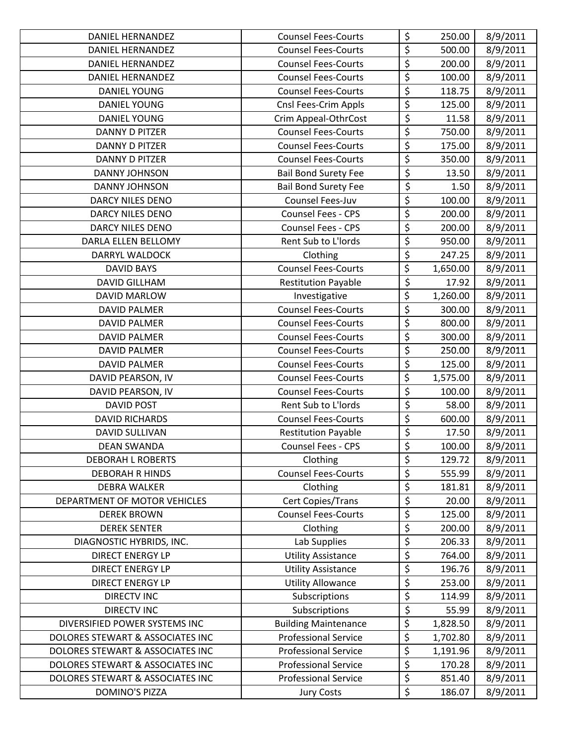| <b>DANIEL HERNANDEZ</b>          | <b>Counsel Fees-Courts</b>  | \$               | 250.00   | 8/9/2011 |
|----------------------------------|-----------------------------|------------------|----------|----------|
| <b>DANIEL HERNANDEZ</b>          | <b>Counsel Fees-Courts</b>  | $\overline{\xi}$ | 500.00   | 8/9/2011 |
| <b>DANIEL HERNANDEZ</b>          | <b>Counsel Fees-Courts</b>  | \$               | 200.00   | 8/9/2011 |
| <b>DANIEL HERNANDEZ</b>          | <b>Counsel Fees-Courts</b>  | \$               | 100.00   | 8/9/2011 |
| <b>DANIEL YOUNG</b>              | <b>Counsel Fees-Courts</b>  | \$               | 118.75   | 8/9/2011 |
| <b>DANIEL YOUNG</b>              | Cnsl Fees-Crim Appls        | \$               | 125.00   | 8/9/2011 |
| DANIEL YOUNG                     | Crim Appeal-OthrCost        | $\overline{\xi}$ | 11.58    | 8/9/2011 |
| <b>DANNY D PITZER</b>            | <b>Counsel Fees-Courts</b>  | \$               | 750.00   | 8/9/2011 |
| <b>DANNY D PITZER</b>            | <b>Counsel Fees-Courts</b>  | \$               | 175.00   | 8/9/2011 |
| <b>DANNY D PITZER</b>            | <b>Counsel Fees-Courts</b>  | \$               | 350.00   | 8/9/2011 |
| DANNY JOHNSON                    | <b>Bail Bond Surety Fee</b> | $\overline{\xi}$ | 13.50    | 8/9/2011 |
| DANNY JOHNSON                    | <b>Bail Bond Surety Fee</b> | \$               | 1.50     | 8/9/2011 |
| DARCY NILES DENO                 | Counsel Fees-Juv            | \$               | 100.00   | 8/9/2011 |
| <b>DARCY NILES DENO</b>          | Counsel Fees - CPS          | \$               | 200.00   | 8/9/2011 |
| <b>DARCY NILES DENO</b>          | <b>Counsel Fees - CPS</b>   | \$               | 200.00   | 8/9/2011 |
| DARLA ELLEN BELLOMY              | Rent Sub to L'Iords         | \$               | 950.00   | 8/9/2011 |
| DARRYL WALDOCK                   | Clothing                    | \$               | 247.25   | 8/9/2011 |
| <b>DAVID BAYS</b>                | <b>Counsel Fees-Courts</b>  | \$               | 1,650.00 | 8/9/2011 |
| <b>DAVID GILLHAM</b>             | <b>Restitution Payable</b>  | $\overline{\xi}$ | 17.92    | 8/9/2011 |
| DAVID MARLOW                     | Investigative               | \$               | 1,260.00 | 8/9/2011 |
| <b>DAVID PALMER</b>              | <b>Counsel Fees-Courts</b>  | \$               | 300.00   | 8/9/2011 |
| <b>DAVID PALMER</b>              | <b>Counsel Fees-Courts</b>  | \$               | 800.00   | 8/9/2011 |
| <b>DAVID PALMER</b>              | <b>Counsel Fees-Courts</b>  | \$               | 300.00   | 8/9/2011 |
| <b>DAVID PALMER</b>              | <b>Counsel Fees-Courts</b>  | \$               | 250.00   | 8/9/2011 |
| DAVID PALMER                     | <b>Counsel Fees-Courts</b>  | \$               | 125.00   | 8/9/2011 |
| DAVID PEARSON, IV                | <b>Counsel Fees-Courts</b>  | \$               | 1,575.00 | 8/9/2011 |
| DAVID PEARSON, IV                | <b>Counsel Fees-Courts</b>  | \$               | 100.00   | 8/9/2011 |
| <b>DAVID POST</b>                | Rent Sub to L'Iords         | $\overline{\xi}$ | 58.00    | 8/9/2011 |
| <b>DAVID RICHARDS</b>            | <b>Counsel Fees-Courts</b>  | \$               | 600.00   | 8/9/2011 |
| DAVID SULLIVAN                   | <b>Restitution Payable</b>  | \$               | 17.50    | 8/9/2011 |
| <b>DEAN SWANDA</b>               | <b>Counsel Fees - CPS</b>   | $\overline{\xi}$ | 100.00   | 8/9/2011 |
| <b>DEBORAH L ROBERTS</b>         | Clothing                    | \$               | 129.72   | 8/9/2011 |
| <b>DEBORAH R HINDS</b>           | <b>Counsel Fees-Courts</b>  | \$               | 555.99   | 8/9/2011 |
| <b>DEBRA WALKER</b>              | Clothing                    | \$               | 181.81   | 8/9/2011 |
| DEPARTMENT OF MOTOR VEHICLES     | Cert Copies/Trans           | $\overline{\xi}$ | 20.00    | 8/9/2011 |
| <b>DEREK BROWN</b>               | <b>Counsel Fees-Courts</b>  | \$               | 125.00   | 8/9/2011 |
| <b>DEREK SENTER</b>              | Clothing                    | \$               | 200.00   | 8/9/2011 |
| DIAGNOSTIC HYBRIDS, INC.         | Lab Supplies                | \$               | 206.33   | 8/9/2011 |
| DIRECT ENERGY LP                 | <b>Utility Assistance</b>   | \$               | 764.00   | 8/9/2011 |
| <b>DIRECT ENERGY LP</b>          | <b>Utility Assistance</b>   | \$               | 196.76   | 8/9/2011 |
| <b>DIRECT ENERGY LP</b>          | <b>Utility Allowance</b>    | \$               | 253.00   | 8/9/2011 |
| <b>DIRECTV INC</b>               | Subscriptions               | \$               | 114.99   | 8/9/2011 |
| <b>DIRECTV INC</b>               | Subscriptions               | \$               | 55.99    | 8/9/2011 |
| DIVERSIFIED POWER SYSTEMS INC    | <b>Building Maintenance</b> | \$               | 1,828.50 | 8/9/2011 |
| DOLORES STEWART & ASSOCIATES INC | <b>Professional Service</b> | \$               | 1,702.80 | 8/9/2011 |
| DOLORES STEWART & ASSOCIATES INC | <b>Professional Service</b> | \$               | 1,191.96 | 8/9/2011 |
| DOLORES STEWART & ASSOCIATES INC | <b>Professional Service</b> | \$               | 170.28   | 8/9/2011 |
| DOLORES STEWART & ASSOCIATES INC | <b>Professional Service</b> | \$               | 851.40   | 8/9/2011 |
| <b>DOMINO'S PIZZA</b>            | <b>Jury Costs</b>           | \$               | 186.07   | 8/9/2011 |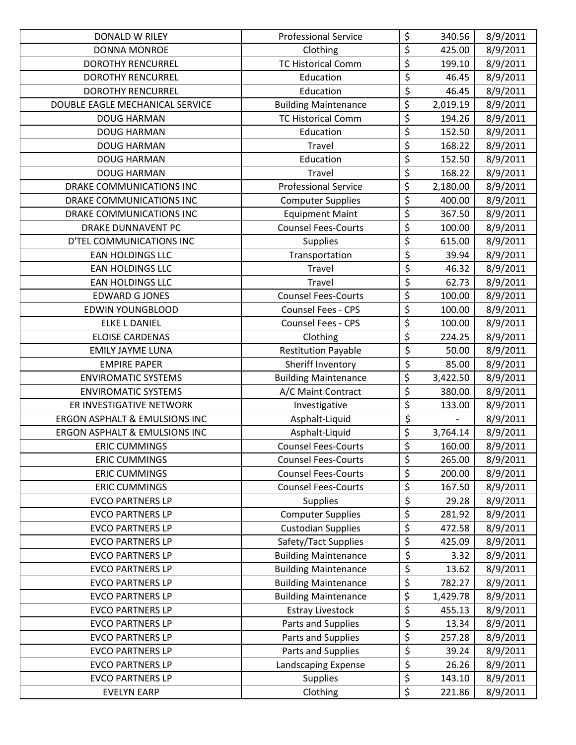| DONALD W RILEY                           | <b>Professional Service</b> | \$                                  | 340.56   | 8/9/2011 |
|------------------------------------------|-----------------------------|-------------------------------------|----------|----------|
| <b>DONNA MONROE</b>                      | Clothing                    | \$                                  | 425.00   | 8/9/2011 |
| <b>DOROTHY RENCURREL</b>                 | <b>TC Historical Comm</b>   | \$                                  | 199.10   | 8/9/2011 |
| <b>DOROTHY RENCURREL</b>                 | Education                   | $\overline{\xi}$                    | 46.45    | 8/9/2011 |
| <b>DOROTHY RENCURREL</b>                 | Education                   | $\overline{\xi}$                    | 46.45    | 8/9/2011 |
| DOUBLE EAGLE MECHANICAL SERVICE          | <b>Building Maintenance</b> | \$                                  | 2,019.19 | 8/9/2011 |
| <b>DOUG HARMAN</b>                       | <b>TC Historical Comm</b>   | \$                                  | 194.26   | 8/9/2011 |
| <b>DOUG HARMAN</b>                       | Education                   | \$                                  | 152.50   | 8/9/2011 |
| <b>DOUG HARMAN</b>                       | Travel                      | \$                                  | 168.22   | 8/9/2011 |
| <b>DOUG HARMAN</b>                       | Education                   | \$                                  | 152.50   | 8/9/2011 |
| <b>DOUG HARMAN</b>                       | Travel                      | \$                                  | 168.22   | 8/9/2011 |
| DRAKE COMMUNICATIONS INC                 | <b>Professional Service</b> | \$                                  | 2,180.00 | 8/9/2011 |
| DRAKE COMMUNICATIONS INC                 | <b>Computer Supplies</b>    | \$                                  | 400.00   | 8/9/2011 |
| DRAKE COMMUNICATIONS INC                 | <b>Equipment Maint</b>      | \$                                  | 367.50   | 8/9/2011 |
| <b>DRAKE DUNNAVENT PC</b>                | <b>Counsel Fees-Courts</b>  | \$                                  | 100.00   | 8/9/2011 |
| D'TEL COMMUNICATIONS INC                 | <b>Supplies</b>             | \$                                  | 615.00   | 8/9/2011 |
| <b>EAN HOLDINGS LLC</b>                  | Transportation              | \$                                  | 39.94    | 8/9/2011 |
| <b>EAN HOLDINGS LLC</b>                  | Travel                      | $\overline{\xi}$                    | 46.32    | 8/9/2011 |
| <b>EAN HOLDINGS LLC</b>                  | Travel                      | $\overline{\xi}$                    | 62.73    | 8/9/2011 |
| <b>EDWARD G JONES</b>                    | <b>Counsel Fees-Courts</b>  | \$                                  | 100.00   | 8/9/2011 |
| <b>EDWIN YOUNGBLOOD</b>                  | Counsel Fees - CPS          | \$                                  | 100.00   | 8/9/2011 |
| <b>ELKE L DANIEL</b>                     | Counsel Fees - CPS          | \$                                  | 100.00   | 8/9/2011 |
| <b>ELOISE CARDENAS</b>                   | Clothing                    | \$                                  | 224.25   | 8/9/2011 |
| <b>EMILY JAYME LUNA</b>                  | <b>Restitution Payable</b>  | $\overline{\boldsymbol{\zeta}}$     | 50.00    | 8/9/2011 |
| <b>EMPIRE PAPER</b>                      | Sheriff Inventory           | \$                                  | 85.00    | 8/9/2011 |
| <b>ENVIROMATIC SYSTEMS</b>               | <b>Building Maintenance</b> | \$                                  | 3,422.50 | 8/9/2011 |
| <b>ENVIROMATIC SYSTEMS</b>               | A/C Maint Contract          | \$                                  | 380.00   | 8/9/2011 |
| ER INVESTIGATIVE NETWORK                 | Investigative               | \$                                  | 133.00   | 8/9/2011 |
| <b>ERGON ASPHALT &amp; EMULSIONS INC</b> | Asphalt-Liquid              | $\overline{\xi}$                    |          | 8/9/2011 |
| ERGON ASPHALT & EMULSIONS INC            | Asphalt-Liquid              | \$                                  | 3,764.14 | 8/9/2011 |
| <b>ERIC CUMMINGS</b>                     | <b>Counsel Fees-Courts</b>  | \$                                  | 160.00   | 8/9/2011 |
| <b>ERIC CUMMINGS</b>                     | <b>Counsel Fees-Courts</b>  | \$                                  | 265.00   | 8/9/2011 |
| <b>ERIC CUMMINGS</b>                     | <b>Counsel Fees-Courts</b>  | \$                                  | 200.00   | 8/9/2011 |
| <b>ERIC CUMMINGS</b>                     | <b>Counsel Fees-Courts</b>  | \$                                  | 167.50   | 8/9/2011 |
| <b>EVCO PARTNERS LP</b>                  | <b>Supplies</b>             | \$                                  | 29.28    | 8/9/2011 |
| <b>EVCO PARTNERS LP</b>                  | <b>Computer Supplies</b>    | \$                                  | 281.92   | 8/9/2011 |
| <b>EVCO PARTNERS LP</b>                  | <b>Custodian Supplies</b>   | \$                                  | 472.58   | 8/9/2011 |
| <b>EVCO PARTNERS LP</b>                  | Safety/Tact Supplies        | \$                                  | 425.09   | 8/9/2011 |
| <b>EVCO PARTNERS LP</b>                  | <b>Building Maintenance</b> | $\overline{\boldsymbol{\varsigma}}$ | 3.32     | 8/9/2011 |
| <b>EVCO PARTNERS LP</b>                  | <b>Building Maintenance</b> | \$                                  | 13.62    | 8/9/2011 |
| <b>EVCO PARTNERS LP</b>                  | <b>Building Maintenance</b> | \$                                  | 782.27   | 8/9/2011 |
| <b>EVCO PARTNERS LP</b>                  | <b>Building Maintenance</b> | \$                                  | 1,429.78 | 8/9/2011 |
| <b>EVCO PARTNERS LP</b>                  | <b>Estray Livestock</b>     | \$                                  | 455.13   | 8/9/2011 |
| <b>EVCO PARTNERS LP</b>                  | Parts and Supplies          | \$                                  | 13.34    | 8/9/2011 |
| <b>EVCO PARTNERS LP</b>                  | Parts and Supplies          | \$                                  | 257.28   | 8/9/2011 |
| <b>EVCO PARTNERS LP</b>                  | Parts and Supplies          | $\overline{\xi}$                    | 39.24    | 8/9/2011 |
| <b>EVCO PARTNERS LP</b>                  | Landscaping Expense         | \$                                  | 26.26    | 8/9/2011 |
| <b>EVCO PARTNERS LP</b>                  | <b>Supplies</b>             | \$                                  | 143.10   | 8/9/2011 |
| <b>EVELYN EARP</b>                       | Clothing                    | \$                                  | 221.86   | 8/9/2011 |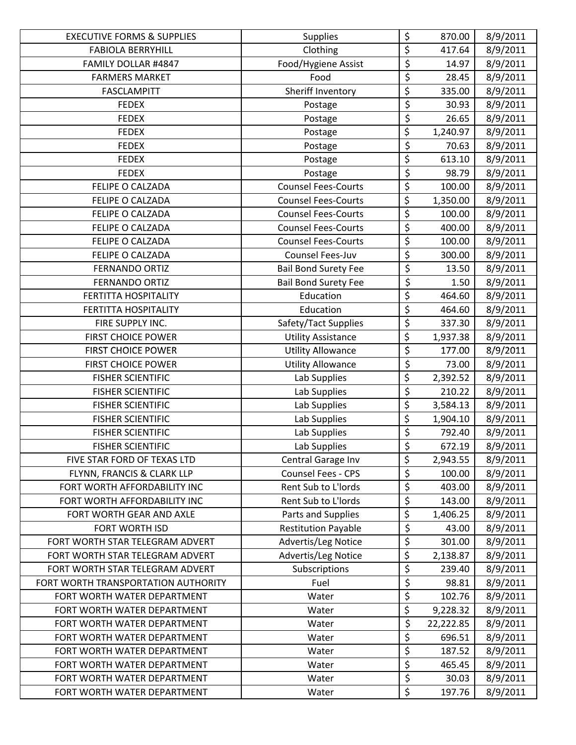| <b>EXECUTIVE FORMS &amp; SUPPLIES</b> | <b>Supplies</b>             | \$                                  | 870.00    | 8/9/2011 |
|---------------------------------------|-----------------------------|-------------------------------------|-----------|----------|
| <b>FABIOLA BERRYHILL</b>              | Clothing                    | \$                                  | 417.64    | 8/9/2011 |
| FAMILY DOLLAR #4847                   | Food/Hygiene Assist         | $\overline{\xi}$                    | 14.97     | 8/9/2011 |
| <b>FARMERS MARKET</b>                 | Food                        | $\overline{\xi}$                    | 28.45     | 8/9/2011 |
| <b>FASCLAMPITT</b>                    | Sheriff Inventory           | \$                                  | 335.00    | 8/9/2011 |
| <b>FEDEX</b>                          | Postage                     | \$                                  | 30.93     | 8/9/2011 |
| <b>FEDEX</b>                          | Postage                     | $\overline{\mathcal{L}}$            | 26.65     | 8/9/2011 |
| <b>FEDEX</b>                          | Postage                     | \$                                  | 1,240.97  | 8/9/2011 |
| <b>FEDEX</b>                          | Postage                     | $\overline{\xi}$                    | 70.63     | 8/9/2011 |
| <b>FEDEX</b>                          | Postage                     | $\overline{\boldsymbol{\varsigma}}$ | 613.10    | 8/9/2011 |
| <b>FEDEX</b>                          | Postage                     | $\overline{\varsigma}$              | 98.79     | 8/9/2011 |
| FELIPE O CALZADA                      | <b>Counsel Fees-Courts</b>  | $\overline{\xi}$                    | 100.00    | 8/9/2011 |
| FELIPE O CALZADA                      | <b>Counsel Fees-Courts</b>  | \$                                  | 1,350.00  | 8/9/2011 |
| FELIPE O CALZADA                      | <b>Counsel Fees-Courts</b>  | $\overline{\xi}$                    | 100.00    | 8/9/2011 |
| <b>FELIPE O CALZADA</b>               | <b>Counsel Fees-Courts</b>  | $\overline{\xi}$                    | 400.00    | 8/9/2011 |
| FELIPE O CALZADA                      | <b>Counsel Fees-Courts</b>  | $\overline{\xi}$                    | 100.00    | 8/9/2011 |
| FELIPE O CALZADA                      | Counsel Fees-Juv            | $\overline{\varsigma}$              | 300.00    | 8/9/2011 |
| <b>FERNANDO ORTIZ</b>                 | <b>Bail Bond Surety Fee</b> | \$                                  | 13.50     | 8/9/2011 |
| <b>FERNANDO ORTIZ</b>                 | <b>Bail Bond Surety Fee</b> | \$                                  | 1.50      | 8/9/2011 |
| <b>FERTITTA HOSPITALITY</b>           | Education                   | $\overline{\xi}$                    | 464.60    | 8/9/2011 |
| FERTITTA HOSPITALITY                  | Education                   | \$                                  | 464.60    | 8/9/2011 |
| FIRE SUPPLY INC.                      | Safety/Tact Supplies        | $\overline{\xi}$                    | 337.30    | 8/9/2011 |
| <b>FIRST CHOICE POWER</b>             | <b>Utility Assistance</b>   | \$                                  | 1,937.38  | 8/9/2011 |
| <b>FIRST CHOICE POWER</b>             | <b>Utility Allowance</b>    | \$                                  | 177.00    | 8/9/2011 |
| <b>FIRST CHOICE POWER</b>             | <b>Utility Allowance</b>    | $\overline{\xi}$                    | 73.00     | 8/9/2011 |
| <b>FISHER SCIENTIFIC</b>              | Lab Supplies                | \$                                  | 2,392.52  | 8/9/2011 |
| <b>FISHER SCIENTIFIC</b>              | Lab Supplies                | $\overline{\xi}$                    | 210.22    | 8/9/2011 |
| <b>FISHER SCIENTIFIC</b>              | Lab Supplies                | \$                                  | 3,584.13  | 8/9/2011 |
| <b>FISHER SCIENTIFIC</b>              | Lab Supplies                | \$                                  | 1,904.10  | 8/9/2011 |
| <b>FISHER SCIENTIFIC</b>              | Lab Supplies                | \$                                  | 792.40    | 8/9/2011 |
| <b>FISHER SCIENTIFIC</b>              | Lab Supplies                | $\overline{\xi}$                    | 672.19    | 8/9/2011 |
| FIVE STAR FORD OF TEXAS LTD           | Central Garage Inv          | \$                                  | 2,943.55  | 8/9/2011 |
| FLYNN, FRANCIS & CLARK LLP            | <b>Counsel Fees - CPS</b>   | \$                                  | 100.00    | 8/9/2011 |
| FORT WORTH AFFORDABILITY INC          | Rent Sub to L'Iords         | $\overline{\xi}$                    | 403.00    | 8/9/2011 |
| FORT WORTH AFFORDABILITY INC          | Rent Sub to L'Iords         | \$                                  | 143.00    | 8/9/2011 |
| FORT WORTH GEAR AND AXLE              | Parts and Supplies          | \$                                  | 1,406.25  | 8/9/2011 |
| FORT WORTH ISD                        | <b>Restitution Payable</b>  | \$                                  | 43.00     | 8/9/2011 |
| FORT WORTH STAR TELEGRAM ADVERT       | Advertis/Leg Notice         | \$                                  | 301.00    | 8/9/2011 |
| FORT WORTH STAR TELEGRAM ADVERT       | Advertis/Leg Notice         | \$                                  | 2,138.87  | 8/9/2011 |
| FORT WORTH STAR TELEGRAM ADVERT       | Subscriptions               | $\overline{\xi}$                    | 239.40    | 8/9/2011 |
| FORT WORTH TRANSPORTATION AUTHORITY   | Fuel                        | \$                                  | 98.81     | 8/9/2011 |
| FORT WORTH WATER DEPARTMENT           | Water                       | $\overline{\varsigma}$              | 102.76    | 8/9/2011 |
| FORT WORTH WATER DEPARTMENT           | Water                       | \$                                  | 9,228.32  | 8/9/2011 |
| FORT WORTH WATER DEPARTMENT           | Water                       | \$                                  | 22,222.85 | 8/9/2011 |
| FORT WORTH WATER DEPARTMENT           | Water                       | \$                                  | 696.51    | 8/9/2011 |
| FORT WORTH WATER DEPARTMENT           | Water                       | $\overline{\varsigma}$              | 187.52    | 8/9/2011 |
| FORT WORTH WATER DEPARTMENT           | Water                       | $\overline{\xi}$                    | 465.45    | 8/9/2011 |
| FORT WORTH WATER DEPARTMENT           | Water                       | $\boldsymbol{\mathsf{S}}$           | 30.03     | 8/9/2011 |
| FORT WORTH WATER DEPARTMENT           | Water                       | \$                                  | 197.76    | 8/9/2011 |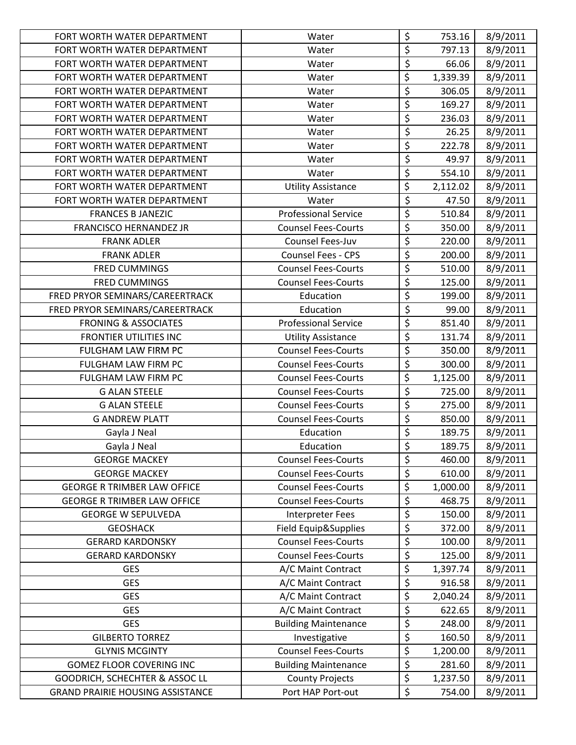| FORT WORTH WATER DEPARTMENT             | Water                       | \$                                  | 753.16   | 8/9/2011 |
|-----------------------------------------|-----------------------------|-------------------------------------|----------|----------|
| FORT WORTH WATER DEPARTMENT             | Water                       | $\overline{\xi}$                    | 797.13   | 8/9/2011 |
| FORT WORTH WATER DEPARTMENT             | Water                       | $\overline{\xi}$                    | 66.06    | 8/9/2011 |
| FORT WORTH WATER DEPARTMENT             | Water                       | \$                                  | 1,339.39 | 8/9/2011 |
| FORT WORTH WATER DEPARTMENT             | Water                       | $\overline{\xi}$                    | 306.05   | 8/9/2011 |
| FORT WORTH WATER DEPARTMENT             | Water                       | $\overline{\xi}$                    | 169.27   | 8/9/2011 |
| FORT WORTH WATER DEPARTMENT             | Water                       | $\overline{\xi}$                    | 236.03   | 8/9/2011 |
| FORT WORTH WATER DEPARTMENT             | Water                       | $\overline{\boldsymbol{\varsigma}}$ | 26.25    | 8/9/2011 |
| FORT WORTH WATER DEPARTMENT             | Water                       | $\overline{\xi}$                    | 222.78   | 8/9/2011 |
| FORT WORTH WATER DEPARTMENT             | Water                       | $\overline{\xi}$                    | 49.97    | 8/9/2011 |
| FORT WORTH WATER DEPARTMENT             | Water                       | $\overline{\xi}$                    | 554.10   | 8/9/2011 |
| FORT WORTH WATER DEPARTMENT             | <b>Utility Assistance</b>   | \$                                  | 2,112.02 | 8/9/2011 |
| FORT WORTH WATER DEPARTMENT             | Water                       | $\overline{\xi}$                    | 47.50    | 8/9/2011 |
| <b>FRANCES B JANEZIC</b>                | <b>Professional Service</b> | $\overline{\xi}$                    | 510.84   | 8/9/2011 |
| <b>FRANCISCO HERNANDEZ JR</b>           | <b>Counsel Fees-Courts</b>  | $\overline{\xi}$                    | 350.00   | 8/9/2011 |
| <b>FRANK ADLER</b>                      | Counsel Fees-Juv            | \$                                  | 220.00   | 8/9/2011 |
| <b>FRANK ADLER</b>                      | <b>Counsel Fees - CPS</b>   | $\overline{\varsigma}$              | 200.00   | 8/9/2011 |
| <b>FRED CUMMINGS</b>                    | <b>Counsel Fees-Courts</b>  | $\overline{\xi}$                    | 510.00   | 8/9/2011 |
| <b>FRED CUMMINGS</b>                    | <b>Counsel Fees-Courts</b>  | \$                                  | 125.00   | 8/9/2011 |
| FRED PRYOR SEMINARS/CAREERTRACK         | Education                   | $\overline{\xi}$                    | 199.00   | 8/9/2011 |
| FRED PRYOR SEMINARS/CAREERTRACK         | Education                   | $\overline{\xi}$                    | 99.00    | 8/9/2011 |
| <b>FRONING &amp; ASSOCIATES</b>         | <b>Professional Service</b> | $\overline{\xi}$                    | 851.40   | 8/9/2011 |
| FRONTIER UTILITIES INC                  | <b>Utility Assistance</b>   | \$                                  | 131.74   | 8/9/2011 |
| FULGHAM LAW FIRM PC                     | <b>Counsel Fees-Courts</b>  | $\overline{\xi}$                    | 350.00   | 8/9/2011 |
| FULGHAM LAW FIRM PC                     | <b>Counsel Fees-Courts</b>  | $\overline{\mathcal{S}}$            | 300.00   | 8/9/2011 |
| FULGHAM LAW FIRM PC                     | <b>Counsel Fees-Courts</b>  | \$                                  | 1,125.00 | 8/9/2011 |
| <b>G ALAN STEELE</b>                    | <b>Counsel Fees-Courts</b>  | $\overline{\xi}$                    | 725.00   | 8/9/2011 |
| <b>G ALAN STEELE</b>                    | <b>Counsel Fees-Courts</b>  | $\overline{\xi}$                    | 275.00   | 8/9/2011 |
| <b>G ANDREW PLATT</b>                   | <b>Counsel Fees-Courts</b>  | $\overline{\xi}$                    | 850.00   | 8/9/2011 |
| Gayla J Neal                            | Education                   | $\overline{\xi}$                    | 189.75   | 8/9/2011 |
| Gayla J Neal                            | Education                   | $\overline{\xi}$                    | 189.75   | 8/9/2011 |
| <b>GEORGE MACKEY</b>                    | <b>Counsel Fees-Courts</b>  | \$                                  | 460.00   | 8/9/2011 |
| <b>GEORGE MACKEY</b>                    | <b>Counsel Fees-Courts</b>  | \$                                  | 610.00   | 8/9/2011 |
| <b>GEORGE R TRIMBER LAW OFFICE</b>      | <b>Counsel Fees-Courts</b>  | \$                                  | 1,000.00 | 8/9/2011 |
| <b>GEORGE R TRIMBER LAW OFFICE</b>      | <b>Counsel Fees-Courts</b>  | \$                                  | 468.75   | 8/9/2011 |
| <b>GEORGE W SEPULVEDA</b>               | <b>Interpreter Fees</b>     | \$                                  | 150.00   | 8/9/2011 |
| <b>GEOSHACK</b>                         | Field Equip&Supplies        | \$                                  | 372.00   | 8/9/2011 |
| <b>GERARD KARDONSKY</b>                 | <b>Counsel Fees-Courts</b>  | \$                                  | 100.00   | 8/9/2011 |
| <b>GERARD KARDONSKY</b>                 | <b>Counsel Fees-Courts</b>  | $\overline{\xi}$                    | 125.00   | 8/9/2011 |
| <b>GES</b>                              | A/C Maint Contract          | \$                                  | 1,397.74 | 8/9/2011 |
| <b>GES</b>                              | A/C Maint Contract          | \$                                  | 916.58   | 8/9/2011 |
| <b>GES</b>                              | A/C Maint Contract          | \$                                  | 2,040.24 | 8/9/2011 |
| <b>GES</b>                              | A/C Maint Contract          | $\overline{\mathcal{L}}$            | 622.65   | 8/9/2011 |
| <b>GES</b>                              | <b>Building Maintenance</b> | \$                                  | 248.00   | 8/9/2011 |
| <b>GILBERTO TORREZ</b>                  | Investigative               | \$                                  | 160.50   | 8/9/2011 |
| <b>GLYNIS MCGINTY</b>                   | <b>Counsel Fees-Courts</b>  | $\overline{\xi}$                    | 1,200.00 | 8/9/2011 |
| <b>GOMEZ FLOOR COVERING INC</b>         | <b>Building Maintenance</b> | \$                                  | 281.60   | 8/9/2011 |
| GOODRICH, SCHECHTER & ASSOC LL          | <b>County Projects</b>      | \$                                  | 1,237.50 | 8/9/2011 |
| <b>GRAND PRAIRIE HOUSING ASSISTANCE</b> | Port HAP Port-out           | \$                                  | 754.00   | 8/9/2011 |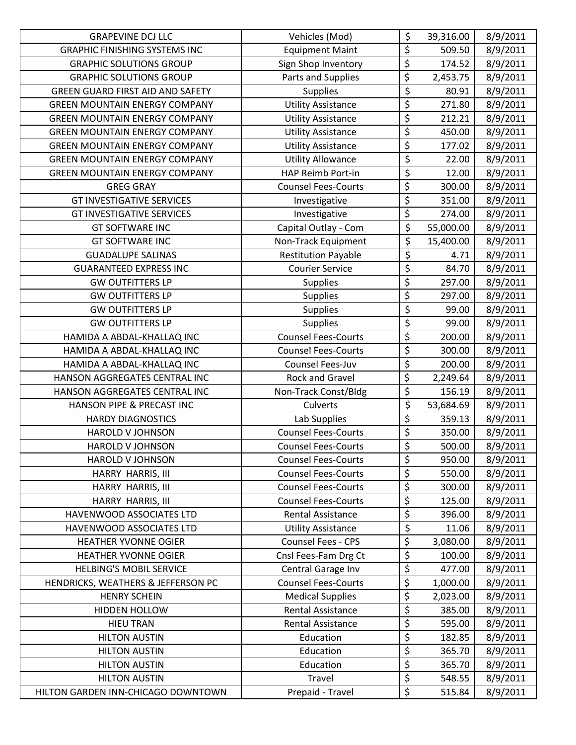| <b>GRAPEVINE DCJ LLC</b>                | Vehicles (Mod)             | \$                              | 39,316.00 | 8/9/2011 |
|-----------------------------------------|----------------------------|---------------------------------|-----------|----------|
| <b>GRAPHIC FINISHING SYSTEMS INC</b>    | <b>Equipment Maint</b>     | \$                              | 509.50    | 8/9/2011 |
| <b>GRAPHIC SOLUTIONS GROUP</b>          | Sign Shop Inventory        | \$                              | 174.52    | 8/9/2011 |
| <b>GRAPHIC SOLUTIONS GROUP</b>          | Parts and Supplies         | \$                              | 2,453.75  | 8/9/2011 |
| <b>GREEN GUARD FIRST AID AND SAFETY</b> | <b>Supplies</b>            | \$                              | 80.91     | 8/9/2011 |
| <b>GREEN MOUNTAIN ENERGY COMPANY</b>    | <b>Utility Assistance</b>  | \$                              | 271.80    | 8/9/2011 |
| <b>GREEN MOUNTAIN ENERGY COMPANY</b>    | <b>Utility Assistance</b>  | $\overline{\varsigma}$          | 212.21    | 8/9/2011 |
| <b>GREEN MOUNTAIN ENERGY COMPANY</b>    | <b>Utility Assistance</b>  | $\overline{\xi}$                | 450.00    | 8/9/2011 |
| <b>GREEN MOUNTAIN ENERGY COMPANY</b>    | <b>Utility Assistance</b>  | \$                              | 177.02    | 8/9/2011 |
| <b>GREEN MOUNTAIN ENERGY COMPANY</b>    | <b>Utility Allowance</b>   | $\overline{\varsigma}$          | 22.00     | 8/9/2011 |
| <b>GREEN MOUNTAIN ENERGY COMPANY</b>    | HAP Reimb Port-in          | $\overline{\xi}$                | 12.00     | 8/9/2011 |
| <b>GREG GRAY</b>                        | <b>Counsel Fees-Courts</b> | \$                              | 300.00    | 8/9/2011 |
| <b>GT INVESTIGATIVE SERVICES</b>        | Investigative              | \$                              | 351.00    | 8/9/2011 |
| <b>GT INVESTIGATIVE SERVICES</b>        | Investigative              | $\overline{\xi}$                | 274.00    | 8/9/2011 |
| <b>GT SOFTWARE INC</b>                  | Capital Outlay - Com       | \$                              | 55,000.00 | 8/9/2011 |
| <b>GT SOFTWARE INC</b>                  | Non-Track Equipment        | \$                              | 15,400.00 | 8/9/2011 |
| <b>GUADALUPE SALINAS</b>                | <b>Restitution Payable</b> | $\overline{\mathcal{L}}$        | 4.71      | 8/9/2011 |
| <b>GUARANTEED EXPRESS INC</b>           | <b>Courier Service</b>     | $\overline{\xi}$                | 84.70     | 8/9/2011 |
| <b>GW OUTFITTERS LP</b>                 | <b>Supplies</b>            | \$                              | 297.00    | 8/9/2011 |
| <b>GW OUTFITTERS LP</b>                 | <b>Supplies</b>            | \$                              | 297.00    | 8/9/2011 |
| <b>GW OUTFITTERS LP</b>                 | <b>Supplies</b>            | $\overline{\xi}$                | 99.00     | 8/9/2011 |
| <b>GW OUTFITTERS LP</b>                 | <b>Supplies</b>            | $\overline{\xi}$                | 99.00     | 8/9/2011 |
| HAMIDA A ABDAL-KHALLAQ INC              | <b>Counsel Fees-Courts</b> | \$                              | 200.00    | 8/9/2011 |
| HAMIDA A ABDAL-KHALLAQ INC              | <b>Counsel Fees-Courts</b> | $\overline{\boldsymbol{\zeta}}$ | 300.00    | 8/9/2011 |
| HAMIDA A ABDAL-KHALLAQ INC              | Counsel Fees-Juv           | \$                              | 200.00    | 8/9/2011 |
| HANSON AGGREGATES CENTRAL INC           | <b>Rock and Gravel</b>     | \$                              | 2,249.64  | 8/9/2011 |
| HANSON AGGREGATES CENTRAL INC           | Non-Track Const/Bldg       | \$                              | 156.19    | 8/9/2011 |
| HANSON PIPE & PRECAST INC               | Culverts                   | \$                              | 53,684.69 | 8/9/2011 |
| <b>HARDY DIAGNOSTICS</b>                | Lab Supplies               | \$                              | 359.13    | 8/9/2011 |
| <b>HAROLD V JOHNSON</b>                 | <b>Counsel Fees-Courts</b> | $\overline{\xi}$                | 350.00    | 8/9/2011 |
| <b>HAROLD V JOHNSON</b>                 | <b>Counsel Fees-Courts</b> | $\overline{\xi}$                | 500.00    | 8/9/2011 |
| HAROLD V JOHNSON                        | <b>Counsel Fees-Courts</b> | \$                              | 950.00    | 8/9/2011 |
| HARRY HARRIS, III                       | <b>Counsel Fees-Courts</b> | \$                              | 550.00    | 8/9/2011 |
| HARRY HARRIS, III                       | <b>Counsel Fees-Courts</b> | \$                              | 300.00    | 8/9/2011 |
| HARRY HARRIS, III                       | <b>Counsel Fees-Courts</b> | \$                              | 125.00    | 8/9/2011 |
| HAVENWOOD ASSOCIATES LTD                | <b>Rental Assistance</b>   | \$                              | 396.00    | 8/9/2011 |
| HAVENWOOD ASSOCIATES LTD                | <b>Utility Assistance</b>  | \$                              | 11.06     | 8/9/2011 |
| <b>HEATHER YVONNE OGIER</b>             | <b>Counsel Fees - CPS</b>  | \$                              | 3,080.00  | 8/9/2011 |
| <b>HEATHER YVONNE OGIER</b>             | Cnsl Fees-Fam Drg Ct       | \$                              | 100.00    | 8/9/2011 |
| <b>HELBING'S MOBIL SERVICE</b>          | Central Garage Inv         | \$                              | 477.00    | 8/9/2011 |
| HENDRICKS, WEATHERS & JEFFERSON PC      | <b>Counsel Fees-Courts</b> | \$                              | 1,000.00  | 8/9/2011 |
| <b>HENRY SCHEIN</b>                     | <b>Medical Supplies</b>    | \$                              | 2,023.00  | 8/9/2011 |
| HIDDEN HOLLOW                           | <b>Rental Assistance</b>   | $\overline{\varsigma}$          | 385.00    | 8/9/2011 |
| <b>HIEU TRAN</b>                        | <b>Rental Assistance</b>   | \$                              | 595.00    | 8/9/2011 |
| <b>HILTON AUSTIN</b>                    | Education                  | \$                              | 182.85    | 8/9/2011 |
| <b>HILTON AUSTIN</b>                    | Education                  | $\overline{\xi}$                | 365.70    | 8/9/2011 |
| <b>HILTON AUSTIN</b>                    | Education                  | \$                              | 365.70    | 8/9/2011 |
| <b>HILTON AUSTIN</b>                    | Travel                     | $\overline{\xi}$                | 548.55    | 8/9/2011 |
| HILTON GARDEN INN-CHICAGO DOWNTOWN      | Prepaid - Travel           | \$                              | 515.84    | 8/9/2011 |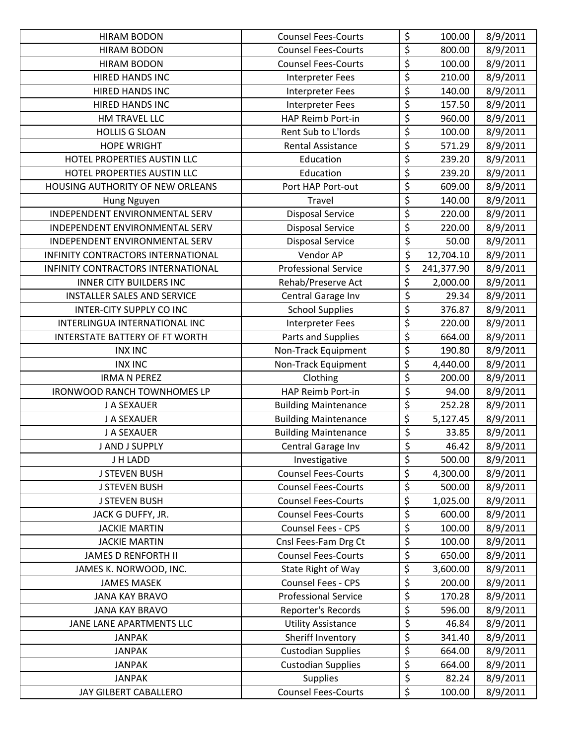| <b>HIRAM BODON</b>                 | <b>Counsel Fees-Courts</b>  | \$                             | 100.00     | 8/9/2011 |
|------------------------------------|-----------------------------|--------------------------------|------------|----------|
| <b>HIRAM BODON</b>                 | <b>Counsel Fees-Courts</b>  | \$                             | 800.00     | 8/9/2011 |
| <b>HIRAM BODON</b>                 | <b>Counsel Fees-Courts</b>  | \$                             | 100.00     | 8/9/2011 |
| <b>HIRED HANDS INC</b>             | Interpreter Fees            | \$                             | 210.00     | 8/9/2011 |
| <b>HIRED HANDS INC</b>             | Interpreter Fees            | \$                             | 140.00     | 8/9/2011 |
| <b>HIRED HANDS INC</b>             | <b>Interpreter Fees</b>     | \$                             | 157.50     | 8/9/2011 |
| HM TRAVEL LLC                      | HAP Reimb Port-in           | $\overline{\xi}$               | 960.00     | 8/9/2011 |
| <b>HOLLIS G SLOAN</b>              | Rent Sub to L'Iords         | \$                             | 100.00     | 8/9/2011 |
| <b>HOPE WRIGHT</b>                 | <b>Rental Assistance</b>    | \$                             | 571.29     | 8/9/2011 |
| HOTEL PROPERTIES AUSTIN LLC        | Education                   | \$                             | 239.20     | 8/9/2011 |
| HOTEL PROPERTIES AUSTIN LLC        | Education                   | \$                             | 239.20     | 8/9/2011 |
| HOUSING AUTHORITY OF NEW ORLEANS   | Port HAP Port-out           | \$                             | 609.00     | 8/9/2011 |
| Hung Nguyen                        | Travel                      | $\overline{\xi}$               | 140.00     | 8/9/2011 |
| INDEPENDENT ENVIRONMENTAL SERV     | <b>Disposal Service</b>     | \$                             | 220.00     | 8/9/2011 |
| INDEPENDENT ENVIRONMENTAL SERV     | <b>Disposal Service</b>     | \$                             | 220.00     | 8/9/2011 |
| INDEPENDENT ENVIRONMENTAL SERV     | <b>Disposal Service</b>     | $\overline{\xi}$               | 50.00      | 8/9/2011 |
| INFINITY CONTRACTORS INTERNATIONAL | Vendor AP                   | \$                             | 12,704.10  | 8/9/2011 |
| INFINITY CONTRACTORS INTERNATIONAL | <b>Professional Service</b> | \$                             | 241,377.90 | 8/9/2011 |
| <b>INNER CITY BUILDERS INC</b>     | Rehab/Preserve Act          | \$                             | 2,000.00   | 8/9/2011 |
| <b>INSTALLER SALES AND SERVICE</b> | Central Garage Inv          | \$                             | 29.34      | 8/9/2011 |
| INTER-CITY SUPPLY CO INC           | <b>School Supplies</b>      | $\overline{\xi}$               | 376.87     | 8/9/2011 |
| INTERLINGUA INTERNATIONAL INC      | <b>Interpreter Fees</b>     | $\overline{\xi}$               | 220.00     | 8/9/2011 |
| INTERSTATE BATTERY OF FT WORTH     | Parts and Supplies          | \$                             | 664.00     | 8/9/2011 |
| <b>INX INC</b>                     | Non-Track Equipment         | \$                             | 190.80     | 8/9/2011 |
| <b>INX INC</b>                     | Non-Track Equipment         | \$                             | 4,440.00   | 8/9/2011 |
| <b>IRMA N PEREZ</b>                | Clothing                    | \$                             | 200.00     | 8/9/2011 |
| <b>IRONWOOD RANCH TOWNHOMES LP</b> | HAP Reimb Port-in           | $\overline{\xi}$               | 94.00      | 8/9/2011 |
| J A SEXAUER                        | <b>Building Maintenance</b> | $\overline{\xi}$               | 252.28     | 8/9/2011 |
| J A SEXAUER                        | <b>Building Maintenance</b> | \$                             | 5,127.45   | 8/9/2011 |
| J A SEXAUER                        | <b>Building Maintenance</b> | $\boldsymbol{\dot{\varsigma}}$ | 33.85      | 8/9/2011 |
| J AND J SUPPLY                     | Central Garage Inv          | $\overline{\xi}$               | 46.42      | 8/9/2011 |
| J H LADD                           | Investigative               | \$                             | 500.00     | 8/9/2011 |
| <b>J STEVEN BUSH</b>               | <b>Counsel Fees-Courts</b>  | \$                             | 4,300.00   | 8/9/2011 |
| <b>J STEVEN BUSH</b>               | <b>Counsel Fees-Courts</b>  | \$                             | 500.00     | 8/9/2011 |
| <b>J STEVEN BUSH</b>               | <b>Counsel Fees-Courts</b>  | \$                             | 1,025.00   | 8/9/2011 |
| JACK G DUFFY, JR.                  | <b>Counsel Fees-Courts</b>  | \$                             | 600.00     | 8/9/2011 |
| <b>JACKIE MARTIN</b>               | Counsel Fees - CPS          | \$                             | 100.00     | 8/9/2011 |
| <b>JACKIE MARTIN</b>               | Cnsl Fees-Fam Drg Ct        | \$                             | 100.00     | 8/9/2011 |
| <b>JAMES D RENFORTH II</b>         | <b>Counsel Fees-Courts</b>  | \$                             | 650.00     | 8/9/2011 |
| JAMES K. NORWOOD, INC.             | State Right of Way          | \$                             | 3,600.00   | 8/9/2011 |
| <b>JAMES MASEK</b>                 | Counsel Fees - CPS          | \$                             | 200.00     | 8/9/2011 |
| <b>JANA KAY BRAVO</b>              | <b>Professional Service</b> | \$                             | 170.28     | 8/9/2011 |
| <b>JANA KAY BRAVO</b>              | Reporter's Records          | \$                             | 596.00     | 8/9/2011 |
| JANE LANE APARTMENTS LLC           | <b>Utility Assistance</b>   | $\overline{\xi}$               | 46.84      | 8/9/2011 |
| <b>JANPAK</b>                      | Sheriff Inventory           | \$                             | 341.40     | 8/9/2011 |
| <b>JANPAK</b>                      | <b>Custodian Supplies</b>   | \$                             | 664.00     | 8/9/2011 |
| <b>JANPAK</b>                      | <b>Custodian Supplies</b>   | \$                             | 664.00     | 8/9/2011 |
| <b>JANPAK</b>                      | <b>Supplies</b>             | $\boldsymbol{\dot{\varsigma}}$ | 82.24      | 8/9/2011 |
| JAY GILBERT CABALLERO              | <b>Counsel Fees-Courts</b>  | \$                             | 100.00     | 8/9/2011 |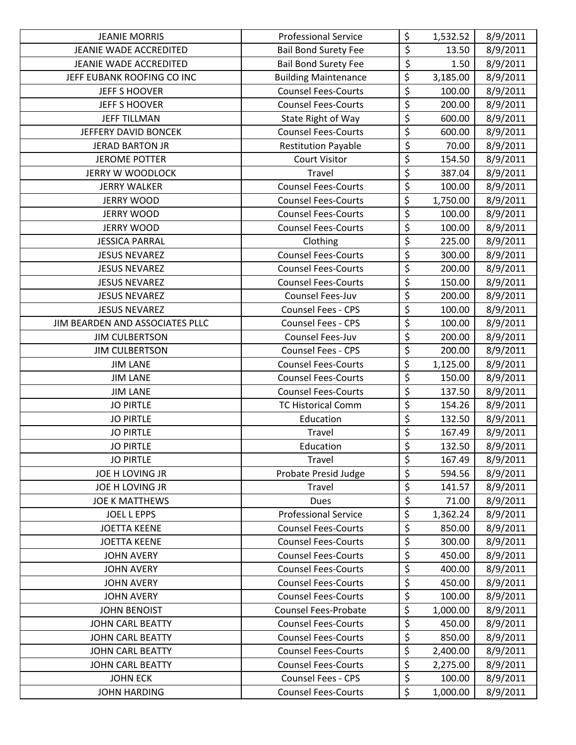| <b>JEANIE MORRIS</b>            | <b>Professional Service</b> | \$                                  | 1,532.52 | 8/9/2011 |
|---------------------------------|-----------------------------|-------------------------------------|----------|----------|
| JEANIE WADE ACCREDITED          | <b>Bail Bond Surety Fee</b> | \$                                  | 13.50    | 8/9/2011 |
| JEANIE WADE ACCREDITED          | <b>Bail Bond Surety Fee</b> | $\overline{\boldsymbol{\varsigma}}$ | 1.50     | 8/9/2011 |
| JEFF EUBANK ROOFING CO INC      | <b>Building Maintenance</b> | $\overline{\xi}$                    | 3,185.00 | 8/9/2011 |
| <b>JEFF S HOOVER</b>            | <b>Counsel Fees-Courts</b>  | $\overline{\xi}$                    | 100.00   | 8/9/2011 |
| <b>JEFF S HOOVER</b>            | <b>Counsel Fees-Courts</b>  | $\overline{\xi}$                    | 200.00   | 8/9/2011 |
| <b>JEFF TILLMAN</b>             | State Right of Way          | $\overline{\varsigma}$              | 600.00   | 8/9/2011 |
| JEFFERY DAVID BONCEK            | <b>Counsel Fees-Courts</b>  | $\overline{\xi}$                    | 600.00   | 8/9/2011 |
| <b>JERAD BARTON JR</b>          | <b>Restitution Payable</b>  | \$                                  | 70.00    | 8/9/2011 |
| <b>JEROME POTTER</b>            | <b>Court Visitor</b>        | \$                                  | 154.50   | 8/9/2011 |
| <b>JERRY W WOODLOCK</b>         | Travel                      | $\overline{\xi}$                    | 387.04   | 8/9/2011 |
| <b>JERRY WALKER</b>             | <b>Counsel Fees-Courts</b>  | $\overline{\xi}$                    | 100.00   | 8/9/2011 |
| <b>JERRY WOOD</b>               | <b>Counsel Fees-Courts</b>  | \$                                  | 1,750.00 | 8/9/2011 |
| <b>JERRY WOOD</b>               | <b>Counsel Fees-Courts</b>  | $\overline{\boldsymbol{\zeta}}$     | 100.00   | 8/9/2011 |
| <b>JERRY WOOD</b>               | <b>Counsel Fees-Courts</b>  | \$                                  | 100.00   | 8/9/2011 |
| <b>JESSICA PARRAL</b>           | Clothing                    | \$                                  | 225.00   | 8/9/2011 |
| <b>JESUS NEVAREZ</b>            | <b>Counsel Fees-Courts</b>  | \$                                  | 300.00   | 8/9/2011 |
| <b>JESUS NEVAREZ</b>            | <b>Counsel Fees-Courts</b>  | $\overline{\varsigma}$              | 200.00   | 8/9/2011 |
| <b>JESUS NEVAREZ</b>            | <b>Counsel Fees-Courts</b>  | $\overline{\xi}$                    | 150.00   | 8/9/2011 |
| <b>JESUS NEVAREZ</b>            | Counsel Fees-Juv            | \$                                  | 200.00   | 8/9/2011 |
| <b>JESUS NEVAREZ</b>            | Counsel Fees - CPS          | $\overline{\boldsymbol{\zeta}}$     | 100.00   | 8/9/2011 |
| JIM BEARDEN AND ASSOCIATES PLLC | Counsel Fees - CPS          | \$                                  | 100.00   | 8/9/2011 |
| <b>JIM CULBERTSON</b>           | Counsel Fees-Juv            | \$                                  | 200.00   | 8/9/2011 |
| <b>JIM CULBERTSON</b>           | <b>Counsel Fees - CPS</b>   | $\overline{\boldsymbol{\zeta}}$     | 200.00   | 8/9/2011 |
| <b>JIM LANE</b>                 | <b>Counsel Fees-Courts</b>  | $\overline{\xi}$                    | 1,125.00 | 8/9/2011 |
| <b>JIM LANE</b>                 | <b>Counsel Fees-Courts</b>  | \$                                  | 150.00   | 8/9/2011 |
| <b>JIM LANE</b>                 | <b>Counsel Fees-Courts</b>  | \$                                  | 137.50   | 8/9/2011 |
| <b>JO PIRTLE</b>                | <b>TC Historical Comm</b>   | \$                                  | 154.26   | 8/9/2011 |
| <b>JO PIRTLE</b>                | Education                   | $\overline{\xi}$                    | 132.50   | 8/9/2011 |
| <b>JO PIRTLE</b>                | Travel                      | \$                                  | 167.49   | 8/9/2011 |
| <b>JO PIRTLE</b>                | Education                   | $\overline{\xi}$                    | 132.50   | 8/9/2011 |
| <b>JO PIRTLE</b>                | Travel                      | \$                                  | 167.49   | 8/9/2011 |
| JOE H LOVING JR                 | Probate Presid Judge        | \$                                  | 594.56   | 8/9/2011 |
| JOE H LOVING JR                 | Travel                      | $\overline{\xi}$                    | 141.57   | 8/9/2011 |
| <b>JOE K MATTHEWS</b>           | <b>Dues</b>                 | \$                                  | 71.00    | 8/9/2011 |
| <b>JOEL L EPPS</b>              | <b>Professional Service</b> | \$                                  | 1,362.24 | 8/9/2011 |
| <b>JOETTA KEENE</b>             | <b>Counsel Fees-Courts</b>  | \$                                  | 850.00   | 8/9/2011 |
| <b>JOETTA KEENE</b>             | <b>Counsel Fees-Courts</b>  | \$                                  | 300.00   | 8/9/2011 |
| <b>JOHN AVERY</b>               | <b>Counsel Fees-Courts</b>  | $\overline{\varsigma}$              | 450.00   | 8/9/2011 |
| <b>JOHN AVERY</b>               | <b>Counsel Fees-Courts</b>  | $\overline{\xi}$                    | 400.00   | 8/9/2011 |
| <b>JOHN AVERY</b>               | <b>Counsel Fees-Courts</b>  | \$                                  | 450.00   | 8/9/2011 |
| <b>JOHN AVERY</b>               | <b>Counsel Fees-Courts</b>  | \$                                  | 100.00   | 8/9/2011 |
| <b>JOHN BENOIST</b>             | <b>Counsel Fees-Probate</b> | \$                                  | 1,000.00 | 8/9/2011 |
| <b>JOHN CARL BEATTY</b>         | <b>Counsel Fees-Courts</b>  | \$                                  | 450.00   | 8/9/2011 |
| <b>JOHN CARL BEATTY</b>         | <b>Counsel Fees-Courts</b>  | \$                                  | 850.00   | 8/9/2011 |
| <b>JOHN CARL BEATTY</b>         | <b>Counsel Fees-Courts</b>  | \$                                  | 2,400.00 | 8/9/2011 |
| <b>JOHN CARL BEATTY</b>         | <b>Counsel Fees-Courts</b>  | \$                                  | 2,275.00 | 8/9/2011 |
| <b>JOHN ECK</b>                 | <b>Counsel Fees - CPS</b>   | \$                                  | 100.00   | 8/9/2011 |
| <b>JOHN HARDING</b>             | <b>Counsel Fees-Courts</b>  | \$                                  | 1,000.00 | 8/9/2011 |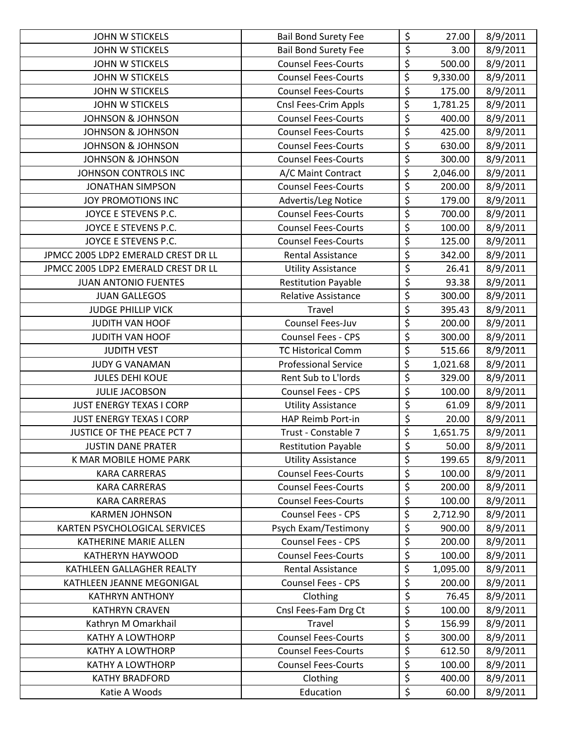| <b>JOHN W STICKELS</b>              | <b>Bail Bond Surety Fee</b> | \$                                  | 27.00    | 8/9/2011 |
|-------------------------------------|-----------------------------|-------------------------------------|----------|----------|
| <b>JOHN W STICKELS</b>              | <b>Bail Bond Surety Fee</b> | \$                                  | 3.00     | 8/9/2011 |
| JOHN W STICKELS                     | <b>Counsel Fees-Courts</b>  | \$                                  | 500.00   | 8/9/2011 |
| <b>JOHN W STICKELS</b>              | <b>Counsel Fees-Courts</b>  | \$                                  | 9,330.00 | 8/9/2011 |
| <b>JOHN W STICKELS</b>              | <b>Counsel Fees-Courts</b>  | $\overline{\xi}$                    | 175.00   | 8/9/2011 |
| <b>JOHN W STICKELS</b>              | Cnsl Fees-Crim Appls        | \$                                  | 1,781.25 | 8/9/2011 |
| <b>JOHNSON &amp; JOHNSON</b>        | <b>Counsel Fees-Courts</b>  | $\overline{\mathsf{S}}$             | 400.00   | 8/9/2011 |
| <b>JOHNSON &amp; JOHNSON</b>        | <b>Counsel Fees-Courts</b>  | $\overline{\xi}$                    | 425.00   | 8/9/2011 |
| <b>JOHNSON &amp; JOHNSON</b>        | <b>Counsel Fees-Courts</b>  | \$                                  | 630.00   | 8/9/2011 |
| <b>JOHNSON &amp; JOHNSON</b>        | <b>Counsel Fees-Courts</b>  | \$                                  | 300.00   | 8/9/2011 |
| JOHNSON CONTROLS INC                | A/C Maint Contract          | $\overline{\xi}$                    | 2,046.00 | 8/9/2011 |
| <b>JONATHAN SIMPSON</b>             | <b>Counsel Fees-Courts</b>  | $\overline{\xi}$                    | 200.00   | 8/9/2011 |
| JOY PROMOTIONS INC                  | Advertis/Leg Notice         | \$                                  | 179.00   | 8/9/2011 |
| JOYCE E STEVENS P.C.                | <b>Counsel Fees-Courts</b>  | \$                                  | 700.00   | 8/9/2011 |
| JOYCE E STEVENS P.C.                | <b>Counsel Fees-Courts</b>  | $\overline{\xi}$                    | 100.00   | 8/9/2011 |
| JOYCE E STEVENS P.C.                | <b>Counsel Fees-Courts</b>  | \$                                  | 125.00   | 8/9/2011 |
| JPMCC 2005 LDP2 EMERALD CREST DR LL | <b>Rental Assistance</b>    | \$                                  | 342.00   | 8/9/2011 |
| JPMCC 2005 LDP2 EMERALD CREST DR LL | <b>Utility Assistance</b>   | $\overline{\xi}$                    | 26.41    | 8/9/2011 |
| <b>JUAN ANTONIO FUENTES</b>         | <b>Restitution Payable</b>  | $\overline{\xi}$                    | 93.38    | 8/9/2011 |
| <b>JUAN GALLEGOS</b>                | Relative Assistance         | $\overline{\xi}$                    | 300.00   | 8/9/2011 |
| <b>JUDGE PHILLIP VICK</b>           | Travel                      | \$                                  | 395.43   | 8/9/2011 |
| JUDITH VAN HOOF                     | Counsel Fees-Juv            | $\overline{\xi}$                    | 200.00   | 8/9/2011 |
| JUDITH VAN HOOF                     | <b>Counsel Fees - CPS</b>   | $\overline{\xi}$                    | 300.00   | 8/9/2011 |
| <b>JUDITH VEST</b>                  | <b>TC Historical Comm</b>   | $\overline{\boldsymbol{\xi}}$       | 515.66   | 8/9/2011 |
| JUDY G VANAMAN                      | <b>Professional Service</b> | $\overline{\xi}$                    | 1,021.68 | 8/9/2011 |
| <b>JULES DEHI KOUE</b>              | Rent Sub to L'Iords         | \$                                  | 329.00   | 8/9/2011 |
| <b>JULIE JACOBSON</b>               | <b>Counsel Fees - CPS</b>   | \$                                  | 100.00   | 8/9/2011 |
| <b>JUST ENERGY TEXAS I CORP</b>     | <b>Utility Assistance</b>   | $\overline{\xi}$                    | 61.09    | 8/9/2011 |
| JUST ENERGY TEXAS I CORP            | HAP Reimb Port-in           | $\overline{\boldsymbol{\varsigma}}$ | 20.00    | 8/9/2011 |
| <b>JUSTICE OF THE PEACE PCT 7</b>   | Trust - Constable 7         | \$                                  | 1,651.75 | 8/9/2011 |
| <b>JUSTIN DANE PRATER</b>           | <b>Restitution Payable</b>  | $\overline{\xi}$                    | 50.00    | 8/9/2011 |
| K MAR MOBILE HOME PARK              | <b>Utility Assistance</b>   | \$                                  | 199.65   | 8/9/2011 |
| <b>KARA CARRERAS</b>                | <b>Counsel Fees-Courts</b>  | \$                                  | 100.00   | 8/9/2011 |
| <b>KARA CARRERAS</b>                | <b>Counsel Fees-Courts</b>  | \$                                  | 200.00   | 8/9/2011 |
| <b>KARA CARRERAS</b>                | <b>Counsel Fees-Courts</b>  | $\overline{\boldsymbol{\zeta}}$     | 100.00   | 8/9/2011 |
| <b>KARMEN JOHNSON</b>               | <b>Counsel Fees - CPS</b>   | \$                                  | 2,712.90 | 8/9/2011 |
| KARTEN PSYCHOLOGICAL SERVICES       | Psych Exam/Testimony        | \$                                  | 900.00   | 8/9/2011 |
| <b>KATHERINE MARIE ALLEN</b>        | <b>Counsel Fees - CPS</b>   | \$                                  | 200.00   | 8/9/2011 |
| KATHERYN HAYWOOD                    | <b>Counsel Fees-Courts</b>  | \$                                  | 100.00   | 8/9/2011 |
| KATHLEEN GALLAGHER REALTY           | Rental Assistance           | \$                                  | 1,095.00 | 8/9/2011 |
| KATHLEEN JEANNE MEGONIGAL           | <b>Counsel Fees - CPS</b>   | \$                                  | 200.00   | 8/9/2011 |
| <b>KATHRYN ANTHONY</b>              | Clothing                    | \$                                  | 76.45    | 8/9/2011 |
| <b>KATHRYN CRAVEN</b>               | Cnsl Fees-Fam Drg Ct        | \$                                  | 100.00   | 8/9/2011 |
| Kathryn M Omarkhail                 | Travel                      | \$                                  | 156.99   | 8/9/2011 |
| KATHY A LOWTHORP                    | <b>Counsel Fees-Courts</b>  | \$                                  | 300.00   | 8/9/2011 |
| <b>KATHY A LOWTHORP</b>             | <b>Counsel Fees-Courts</b>  | \$                                  | 612.50   | 8/9/2011 |
| <b>KATHY A LOWTHORP</b>             | <b>Counsel Fees-Courts</b>  | \$                                  | 100.00   | 8/9/2011 |
| <b>KATHY BRADFORD</b>               | Clothing                    | \$                                  | 400.00   | 8/9/2011 |
| Katie A Woods                       | Education                   | \$                                  | 60.00    | 8/9/2011 |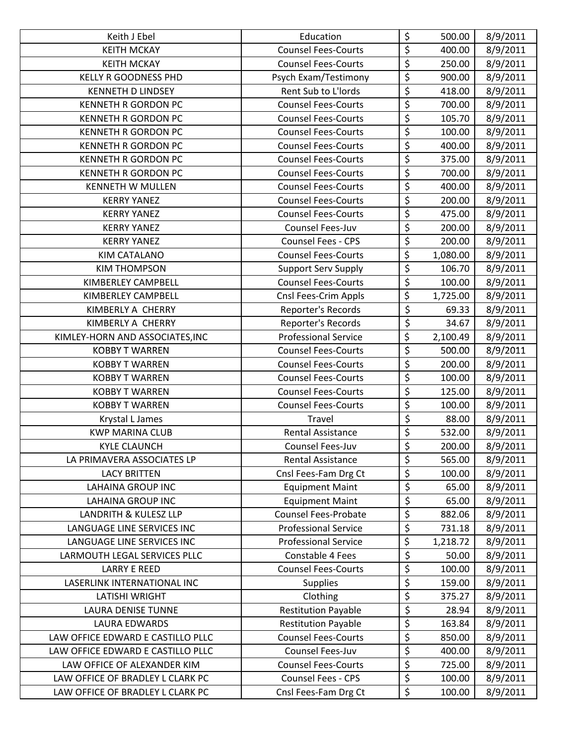| Keith J Ebel                      | Education                   | \$                              | 500.00   | 8/9/2011 |
|-----------------------------------|-----------------------------|---------------------------------|----------|----------|
| <b>KEITH MCKAY</b>                | <b>Counsel Fees-Courts</b>  | $\overline{\xi}$                | 400.00   | 8/9/2011 |
| <b>KEITH MCKAY</b>                | <b>Counsel Fees-Courts</b>  | \$                              | 250.00   | 8/9/2011 |
| <b>KELLY R GOODNESS PHD</b>       | Psych Exam/Testimony        | $\overline{\xi}$                | 900.00   | 8/9/2011 |
| <b>KENNETH D LINDSEY</b>          | Rent Sub to L'Iords         | \$                              | 418.00   | 8/9/2011 |
| <b>KENNETH R GORDON PC</b>        | <b>Counsel Fees-Courts</b>  | $\overline{\xi}$                | 700.00   | 8/9/2011 |
| <b>KENNETH R GORDON PC</b>        | <b>Counsel Fees-Courts</b>  | \$                              | 105.70   | 8/9/2011 |
| <b>KENNETH R GORDON PC</b>        | <b>Counsel Fees-Courts</b>  | $\overline{\xi}$                | 100.00   | 8/9/2011 |
| <b>KENNETH R GORDON PC</b>        | <b>Counsel Fees-Courts</b>  | \$                              | 400.00   | 8/9/2011 |
| <b>KENNETH R GORDON PC</b>        | <b>Counsel Fees-Courts</b>  | \$                              | 375.00   | 8/9/2011 |
| <b>KENNETH R GORDON PC</b>        | <b>Counsel Fees-Courts</b>  | $\overline{\varsigma}$          | 700.00   | 8/9/2011 |
| <b>KENNETH W MULLEN</b>           | <b>Counsel Fees-Courts</b>  | $\overline{\xi}$                | 400.00   | 8/9/2011 |
| <b>KERRY YANEZ</b>                | <b>Counsel Fees-Courts</b>  | \$                              | 200.00   | 8/9/2011 |
| <b>KERRY YANEZ</b>                | <b>Counsel Fees-Courts</b>  | \$                              | 475.00   | 8/9/2011 |
| <b>KERRY YANEZ</b>                | Counsel Fees-Juv            | $\overline{\xi}$                | 200.00   | 8/9/2011 |
| <b>KERRY YANEZ</b>                | <b>Counsel Fees - CPS</b>   | \$                              | 200.00   | 8/9/2011 |
| KIM CATALANO                      | <b>Counsel Fees-Courts</b>  | \$                              | 1,080.00 | 8/9/2011 |
| <b>KIM THOMPSON</b>               | Support Serv Supply         | \$                              | 106.70   | 8/9/2011 |
| KIMBERLEY CAMPBELL                | <b>Counsel Fees-Courts</b>  | $\overline{\xi}$                | 100.00   | 8/9/2011 |
| KIMBERLEY CAMPBELL                | Cnsl Fees-Crim Appls        | \$                              | 1,725.00 | 8/9/2011 |
| KIMBERLY A CHERRY                 | Reporter's Records          | $\overline{\xi}$                | 69.33    | 8/9/2011 |
| KIMBERLY A CHERRY                 | Reporter's Records          | $\overline{\xi}$                | 34.67    | 8/9/2011 |
| KIMLEY-HORN AND ASSOCIATES, INC   | <b>Professional Service</b> | $\overline{\xi}$                | 2,100.49 | 8/9/2011 |
| <b>KOBBY T WARREN</b>             | <b>Counsel Fees-Courts</b>  | $\overline{\boldsymbol{\zeta}}$ | 500.00   | 8/9/2011 |
| <b>KOBBY T WARREN</b>             | <b>Counsel Fees-Courts</b>  | $\overline{\xi}$                | 200.00   | 8/9/2011 |
| <b>KOBBY T WARREN</b>             | <b>Counsel Fees-Courts</b>  | \$                              | 100.00   | 8/9/2011 |
| <b>KOBBY T WARREN</b>             | <b>Counsel Fees-Courts</b>  | \$                              | 125.00   | 8/9/2011 |
| <b>KOBBY T WARREN</b>             | <b>Counsel Fees-Courts</b>  | $\overline{\boldsymbol{\zeta}}$ | 100.00   | 8/9/2011 |
| Krystal L James                   | Travel                      | $\overline{\xi}$                | 88.00    | 8/9/2011 |
| <b>KWP MARINA CLUB</b>            | <b>Rental Assistance</b>    | $\overline{\xi}$                | 532.00   | 8/9/2011 |
| <b>KYLE CLAUNCH</b>               | Counsel Fees-Juv            | $\overline{\xi}$                | 200.00   | 8/9/2011 |
| LA PRIMAVERA ASSOCIATES LP        | <b>Rental Assistance</b>    | \$                              | 565.00   | 8/9/2011 |
| <b>LACY BRITTEN</b>               | Cnsl Fees-Fam Drg Ct        | \$                              | 100.00   | 8/9/2011 |
| <b>LAHAINA GROUP INC</b>          | <b>Equipment Maint</b>      | \$                              | 65.00    | 8/9/2011 |
| <b>LAHAINA GROUP INC</b>          | <b>Equipment Maint</b>      | $\overline{\varsigma}$          | 65.00    | 8/9/2011 |
| LANDRITH & KULESZ LLP             | <b>Counsel Fees-Probate</b> | $\overline{\boldsymbol{\zeta}}$ | 882.06   | 8/9/2011 |
| LANGUAGE LINE SERVICES INC        | <b>Professional Service</b> | \$                              | 731.18   | 8/9/2011 |
| LANGUAGE LINE SERVICES INC        | <b>Professional Service</b> | \$                              | 1,218.72 | 8/9/2011 |
| LARMOUTH LEGAL SERVICES PLLC      | Constable 4 Fees            | $\overline{\xi}$                | 50.00    | 8/9/2011 |
| <b>LARRY E REED</b>               | <b>Counsel Fees-Courts</b>  | \$                              | 100.00   | 8/9/2011 |
| LASERLINK INTERNATIONAL INC       | <b>Supplies</b>             | \$                              | 159.00   | 8/9/2011 |
| LATISHI WRIGHT                    | Clothing                    | \$                              | 375.27   | 8/9/2011 |
| <b>LAURA DENISE TUNNE</b>         | <b>Restitution Payable</b>  | $\overline{\mathcal{L}}$        | 28.94    | 8/9/2011 |
| LAURA EDWARDS                     | <b>Restitution Payable</b>  | \$                              | 163.84   | 8/9/2011 |
| LAW OFFICE EDWARD E CASTILLO PLLC | <b>Counsel Fees-Courts</b>  | \$                              | 850.00   | 8/9/2011 |
| LAW OFFICE EDWARD E CASTILLO PLLC | Counsel Fees-Juv            | \$                              | 400.00   | 8/9/2011 |
| LAW OFFICE OF ALEXANDER KIM       | <b>Counsel Fees-Courts</b>  | \$                              | 725.00   | 8/9/2011 |
| LAW OFFICE OF BRADLEY L CLARK PC  | Counsel Fees - CPS          | \$                              | 100.00   | 8/9/2011 |
| LAW OFFICE OF BRADLEY L CLARK PC  | Cnsl Fees-Fam Drg Ct        | \$                              | 100.00   | 8/9/2011 |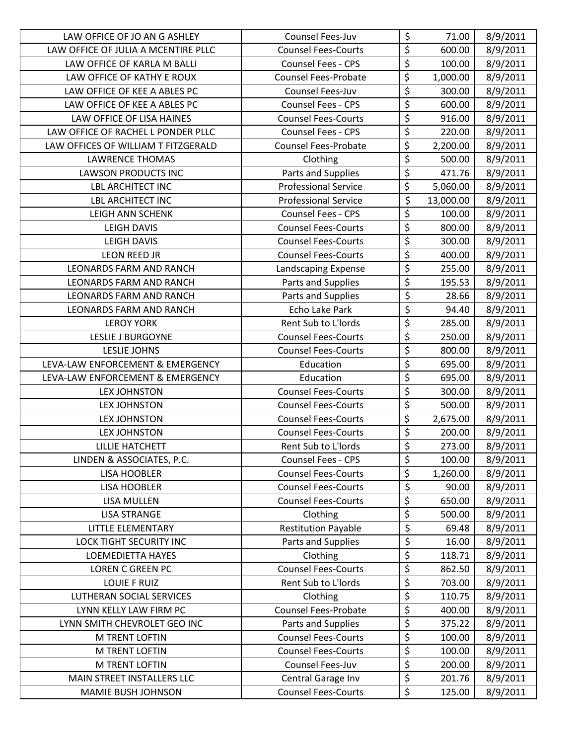| LAW OFFICE OF JO AN G ASHLEY        | Counsel Fees-Juv            | \$                                  | 71.00     | 8/9/2011 |
|-------------------------------------|-----------------------------|-------------------------------------|-----------|----------|
| LAW OFFICE OF JULIA A MCENTIRE PLLC | <b>Counsel Fees-Courts</b>  | \$                                  | 600.00    | 8/9/2011 |
| LAW OFFICE OF KARLA M BALLI         | <b>Counsel Fees - CPS</b>   | $\overline{\xi}$                    | 100.00    | 8/9/2011 |
| LAW OFFICE OF KATHY E ROUX          | <b>Counsel Fees-Probate</b> | \$                                  | 1,000.00  | 8/9/2011 |
| LAW OFFICE OF KEE A ABLES PC        | Counsel Fees-Juv            | \$                                  | 300.00    | 8/9/2011 |
| LAW OFFICE OF KEE A ABLES PC        | Counsel Fees - CPS          | \$                                  | 600.00    | 8/9/2011 |
| LAW OFFICE OF LISA HAINES           | <b>Counsel Fees-Courts</b>  | \$                                  | 916.00    | 8/9/2011 |
| LAW OFFICE OF RACHEL L PONDER PLLC  | <b>Counsel Fees - CPS</b>   | $\overline{\xi}$                    | 220.00    | 8/9/2011 |
| LAW OFFICES OF WILLIAM T FITZGERALD | Counsel Fees-Probate        | \$                                  | 2,200.00  | 8/9/2011 |
| <b>LAWRENCE THOMAS</b>              | Clothing                    | $\overline{\mathcal{L}}$            | 500.00    | 8/9/2011 |
| <b>LAWSON PRODUCTS INC</b>          | Parts and Supplies          | $\overline{\xi}$                    | 471.76    | 8/9/2011 |
| <b>LBL ARCHITECT INC</b>            | <b>Professional Service</b> | \$                                  | 5,060.00  | 8/9/2011 |
| <b>LBL ARCHITECT INC</b>            | <b>Professional Service</b> | \$                                  | 13,000.00 | 8/9/2011 |
| <b>LEIGH ANN SCHENK</b>             | Counsel Fees - CPS          | $\overline{\xi}$                    | 100.00    | 8/9/2011 |
| <b>LEIGH DAVIS</b>                  | <b>Counsel Fees-Courts</b>  | $\overline{\xi}$                    | 800.00    | 8/9/2011 |
| <b>LEIGH DAVIS</b>                  | <b>Counsel Fees-Courts</b>  | $\overline{\xi}$                    | 300.00    | 8/9/2011 |
| <b>LEON REED JR</b>                 | <b>Counsel Fees-Courts</b>  | $\overline{\xi}$                    | 400.00    | 8/9/2011 |
| LEONARDS FARM AND RANCH             | Landscaping Expense         | $\overline{\mathcal{L}}$            | 255.00    | 8/9/2011 |
| <b>LEONARDS FARM AND RANCH</b>      | Parts and Supplies          | $\overline{\xi}$                    | 195.53    | 8/9/2011 |
| LEONARDS FARM AND RANCH             | Parts and Supplies          | $\overline{\xi}$                    | 28.66     | 8/9/2011 |
| LEONARDS FARM AND RANCH             | Echo Lake Park              | $\overline{\xi}$                    | 94.40     | 8/9/2011 |
| <b>LEROY YORK</b>                   | Rent Sub to L'Iords         | $\overline{\xi}$                    | 285.00    | 8/9/2011 |
| <b>LESLIE J BURGOYNE</b>            | <b>Counsel Fees-Courts</b>  | $\overline{\xi}$                    | 250.00    | 8/9/2011 |
| <b>LESLIE JOHNS</b>                 | <b>Counsel Fees-Courts</b>  | \$                                  | 800.00    | 8/9/2011 |
| LEVA-LAW ENFORCEMENT & EMERGENCY    | Education                   | $\overline{\xi}$                    | 695.00    | 8/9/2011 |
| LEVA-LAW ENFORCEMENT & EMERGENCY    | Education                   | $\overline{\xi}$                    | 695.00    | 8/9/2011 |
| <b>LEX JOHNSTON</b>                 | <b>Counsel Fees-Courts</b>  | \$                                  | 300.00    | 8/9/2011 |
| <b>LEX JOHNSTON</b>                 | <b>Counsel Fees-Courts</b>  | $\overline{\xi}$                    | 500.00    | 8/9/2011 |
| <b>LEX JOHNSTON</b>                 | <b>Counsel Fees-Courts</b>  | $\overline{\xi}$                    | 2,675.00  | 8/9/2011 |
| <b>LEX JOHNSTON</b>                 | <b>Counsel Fees-Courts</b>  | \$                                  | 200.00    | 8/9/2011 |
| <b>LILLIE HATCHETT</b>              | Rent Sub to L'Iords         | \$                                  | 273.00    | 8/9/2011 |
| LINDEN & ASSOCIATES, P.C.           | <b>Counsel Fees - CPS</b>   | \$                                  | 100.00    | 8/9/2011 |
| <b>LISA HOOBLER</b>                 | <b>Counsel Fees-Courts</b>  | \$                                  | 1,260.00  | 8/9/2011 |
| <b>LISA HOOBLER</b>                 | <b>Counsel Fees-Courts</b>  | $\boldsymbol{\dot{\varsigma}}$      | 90.00     | 8/9/2011 |
| LISA MULLEN                         | <b>Counsel Fees-Courts</b>  | \$                                  | 650.00    | 8/9/2011 |
| <b>LISA STRANGE</b>                 | Clothing                    | $\overline{\mathcal{L}}$            | 500.00    | 8/9/2011 |
| LITTLE ELEMENTARY                   | <b>Restitution Payable</b>  | \$                                  | 69.48     | 8/9/2011 |
| LOCK TIGHT SECURITY INC             | Parts and Supplies          | \$                                  | 16.00     | 8/9/2011 |
| LOEMEDIETTA HAYES                   | Clothing                    | $\overline{\boldsymbol{\varsigma}}$ | 118.71    | 8/9/2011 |
| <b>LOREN C GREEN PC</b>             | <b>Counsel Fees-Courts</b>  | \$                                  | 862.50    | 8/9/2011 |
| <b>LOUIE F RUIZ</b>                 | Rent Sub to L'Iords         | \$                                  | 703.00    | 8/9/2011 |
| LUTHERAN SOCIAL SERVICES            | Clothing                    | \$                                  | 110.75    | 8/9/2011 |
| LYNN KELLY LAW FIRM PC              | <b>Counsel Fees-Probate</b> | \$                                  | 400.00    | 8/9/2011 |
| LYNN SMITH CHEVROLET GEO INC        | Parts and Supplies          | \$                                  | 375.22    | 8/9/2011 |
| M TRENT LOFTIN                      | <b>Counsel Fees-Courts</b>  | \$                                  | 100.00    | 8/9/2011 |
| <b>M TRENT LOFTIN</b>               | <b>Counsel Fees-Courts</b>  | \$                                  | 100.00    | 8/9/2011 |
| <b>M TRENT LOFTIN</b>               | Counsel Fees-Juv            | \$                                  | 200.00    | 8/9/2011 |
| MAIN STREET INSTALLERS LLC          | Central Garage Inv          | \$                                  | 201.76    | 8/9/2011 |
| MAMIE BUSH JOHNSON                  | <b>Counsel Fees-Courts</b>  | \$                                  | 125.00    | 8/9/2011 |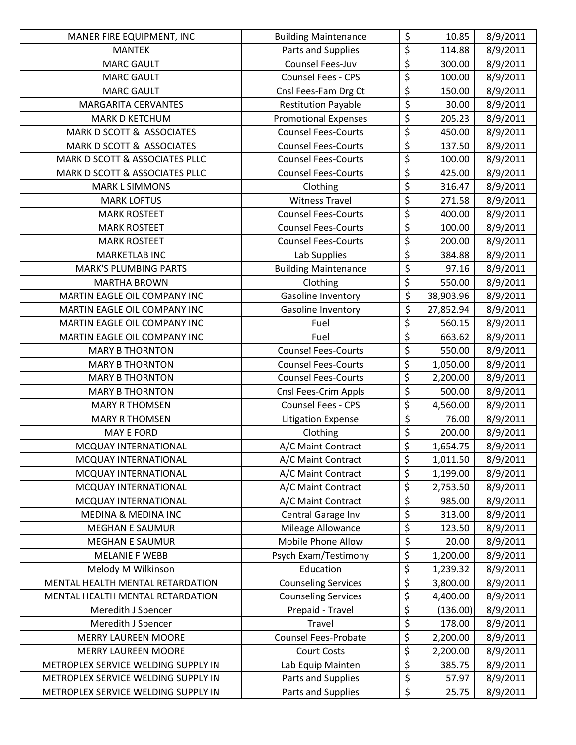| MANER FIRE EQUIPMENT, INC           | <b>Building Maintenance</b> | \$                              | 10.85     | 8/9/2011 |
|-------------------------------------|-----------------------------|---------------------------------|-----------|----------|
| <b>MANTEK</b>                       | Parts and Supplies          | \$                              | 114.88    | 8/9/2011 |
| <b>MARC GAULT</b>                   | Counsel Fees-Juv            | $\overline{\xi}$                | 300.00    | 8/9/2011 |
| <b>MARC GAULT</b>                   | Counsel Fees - CPS          | \$                              | 100.00    | 8/9/2011 |
| <b>MARC GAULT</b>                   | Cnsl Fees-Fam Drg Ct        | $\overline{\xi}$                | 150.00    | 8/9/2011 |
| <b>MARGARITA CERVANTES</b>          | <b>Restitution Payable</b>  | $\overline{\xi}$                | 30.00     | 8/9/2011 |
| MARK D KETCHUM                      | <b>Promotional Expenses</b> | \$                              | 205.23    | 8/9/2011 |
| MARK D SCOTT & ASSOCIATES           | <b>Counsel Fees-Courts</b>  | $\overline{\xi}$                | 450.00    | 8/9/2011 |
| MARK D SCOTT & ASSOCIATES           | <b>Counsel Fees-Courts</b>  | $\overline{\xi}$                | 137.50    | 8/9/2011 |
| MARK D SCOTT & ASSOCIATES PLLC      | <b>Counsel Fees-Courts</b>  | $\overline{\varsigma}$          | 100.00    | 8/9/2011 |
| MARK D SCOTT & ASSOCIATES PLLC      | <b>Counsel Fees-Courts</b>  | $\overline{\varsigma}$          | 425.00    | 8/9/2011 |
| <b>MARK L SIMMONS</b>               | Clothing                    | $\overline{\xi}$                | 316.47    | 8/9/2011 |
| <b>MARK LOFTUS</b>                  | <b>Witness Travel</b>       | \$                              | 271.58    | 8/9/2011 |
| <b>MARK ROSTEET</b>                 | <b>Counsel Fees-Courts</b>  | \$                              | 400.00    | 8/9/2011 |
| <b>MARK ROSTEET</b>                 | <b>Counsel Fees-Courts</b>  | $\overline{\xi}$                | 100.00    | 8/9/2011 |
| <b>MARK ROSTEET</b>                 | <b>Counsel Fees-Courts</b>  | $\overline{\xi}$                | 200.00    | 8/9/2011 |
| <b>MARKETLAB INC</b>                | Lab Supplies                | $\overline{\boldsymbol{\zeta}}$ | 384.88    | 8/9/2011 |
| <b>MARK'S PLUMBING PARTS</b>        | <b>Building Maintenance</b> | \$                              | 97.16     | 8/9/2011 |
| <b>MARTHA BROWN</b>                 | Clothing                    | $\overline{\xi}$                | 550.00    | 8/9/2011 |
| MARTIN EAGLE OIL COMPANY INC        | Gasoline Inventory          | \$                              | 38,903.96 | 8/9/2011 |
| MARTIN EAGLE OIL COMPANY INC        | Gasoline Inventory          | \$                              | 27,852.94 | 8/9/2011 |
| MARTIN EAGLE OIL COMPANY INC        | Fuel                        | \$                              | 560.15    | 8/9/2011 |
| MARTIN EAGLE OIL COMPANY INC        | Fuel                        | \$                              | 663.62    | 8/9/2011 |
| <b>MARY B THORNTON</b>              | <b>Counsel Fees-Courts</b>  | $\overline{\boldsymbol{\zeta}}$ | 550.00    | 8/9/2011 |
| <b>MARY B THORNTON</b>              | <b>Counsel Fees-Courts</b>  | $\overline{\boldsymbol{\zeta}}$ | 1,050.00  | 8/9/2011 |
| <b>MARY B THORNTON</b>              | <b>Counsel Fees-Courts</b>  | \$                              | 2,200.00  | 8/9/2011 |
| <b>MARY B THORNTON</b>              | Cnsl Fees-Crim Appls        | \$                              | 500.00    | 8/9/2011 |
| <b>MARY R THOMSEN</b>               | Counsel Fees - CPS          | \$                              | 4,560.00  | 8/9/2011 |
| <b>MARY R THOMSEN</b>               | <b>Litigation Expense</b>   | \$                              | 76.00     | 8/9/2011 |
| <b>MAY E FORD</b>                   | Clothing                    | \$                              | 200.00    | 8/9/2011 |
| MCQUAY INTERNATIONAL                | A/C Maint Contract          | $\overline{\xi}$                | 1,654.75  | 8/9/2011 |
| MCQUAY INTERNATIONAL                | A/C Maint Contract          | \$                              | 1,011.50  | 8/9/2011 |
| MCQUAY INTERNATIONAL                | A/C Maint Contract          | \$                              | 1,199.00  | 8/9/2011 |
| MCQUAY INTERNATIONAL                | A/C Maint Contract          | \$                              | 2,753.50  | 8/9/2011 |
| MCQUAY INTERNATIONAL                | A/C Maint Contract          | $\overline{\boldsymbol{\zeta}}$ | 985.00    | 8/9/2011 |
| <b>MEDINA &amp; MEDINA INC</b>      | Central Garage Inv          | \$                              | 313.00    | 8/9/2011 |
| <b>MEGHAN E SAUMUR</b>              | Mileage Allowance           | \$                              | 123.50    | 8/9/2011 |
| <b>MEGHAN E SAUMUR</b>              | Mobile Phone Allow          | \$                              | 20.00     | 8/9/2011 |
| <b>MELANIE F WEBB</b>               | Psych Exam/Testimony        | \$                              | 1,200.00  | 8/9/2011 |
| Melody M Wilkinson                  | Education                   | \$                              | 1,239.32  | 8/9/2011 |
| MENTAL HEALTH MENTAL RETARDATION    | <b>Counseling Services</b>  | \$                              | 3,800.00  | 8/9/2011 |
| MENTAL HEALTH MENTAL RETARDATION    | <b>Counseling Services</b>  | $\overline{\varsigma}$          | 4,400.00  | 8/9/2011 |
| Meredith J Spencer                  | Prepaid - Travel            | $\overline{\boldsymbol{\zeta}}$ | (136.00)  | 8/9/2011 |
| Meredith J Spencer                  | Travel                      | \$                              | 178.00    | 8/9/2011 |
| <b>MERRY LAUREEN MOORE</b>          | <b>Counsel Fees-Probate</b> | \$                              | 2,200.00  | 8/9/2011 |
| <b>MERRY LAUREEN MOORE</b>          | <b>Court Costs</b>          | \$                              | 2,200.00  | 8/9/2011 |
| METROPLEX SERVICE WELDING SUPPLY IN | Lab Equip Mainten           | \$                              | 385.75    | 8/9/2011 |
| METROPLEX SERVICE WELDING SUPPLY IN | Parts and Supplies          | $\overline{\xi}$                | 57.97     | 8/9/2011 |
| METROPLEX SERVICE WELDING SUPPLY IN | Parts and Supplies          | \$                              | 25.75     | 8/9/2011 |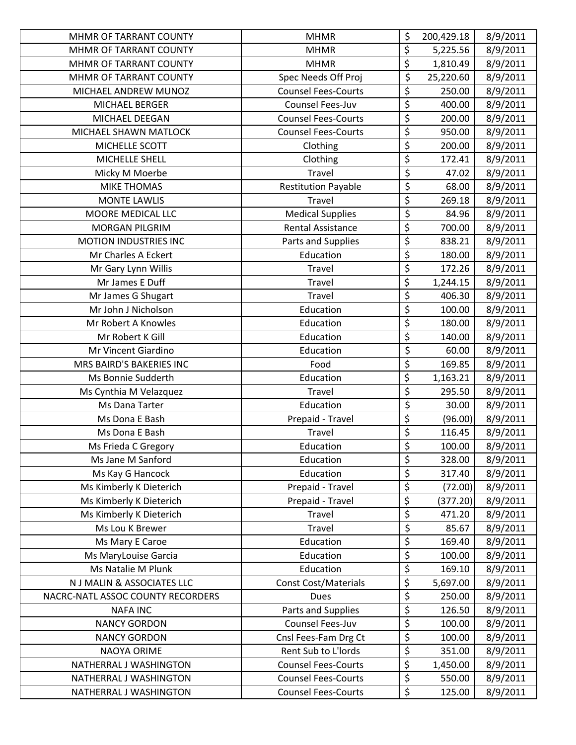| MHMR OF TARRANT COUNTY            | <b>MHMR</b>                 | \$                              | 200,429.18 | 8/9/2011 |
|-----------------------------------|-----------------------------|---------------------------------|------------|----------|
| MHMR OF TARRANT COUNTY            | <b>MHMR</b>                 | \$                              | 5,225.56   | 8/9/2011 |
| MHMR OF TARRANT COUNTY            | <b>MHMR</b>                 | \$                              | 1,810.49   | 8/9/2011 |
| MHMR OF TARRANT COUNTY            | Spec Needs Off Proj         | \$                              | 25,220.60  | 8/9/2011 |
| MICHAEL ANDREW MUNOZ              | <b>Counsel Fees-Courts</b>  | $\overline{\xi}$                | 250.00     | 8/9/2011 |
| MICHAEL BERGER                    | Counsel Fees-Juv            | \$                              | 400.00     | 8/9/2011 |
| MICHAEL DEEGAN                    | <b>Counsel Fees-Courts</b>  | $\overline{\mathsf{S}}$         | 200.00     | 8/9/2011 |
| MICHAEL SHAWN MATLOCK             | <b>Counsel Fees-Courts</b>  | $\overline{\xi}$                | 950.00     | 8/9/2011 |
| MICHELLE SCOTT                    | Clothing                    | \$                              | 200.00     | 8/9/2011 |
| MICHELLE SHELL                    | Clothing                    | \$                              | 172.41     | 8/9/2011 |
| Micky M Moerbe                    | Travel                      | $\overline{\xi}$                | 47.02      | 8/9/2011 |
| <b>MIKE THOMAS</b>                | <b>Restitution Payable</b>  | $\overline{\xi}$                | 68.00      | 8/9/2011 |
| <b>MONTE LAWLIS</b>               | Travel                      | \$                              | 269.18     | 8/9/2011 |
| MOORE MEDICAL LLC                 | <b>Medical Supplies</b>     | \$                              | 84.96      | 8/9/2011 |
| <b>MORGAN PILGRIM</b>             | <b>Rental Assistance</b>    | $\overline{\xi}$                | 700.00     | 8/9/2011 |
| <b>MOTION INDUSTRIES INC</b>      | Parts and Supplies          | \$                              | 838.21     | 8/9/2011 |
| Mr Charles A Eckert               | Education                   | \$                              | 180.00     | 8/9/2011 |
| Mr Gary Lynn Willis               | Travel                      | \$                              | 172.26     | 8/9/2011 |
| Mr James E Duff                   | <b>Travel</b>               | $\overline{\xi}$                | 1,244.15   | 8/9/2011 |
| Mr James G Shugart                | Travel                      | \$                              | 406.30     | 8/9/2011 |
| Mr John J Nicholson               | Education                   | \$                              | 100.00     | 8/9/2011 |
| Mr Robert A Knowles               | Education                   | $\overline{\xi}$                | 180.00     | 8/9/2011 |
| Mr Robert K Gill                  | Education                   | \$                              | 140.00     | 8/9/2011 |
| Mr Vincent Giardino               | Education                   | $\overline{\xi}$                | 60.00      | 8/9/2011 |
| MRS BAIRD'S BAKERIES INC          | Food                        | \$                              | 169.85     | 8/9/2011 |
| Ms Bonnie Sudderth                | Education                   | \$                              | 1,163.21   | 8/9/2011 |
| Ms Cynthia M Velazquez            | Travel                      | $\overline{\xi}$                | 295.50     | 8/9/2011 |
| Ms Dana Tarter                    | Education                   | $\overline{\xi}$                | 30.00      | 8/9/2011 |
| Ms Dona E Bash                    | Prepaid - Travel            | $\overline{\boldsymbol{\zeta}}$ | (96.00)    | 8/9/2011 |
| Ms Dona E Bash                    | Travel                      | \$                              | 116.45     | 8/9/2011 |
| Ms Frieda C Gregory               | Education                   | $\overline{\xi}$                | 100.00     | 8/9/2011 |
| Ms Jane M Sanford                 | Education                   | \$                              | 328.00     | 8/9/2011 |
| Ms Kay G Hancock                  | Education                   | \$                              | 317.40     | 8/9/2011 |
| Ms Kimberly K Dieterich           | Prepaid - Travel            | \$                              | (72.00)    | 8/9/2011 |
| Ms Kimberly K Dieterich           | Prepaid - Travel            | $\overline{\xi}$                | (377.20)   | 8/9/2011 |
| Ms Kimberly K Dieterich           | Travel                      | $\overline{\boldsymbol{\zeta}}$ | 471.20     | 8/9/2011 |
| Ms Lou K Brewer                   | Travel                      | \$                              | 85.67      | 8/9/2011 |
| Ms Mary E Caroe                   | Education                   | \$                              | 169.40     | 8/9/2011 |
| Ms MaryLouise Garcia              | Education                   | \$                              | 100.00     | 8/9/2011 |
| Ms Natalie M Plunk                | Education                   | \$                              | 169.10     | 8/9/2011 |
| N J MALIN & ASSOCIATES LLC        | <b>Const Cost/Materials</b> | \$                              | 5,697.00   | 8/9/2011 |
| NACRC-NATL ASSOC COUNTY RECORDERS | Dues                        | \$                              | 250.00     | 8/9/2011 |
| <b>NAFA INC</b>                   | Parts and Supplies          | \$                              | 126.50     | 8/9/2011 |
| <b>NANCY GORDON</b>               | Counsel Fees-Juv            | \$                              | 100.00     | 8/9/2011 |
| <b>NANCY GORDON</b>               | Cnsl Fees-Fam Drg Ct        | \$                              | 100.00     | 8/9/2011 |
| NAOYA ORIME                       | Rent Sub to L'Iords         | \$                              | 351.00     | 8/9/2011 |
| NATHERRAL J WASHINGTON            | <b>Counsel Fees-Courts</b>  | \$                              | 1,450.00   | 8/9/2011 |
| NATHERRAL J WASHINGTON            | <b>Counsel Fees-Courts</b>  | \$                              | 550.00     | 8/9/2011 |
| NATHERRAL J WASHINGTON            | <b>Counsel Fees-Courts</b>  | \$                              | 125.00     | 8/9/2011 |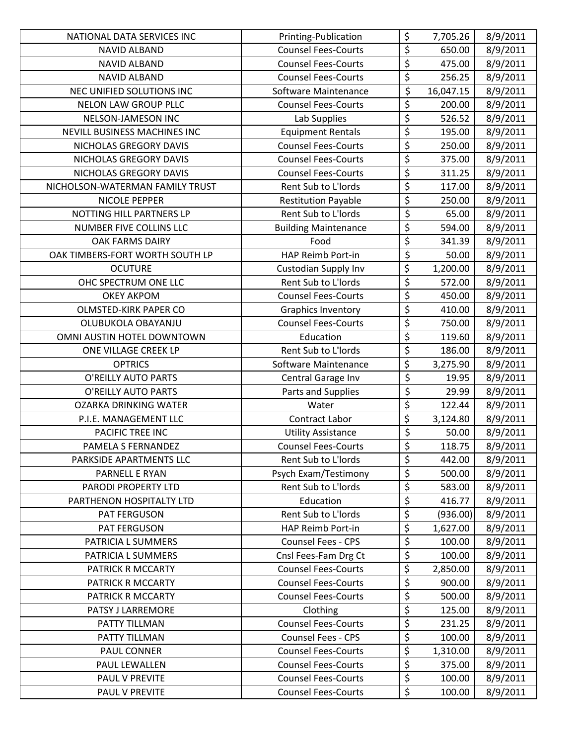| NATIONAL DATA SERVICES INC      | Printing-Publication        | \$                              | 7,705.26  | 8/9/2011 |
|---------------------------------|-----------------------------|---------------------------------|-----------|----------|
| <b>NAVID ALBAND</b>             | <b>Counsel Fees-Courts</b>  | $\overline{\xi}$                | 650.00    | 8/9/2011 |
| <b>NAVID ALBAND</b>             | <b>Counsel Fees-Courts</b>  | $\overline{\xi}$                | 475.00    | 8/9/2011 |
| <b>NAVID ALBAND</b>             | <b>Counsel Fees-Courts</b>  | $\overline{\xi}$                | 256.25    | 8/9/2011 |
| NEC UNIFIED SOLUTIONS INC       | Software Maintenance        | $\overline{\boldsymbol{\zeta}}$ | 16,047.15 | 8/9/2011 |
| NELON LAW GROUP PLLC            | <b>Counsel Fees-Courts</b>  | \$                              | 200.00    | 8/9/2011 |
| NELSON-JAMESON INC              | Lab Supplies                | \$                              | 526.52    | 8/9/2011 |
| NEVILL BUSINESS MACHINES INC    | <b>Equipment Rentals</b>    | $\overline{\xi}$                | 195.00    | 8/9/2011 |
| NICHOLAS GREGORY DAVIS          | <b>Counsel Fees-Courts</b>  | $\overline{\xi}$                | 250.00    | 8/9/2011 |
| NICHOLAS GREGORY DAVIS          | <b>Counsel Fees-Courts</b>  | \$                              | 375.00    | 8/9/2011 |
| NICHOLAS GREGORY DAVIS          | <b>Counsel Fees-Courts</b>  | $\overline{\varsigma}$          | 311.25    | 8/9/2011 |
| NICHOLSON-WATERMAN FAMILY TRUST | Rent Sub to L'Iords         | $\overline{\xi}$                | 117.00    | 8/9/2011 |
| NICOLE PEPPER                   | <b>Restitution Payable</b>  | \$                              | 250.00    | 8/9/2011 |
| NOTTING HILL PARTNERS LP        | Rent Sub to L'Iords         | $\overline{\xi}$                | 65.00     | 8/9/2011 |
| NUMBER FIVE COLLINS LLC         | <b>Building Maintenance</b> | $\overline{\xi}$                | 594.00    | 8/9/2011 |
| OAK FARMS DAIRY                 | Food                        | $\overline{\xi}$                | 341.39    | 8/9/2011 |
| OAK TIMBERS-FORT WORTH SOUTH LP | HAP Reimb Port-in           | $\overline{\xi}$                | 50.00     | 8/9/2011 |
| <b>OCUTURE</b>                  | Custodian Supply Inv        | $\overline{\xi}$                | 1,200.00  | 8/9/2011 |
| OHC SPECTRUM ONE LLC            | Rent Sub to L'Iords         | \$                              | 572.00    | 8/9/2011 |
| <b>OKEY AKPOM</b>               | <b>Counsel Fees-Courts</b>  | $\overline{\xi}$                | 450.00    | 8/9/2011 |
| OLMSTED-KIRK PAPER CO           | <b>Graphics Inventory</b>   | \$                              | 410.00    | 8/9/2011 |
| OLUBUKOLA OBAYANJU              | <b>Counsel Fees-Courts</b>  | $\overline{\xi}$                | 750.00    | 8/9/2011 |
| OMNI AUSTIN HOTEL DOWNTOWN      | Education                   | $\overline{\xi}$                | 119.60    | 8/9/2011 |
| ONE VILLAGE CREEK LP            | Rent Sub to L'Iords         | $\overline{\boldsymbol{\zeta}}$ | 186.00    | 8/9/2011 |
| <b>OPTRICS</b>                  | Software Maintenance        | \$                              | 3,275.90  | 8/9/2011 |
| O'REILLY AUTO PARTS             | Central Garage Inv          | \$                              | 19.95     | 8/9/2011 |
| <b>O'REILLY AUTO PARTS</b>      | Parts and Supplies          | $\overline{\xi}$                | 29.99     | 8/9/2011 |
| <b>OZARKA DRINKING WATER</b>    | Water                       | \$                              | 122.44    | 8/9/2011 |
| P.I.E. MANAGEMENT LLC           | Contract Labor              | $\overline{\xi}$                | 3,124.80  | 8/9/2011 |
| PACIFIC TREE INC                | <b>Utility Assistance</b>   | \$                              | 50.00     | 8/9/2011 |
| PAMELA S FERNANDEZ              | <b>Counsel Fees-Courts</b>  | $\overline{\xi}$                | 118.75    | 8/9/2011 |
| PARKSIDE APARTMENTS LLC         | Rent Sub to L'Iords         | \$                              | 442.00    | 8/9/2011 |
| PARNELL E RYAN                  | Psych Exam/Testimony        | \$                              | 500.00    | 8/9/2011 |
| PARODI PROPERTY LTD             | Rent Sub to L'Iords         | \$                              | 583.00    | 8/9/2011 |
| PARTHENON HOSPITALTY LTD        | Education                   | \$                              | 416.77    | 8/9/2011 |
| PAT FERGUSON                    | Rent Sub to L'Iords         | $\overline{\xi}$                | (936.00)  | 8/9/2011 |
| PAT FERGUSON                    | HAP Reimb Port-in           | \$                              | 1,627.00  | 8/9/2011 |
| PATRICIA L SUMMERS              | <b>Counsel Fees - CPS</b>   | \$                              | 100.00    | 8/9/2011 |
| PATRICIA L SUMMERS              | Cnsl Fees-Fam Drg Ct        | \$                              | 100.00    | 8/9/2011 |
| PATRICK R MCCARTY               | <b>Counsel Fees-Courts</b>  | \$                              | 2,850.00  | 8/9/2011 |
| PATRICK R MCCARTY               | <b>Counsel Fees-Courts</b>  | \$                              | 900.00    | 8/9/2011 |
| PATRICK R MCCARTY               | <b>Counsel Fees-Courts</b>  | \$                              | 500.00    | 8/9/2011 |
| PATSY J LARREMORE               | Clothing                    | $\overline{\boldsymbol{\zeta}}$ | 125.00    | 8/9/2011 |
| PATTY TILLMAN                   | <b>Counsel Fees-Courts</b>  | \$                              | 231.25    | 8/9/2011 |
| PATTY TILLMAN                   | Counsel Fees - CPS          | \$                              | 100.00    | 8/9/2011 |
| PAUL CONNER                     | <b>Counsel Fees-Courts</b>  | $\overline{\xi}$                | 1,310.00  | 8/9/2011 |
| PAUL LEWALLEN                   | <b>Counsel Fees-Courts</b>  | \$                              | 375.00    | 8/9/2011 |
| PAUL V PREVITE                  | <b>Counsel Fees-Courts</b>  | $\overline{\xi}$                | 100.00    | 8/9/2011 |
| PAUL V PREVITE                  | <b>Counsel Fees-Courts</b>  | \$                              | 100.00    | 8/9/2011 |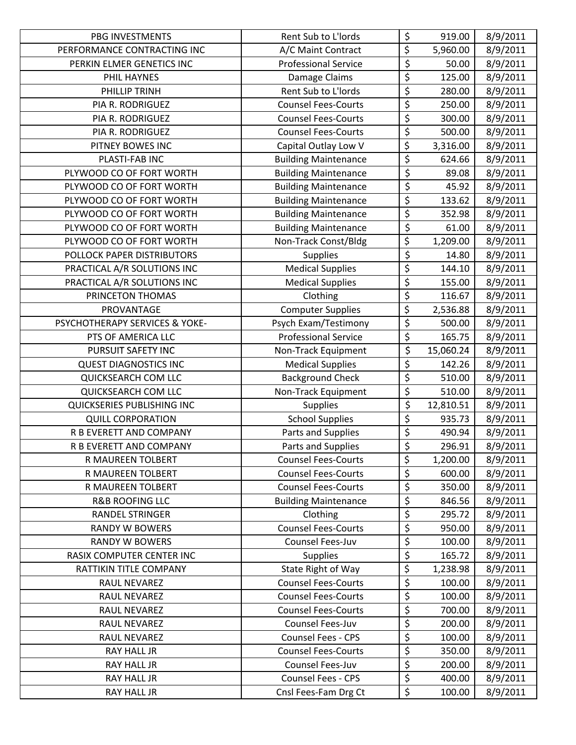| PBG INVESTMENTS                | Rent Sub to L'Iords         | \$                              | 919.00    | 8/9/2011 |
|--------------------------------|-----------------------------|---------------------------------|-----------|----------|
| PERFORMANCE CONTRACTING INC    | A/C Maint Contract          | \$                              | 5,960.00  | 8/9/2011 |
| PERKIN ELMER GENETICS INC      | <b>Professional Service</b> | \$                              | 50.00     | 8/9/2011 |
| PHIL HAYNES                    | Damage Claims               | $\overline{\xi}$                | 125.00    | 8/9/2011 |
| PHILLIP TRINH                  | Rent Sub to L'Iords         | $\overline{\xi}$                | 280.00    | 8/9/2011 |
| PIA R. RODRIGUEZ               | <b>Counsel Fees-Courts</b>  | \$                              | 250.00    | 8/9/2011 |
| PIA R. RODRIGUEZ               | <b>Counsel Fees-Courts</b>  | $\overline{\mathsf{S}}$         | 300.00    | 8/9/2011 |
| PIA R. RODRIGUEZ               | <b>Counsel Fees-Courts</b>  | \$                              | 500.00    | 8/9/2011 |
| PITNEY BOWES INC               | Capital Outlay Low V        | \$                              | 3,316.00  | 8/9/2011 |
| PLASTI-FAB INC                 | <b>Building Maintenance</b> | $\overline{\boldsymbol{\zeta}}$ | 624.66    | 8/9/2011 |
| PLYWOOD CO OF FORT WORTH       | <b>Building Maintenance</b> | \$                              | 89.08     | 8/9/2011 |
| PLYWOOD CO OF FORT WORTH       | <b>Building Maintenance</b> | $\overline{\xi}$                | 45.92     | 8/9/2011 |
| PLYWOOD CO OF FORT WORTH       | <b>Building Maintenance</b> | \$                              | 133.62    | 8/9/2011 |
| PLYWOOD CO OF FORT WORTH       | <b>Building Maintenance</b> | $\overline{\mathsf{S}}$         | 352.98    | 8/9/2011 |
| PLYWOOD CO OF FORT WORTH       | <b>Building Maintenance</b> | $\overline{\xi}$                | 61.00     | 8/9/2011 |
| PLYWOOD CO OF FORT WORTH       | Non-Track Const/Bldg        | \$                              | 1,209.00  | 8/9/2011 |
| POLLOCK PAPER DISTRIBUTORS     | Supplies                    | $\overline{\xi}$                | 14.80     | 8/9/2011 |
| PRACTICAL A/R SOLUTIONS INC    | <b>Medical Supplies</b>     | \$                              | 144.10    | 8/9/2011 |
| PRACTICAL A/R SOLUTIONS INC    | <b>Medical Supplies</b>     | $\overline{\xi}$                | 155.00    | 8/9/2011 |
| PRINCETON THOMAS               | Clothing                    | \$                              | 116.67    | 8/9/2011 |
| PROVANTAGE                     | <b>Computer Supplies</b>    | $\overline{\boldsymbol{\zeta}}$ | 2,536.88  | 8/9/2011 |
| PSYCHOTHERAPY SERVICES & YOKE- | Psych Exam/Testimony        | \$                              | 500.00    | 8/9/2011 |
| PTS OF AMERICA LLC             | <b>Professional Service</b> | \$                              | 165.75    | 8/9/2011 |
| PURSUIT SAFETY INC             | Non-Track Equipment         | $\overline{\xi}$                | 15,060.24 | 8/9/2011 |
| <b>QUEST DIAGNOSTICS INC</b>   | <b>Medical Supplies</b>     | \$                              | 142.26    | 8/9/2011 |
| <b>QUICKSEARCH COM LLC</b>     | <b>Background Check</b>     | \$                              | 510.00    | 8/9/2011 |
| QUICKSEARCH COM LLC            | Non-Track Equipment         | $\overline{\xi}$                | 510.00    | 8/9/2011 |
| QUICKSERIES PUBLISHING INC     | <b>Supplies</b>             | $\overline{\boldsymbol{\zeta}}$ | 12,810.51 | 8/9/2011 |
| <b>QUILL CORPORATION</b>       | <b>School Supplies</b>      | \$                              | 935.73    | 8/9/2011 |
| R B EVERETT AND COMPANY        | Parts and Supplies          | \$                              | 490.94    | 8/9/2011 |
| R B EVERETT AND COMPANY        | Parts and Supplies          | $\overline{\xi}$                | 296.91    | 8/9/2011 |
| R MAUREEN TOLBERT              | <b>Counsel Fees-Courts</b>  | \$                              | 1,200.00  | 8/9/2011 |
| R MAUREEN TOLBERT              | <b>Counsel Fees-Courts</b>  | \$                              | 600.00    | 8/9/2011 |
| R MAUREEN TOLBERT              | <b>Counsel Fees-Courts</b>  | \$                              | 350.00    | 8/9/2011 |
| <b>R&amp;B ROOFING LLC</b>     | <b>Building Maintenance</b> | $\overline{\boldsymbol{\zeta}}$ | 846.56    | 8/9/2011 |
| <b>RANDEL STRINGER</b>         | Clothing                    | $\overline{\boldsymbol{\zeta}}$ | 295.72    | 8/9/2011 |
| <b>RANDY W BOWERS</b>          | <b>Counsel Fees-Courts</b>  | \$                              | 950.00    | 8/9/2011 |
| <b>RANDY W BOWERS</b>          | Counsel Fees-Juv            | \$                              | 100.00    | 8/9/2011 |
| RASIX COMPUTER CENTER INC      | <b>Supplies</b>             | \$                              | 165.72    | 8/9/2011 |
| RATTIKIN TITLE COMPANY         | State Right of Way          | \$                              | 1,238.98  | 8/9/2011 |
| RAUL NEVAREZ                   | <b>Counsel Fees-Courts</b>  | \$                              | 100.00    | 8/9/2011 |
| RAUL NEVAREZ                   | <b>Counsel Fees-Courts</b>  | \$                              | 100.00    | 8/9/2011 |
| RAUL NEVAREZ                   | <b>Counsel Fees-Courts</b>  | $\overline{\xi}$                | 700.00    | 8/9/2011 |
| RAUL NEVAREZ                   | Counsel Fees-Juv            | \$                              | 200.00    | 8/9/2011 |
| RAUL NEVAREZ                   | Counsel Fees - CPS          | \$                              | 100.00    | 8/9/2011 |
| RAY HALL JR                    | <b>Counsel Fees-Courts</b>  | \$                              | 350.00    | 8/9/2011 |
| RAY HALL JR                    | Counsel Fees-Juv            | \$                              | 200.00    | 8/9/2011 |
| RAY HALL JR                    | <b>Counsel Fees - CPS</b>   | \$                              | 400.00    | 8/9/2011 |
| RAY HALL JR                    | Cnsl Fees-Fam Drg Ct        | \$                              | 100.00    | 8/9/2011 |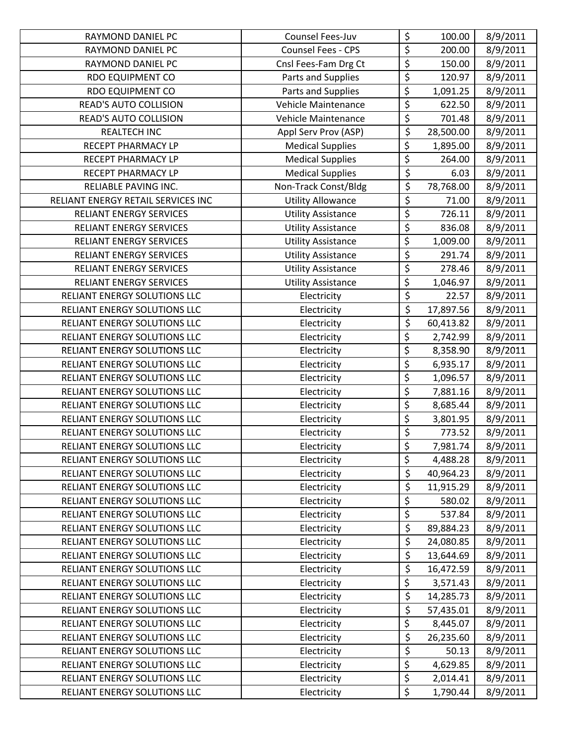| RAYMOND DANIEL PC                   | Counsel Fees-Juv          | \$                                  | 100.00    | 8/9/2011 |
|-------------------------------------|---------------------------|-------------------------------------|-----------|----------|
| RAYMOND DANIEL PC                   | Counsel Fees - CPS        | \$                                  | 200.00    | 8/9/2011 |
| RAYMOND DANIEL PC                   | Cnsl Fees-Fam Drg Ct      | \$                                  | 150.00    | 8/9/2011 |
| <b>RDO EQUIPMENT CO</b>             | Parts and Supplies        | $\overline{\xi}$                    | 120.97    | 8/9/2011 |
| <b>RDO EQUIPMENT CO</b>             | Parts and Supplies        | \$                                  | 1,091.25  | 8/9/2011 |
| <b>READ'S AUTO COLLISION</b>        | Vehicle Maintenance       | \$                                  | 622.50    | 8/9/2011 |
| READ'S AUTO COLLISION               | Vehicle Maintenance       | \$                                  | 701.48    | 8/9/2011 |
| <b>REALTECH INC</b>                 | Appl Serv Prov (ASP)      | $\overline{\xi}$                    | 28,500.00 | 8/9/2011 |
| RECEPT PHARMACY LP                  | <b>Medical Supplies</b>   | \$                                  | 1,895.00  | 8/9/2011 |
| RECEPT PHARMACY LP                  | <b>Medical Supplies</b>   | \$                                  | 264.00    | 8/9/2011 |
| RECEPT PHARMACY LP                  | <b>Medical Supplies</b>   | $\overline{\boldsymbol{\varsigma}}$ | 6.03      | 8/9/2011 |
| RELIABLE PAVING INC.                | Non-Track Const/Bldg      | \$                                  | 78,768.00 | 8/9/2011 |
| RELIANT ENERGY RETAIL SERVICES INC  | <b>Utility Allowance</b>  | \$                                  | 71.00     | 8/9/2011 |
| RELIANT ENERGY SERVICES             | <b>Utility Assistance</b> | \$                                  | 726.11    | 8/9/2011 |
| <b>RELIANT ENERGY SERVICES</b>      | <b>Utility Assistance</b> | $\overline{\xi}$                    | 836.08    | 8/9/2011 |
| <b>RELIANT ENERGY SERVICES</b>      | <b>Utility Assistance</b> | \$                                  | 1,009.00  | 8/9/2011 |
| <b>RELIANT ENERGY SERVICES</b>      | <b>Utility Assistance</b> | \$                                  | 291.74    | 8/9/2011 |
| <b>RELIANT ENERGY SERVICES</b>      | <b>Utility Assistance</b> | $\overline{\varsigma}$              | 278.46    | 8/9/2011 |
| <b>RELIANT ENERGY SERVICES</b>      | <b>Utility Assistance</b> | \$                                  | 1,046.97  | 8/9/2011 |
| RELIANT ENERGY SOLUTIONS LLC        | Electricity               | $\overline{\xi}$                    | 22.57     | 8/9/2011 |
| RELIANT ENERGY SOLUTIONS LLC        | Electricity               | $\overline{\xi}$                    | 17,897.56 | 8/9/2011 |
| RELIANT ENERGY SOLUTIONS LLC        | Electricity               | $\overline{\xi}$                    | 60,413.82 | 8/9/2011 |
| RELIANT ENERGY SOLUTIONS LLC        | Electricity               | \$                                  | 2,742.99  | 8/9/2011 |
| RELIANT ENERGY SOLUTIONS LLC        | Electricity               | \$                                  | 8,358.90  | 8/9/2011 |
| RELIANT ENERGY SOLUTIONS LLC        | Electricity               | \$                                  | 6,935.17  | 8/9/2011 |
| RELIANT ENERGY SOLUTIONS LLC        | Electricity               | $\overline{\xi}$                    | 1,096.57  | 8/9/2011 |
| RELIANT ENERGY SOLUTIONS LLC        | Electricity               | \$                                  | 7,881.16  | 8/9/2011 |
| RELIANT ENERGY SOLUTIONS LLC        | Electricity               | $\overline{\varsigma}$              | 8,685.44  | 8/9/2011 |
| RELIANT ENERGY SOLUTIONS LLC        | Electricity               | \$                                  | 3,801.95  | 8/9/2011 |
| RELIANT ENERGY SOLUTIONS LLC        | Electricity               | \$                                  | 773.52    | 8/9/2011 |
| <b>RELIANT ENERGY SOLUTIONS LLC</b> | Electricity               | $\overline{\xi}$                    | 7,981.74  | 8/9/2011 |
| RELIANT ENERGY SOLUTIONS LLC        | Electricity               | \$                                  | 4,488.28  | 8/9/2011 |
| RELIANT ENERGY SOLUTIONS LLC        | Electricity               | \$                                  | 40,964.23 | 8/9/2011 |
| RELIANT ENERGY SOLUTIONS LLC        | Electricity               | \$                                  | 11,915.29 | 8/9/2011 |
| RELIANT ENERGY SOLUTIONS LLC        | Electricity               | $\overline{\boldsymbol{\zeta}}$     | 580.02    | 8/9/2011 |
| RELIANT ENERGY SOLUTIONS LLC        | Electricity               | \$                                  | 537.84    | 8/9/2011 |
| <b>RELIANT ENERGY SOLUTIONS LLC</b> | Electricity               | $\overline{\xi}$                    | 89,884.23 | 8/9/2011 |
| RELIANT ENERGY SOLUTIONS LLC        | Electricity               | \$                                  | 24,080.85 | 8/9/2011 |
| RELIANT ENERGY SOLUTIONS LLC        | Electricity               | \$                                  | 13,644.69 | 8/9/2011 |
| RELIANT ENERGY SOLUTIONS LLC        | Electricity               | \$                                  | 16,472.59 | 8/9/2011 |
| RELIANT ENERGY SOLUTIONS LLC        | Electricity               | \$                                  | 3,571.43  | 8/9/2011 |
| RELIANT ENERGY SOLUTIONS LLC        | Electricity               | $\overline{\xi}$                    | 14,285.73 | 8/9/2011 |
| RELIANT ENERGY SOLUTIONS LLC        | Electricity               | \$                                  | 57,435.01 | 8/9/2011 |
| RELIANT ENERGY SOLUTIONS LLC        | Electricity               | \$                                  | 8,445.07  | 8/9/2011 |
| RELIANT ENERGY SOLUTIONS LLC        | Electricity               | $\overline{\xi}$                    | 26,235.60 | 8/9/2011 |
| RELIANT ENERGY SOLUTIONS LLC        | Electricity               | \$                                  | 50.13     | 8/9/2011 |
| RELIANT ENERGY SOLUTIONS LLC        | Electricity               | \$                                  | 4,629.85  | 8/9/2011 |
| RELIANT ENERGY SOLUTIONS LLC        | Electricity               | $\overline{\xi}$                    | 2,014.41  | 8/9/2011 |
| RELIANT ENERGY SOLUTIONS LLC        | Electricity               | \$                                  | 1,790.44  | 8/9/2011 |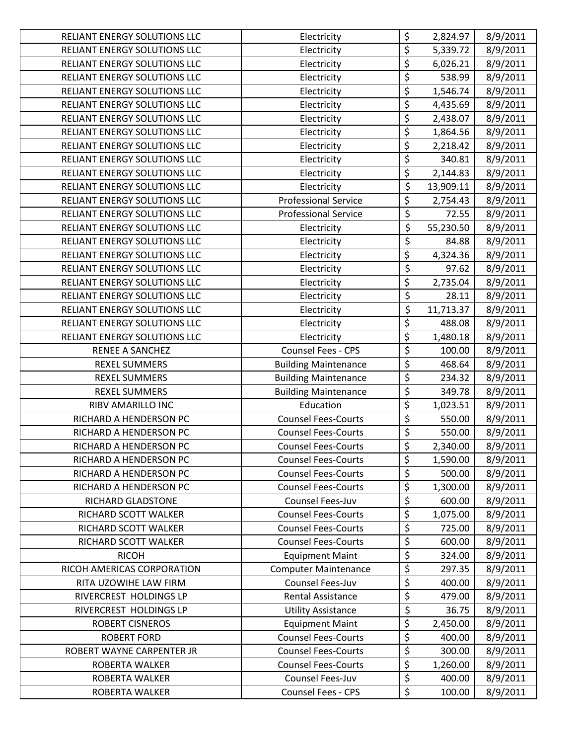| RELIANT ENERGY SOLUTIONS LLC | Electricity                 | \$                                  | 2,824.97  | 8/9/2011 |
|------------------------------|-----------------------------|-------------------------------------|-----------|----------|
| RELIANT ENERGY SOLUTIONS LLC | Electricity                 | \$                                  | 5,339.72  | 8/9/2011 |
| RELIANT ENERGY SOLUTIONS LLC | Electricity                 | $\overline{\boldsymbol{\zeta}}$     | 6,026.21  | 8/9/2011 |
| RELIANT ENERGY SOLUTIONS LLC | Electricity                 | $\overline{\xi}$                    | 538.99    | 8/9/2011 |
| RELIANT ENERGY SOLUTIONS LLC | Electricity                 | $\overline{\xi}$                    | 1,546.74  | 8/9/2011 |
| RELIANT ENERGY SOLUTIONS LLC | Electricity                 | \$                                  | 4,435.69  | 8/9/2011 |
| RELIANT ENERGY SOLUTIONS LLC | Electricity                 | $\overline{\mathsf{S}}$             | 2,438.07  | 8/9/2011 |
| RELIANT ENERGY SOLUTIONS LLC | Electricity                 | $\overline{\xi}$                    | 1,864.56  | 8/9/2011 |
| RELIANT ENERGY SOLUTIONS LLC | Electricity                 | \$                                  | 2,218.42  | 8/9/2011 |
| RELIANT ENERGY SOLUTIONS LLC | Electricity                 | $\overline{\varsigma}$              | 340.81    | 8/9/2011 |
| RELIANT ENERGY SOLUTIONS LLC | Electricity                 | $\overline{\boldsymbol{\zeta}}$     | 2,144.83  | 8/9/2011 |
| RELIANT ENERGY SOLUTIONS LLC | Electricity                 | \$                                  | 13,909.11 | 8/9/2011 |
| RELIANT ENERGY SOLUTIONS LLC | <b>Professional Service</b> | \$                                  | 2,754.43  | 8/9/2011 |
| RELIANT ENERGY SOLUTIONS LLC | <b>Professional Service</b> | \$                                  | 72.55     | 8/9/2011 |
| RELIANT ENERGY SOLUTIONS LLC | Electricity                 | \$                                  | 55,230.50 | 8/9/2011 |
| RELIANT ENERGY SOLUTIONS LLC | Electricity                 | \$                                  | 84.88     | 8/9/2011 |
| RELIANT ENERGY SOLUTIONS LLC | Electricity                 | \$                                  | 4,324.36  | 8/9/2011 |
| RELIANT ENERGY SOLUTIONS LLC | Electricity                 | $\overline{\boldsymbol{\varsigma}}$ | 97.62     | 8/9/2011 |
| RELIANT ENERGY SOLUTIONS LLC | Electricity                 | $\overline{\xi}$                    | 2,735.04  | 8/9/2011 |
| RELIANT ENERGY SOLUTIONS LLC | Electricity                 | \$                                  | 28.11     | 8/9/2011 |
| RELIANT ENERGY SOLUTIONS LLC | Electricity                 | \$                                  | 11,713.37 | 8/9/2011 |
| RELIANT ENERGY SOLUTIONS LLC | Electricity                 | \$                                  | 488.08    | 8/9/2011 |
| RELIANT ENERGY SOLUTIONS LLC | Electricity                 | \$                                  | 1,480.18  | 8/9/2011 |
| <b>RENEE A SANCHEZ</b>       | Counsel Fees - CPS          | $\overline{\boldsymbol{\zeta}}$     | 100.00    | 8/9/2011 |
| <b>REXEL SUMMERS</b>         | <b>Building Maintenance</b> | $\overline{\varsigma}$              | 468.64    | 8/9/2011 |
| <b>REXEL SUMMERS</b>         | <b>Building Maintenance</b> | $\overline{\mathcal{L}}$            | 234.32    | 8/9/2011 |
| <b>REXEL SUMMERS</b>         | <b>Building Maintenance</b> | $\overline{\xi}$                    | 349.78    | 8/9/2011 |
| RIBV AMARILLO INC            | Education                   | $\overline{\boldsymbol{\zeta}}$     | 1,023.51  | 8/9/2011 |
| RICHARD A HENDERSON PC       | <b>Counsel Fees-Courts</b>  | $\overline{\xi}$                    | 550.00    | 8/9/2011 |
| RICHARD A HENDERSON PC       | <b>Counsel Fees-Courts</b>  | $\overline{\xi}$                    | 550.00    | 8/9/2011 |
| RICHARD A HENDERSON PC       | <b>Counsel Fees-Courts</b>  | $\overline{\xi}$                    | 2,340.00  | 8/9/2011 |
| RICHARD A HENDERSON PC       | <b>Counsel Fees-Courts</b>  | \$                                  | 1,590.00  | 8/9/2011 |
| RICHARD A HENDERSON PC       | <b>Counsel Fees-Courts</b>  | \$                                  | 500.00    | 8/9/2011 |
| RICHARD A HENDERSON PC       | <b>Counsel Fees-Courts</b>  | \$                                  | 1,300.00  | 8/9/2011 |
| RICHARD GLADSTONE            | Counsel Fees-Juv            | \$                                  | 600.00    | 8/9/2011 |
| RICHARD SCOTT WALKER         | <b>Counsel Fees-Courts</b>  | $\overline{\xi}$                    | 1,075.00  | 8/9/2011 |
| RICHARD SCOTT WALKER         | <b>Counsel Fees-Courts</b>  | \$                                  | 725.00    | 8/9/2011 |
| RICHARD SCOTT WALKER         | <b>Counsel Fees-Courts</b>  | \$                                  | 600.00    | 8/9/2011 |
| <b>RICOH</b>                 | <b>Equipment Maint</b>      | \$                                  | 324.00    | 8/9/2011 |
| RICOH AMERICAS CORPORATION   | <b>Computer Maintenance</b> | \$                                  | 297.35    | 8/9/2011 |
| RITA UZOWIHE LAW FIRM        | Counsel Fees-Juv            | \$                                  | 400.00    | 8/9/2011 |
| RIVERCREST HOLDINGS LP       | <b>Rental Assistance</b>    | \$                                  | 479.00    | 8/9/2011 |
| RIVERCREST HOLDINGS LP       | <b>Utility Assistance</b>   | $\overline{\xi}$                    | 36.75     | 8/9/2011 |
| <b>ROBERT CISNEROS</b>       | <b>Equipment Maint</b>      | \$                                  | 2,450.00  | 8/9/2011 |
| <b>ROBERT FORD</b>           | <b>Counsel Fees-Courts</b>  | \$                                  | 400.00    | 8/9/2011 |
| ROBERT WAYNE CARPENTER JR    | <b>Counsel Fees-Courts</b>  | $\overline{\xi}$                    | 300.00    | 8/9/2011 |
| ROBERTA WALKER               | <b>Counsel Fees-Courts</b>  | \$                                  | 1,260.00  | 8/9/2011 |
| ROBERTA WALKER               | Counsel Fees-Juv            | \$                                  | 400.00    | 8/9/2011 |
| ROBERTA WALKER               | Counsel Fees - CPS          | \$                                  | 100.00    | 8/9/2011 |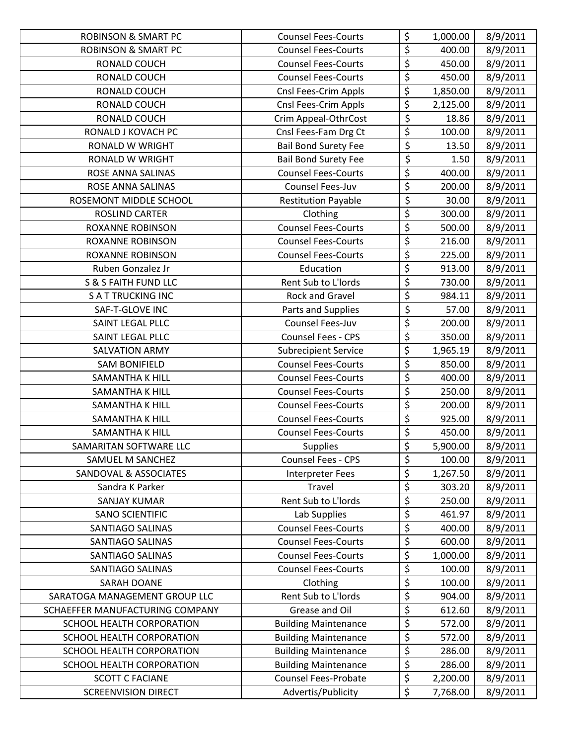| <b>ROBINSON &amp; SMART PC</b>   | <b>Counsel Fees-Courts</b>  | \$                              | 1,000.00 | 8/9/2011 |
|----------------------------------|-----------------------------|---------------------------------|----------|----------|
| <b>ROBINSON &amp; SMART PC</b>   | <b>Counsel Fees-Courts</b>  | \$                              | 400.00   | 8/9/2011 |
| RONALD COUCH                     | <b>Counsel Fees-Courts</b>  | $\overline{\xi}$                | 450.00   | 8/9/2011 |
| RONALD COUCH                     | <b>Counsel Fees-Courts</b>  | $\overline{\xi}$                | 450.00   | 8/9/2011 |
| RONALD COUCH                     | Cnsl Fees-Crim Appls        | \$                              | 1,850.00 | 8/9/2011 |
| RONALD COUCH                     | Cnsl Fees-Crim Appls        | \$                              | 2,125.00 | 8/9/2011 |
| RONALD COUCH                     | Crim Appeal-OthrCost        | $\overline{\boldsymbol{\zeta}}$ | 18.86    | 8/9/2011 |
| RONALD J KOVACH PC               | Cnsl Fees-Fam Drg Ct        | \$                              | 100.00   | 8/9/2011 |
| <b>RONALD W WRIGHT</b>           | <b>Bail Bond Surety Fee</b> | $\overline{\xi}$                | 13.50    | 8/9/2011 |
| RONALD W WRIGHT                  | <b>Bail Bond Surety Fee</b> | $\overline{\xi}$                | 1.50     | 8/9/2011 |
| ROSE ANNA SALINAS                | <b>Counsel Fees-Courts</b>  | $\overline{\xi}$                | 400.00   | 8/9/2011 |
| ROSE ANNA SALINAS                | Counsel Fees-Juv            | \$                              | 200.00   | 8/9/2011 |
| ROSEMONT MIDDLE SCHOOL           | <b>Restitution Payable</b>  | \$                              | 30.00    | 8/9/2011 |
| ROSLIND CARTER                   | Clothing                    | \$                              | 300.00   | 8/9/2011 |
| <b>ROXANNE ROBINSON</b>          | <b>Counsel Fees-Courts</b>  | \$                              | 500.00   | 8/9/2011 |
| <b>ROXANNE ROBINSON</b>          | <b>Counsel Fees-Courts</b>  | \$                              | 216.00   | 8/9/2011 |
| <b>ROXANNE ROBINSON</b>          | <b>Counsel Fees-Courts</b>  | $\overline{\xi}$                | 225.00   | 8/9/2011 |
| Ruben Gonzalez Jr                | Education                   | \$                              | 913.00   | 8/9/2011 |
| <b>S &amp; S FAITH FUND LLC</b>  | Rent Sub to L'Iords         | \$                              | 730.00   | 8/9/2011 |
| <b>SATTRUCKING INC</b>           | Rock and Gravel             | $\overline{\xi}$                | 984.11   | 8/9/2011 |
| SAF-T-GLOVE INC                  | Parts and Supplies          | \$                              | 57.00    | 8/9/2011 |
| SAINT LEGAL PLLC                 | Counsel Fees-Juv            | $\overline{\xi}$                | 200.00   | 8/9/2011 |
| SAINT LEGAL PLLC                 | Counsel Fees - CPS          | \$                              | 350.00   | 8/9/2011 |
| <b>SALVATION ARMY</b>            | <b>Subrecipient Service</b> | $\overline{\boldsymbol{\zeta}}$ | 1,965.19 | 8/9/2011 |
| <b>SAM BONIFIELD</b>             | <b>Counsel Fees-Courts</b>  | \$                              | 850.00   | 8/9/2011 |
| <b>SAMANTHA K HILL</b>           | <b>Counsel Fees-Courts</b>  | \$                              | 400.00   | 8/9/2011 |
| <b>SAMANTHA K HILL</b>           | <b>Counsel Fees-Courts</b>  | $\overline{\xi}$                | 250.00   | 8/9/2011 |
| <b>SAMANTHA K HILL</b>           | <b>Counsel Fees-Courts</b>  | $\overline{\xi}$                | 200.00   | 8/9/2011 |
| <b>SAMANTHA K HILL</b>           | <b>Counsel Fees-Courts</b>  | $\overline{\xi}$                | 925.00   | 8/9/2011 |
| <b>SAMANTHA K HILL</b>           | <b>Counsel Fees-Courts</b>  | \$                              | 450.00   | 8/9/2011 |
| SAMARITAN SOFTWARE LLC           | <b>Supplies</b>             | \$                              | 5,900.00 | 8/9/2011 |
| SAMUEL M SANCHEZ                 | Counsel Fees - CPS          | \$                              | 100.00   | 8/9/2011 |
| <b>SANDOVAL &amp; ASSOCIATES</b> | Interpreter Fees            | \$                              | 1,267.50 | 8/9/2011 |
| Sandra K Parker                  | Travel                      | \$                              | 303.20   | 8/9/2011 |
| SANJAY KUMAR                     | Rent Sub to L'Iords         | $\overline{\varsigma}$          | 250.00   | 8/9/2011 |
| <b>SANO SCIENTIFIC</b>           | Lab Supplies                | \$                              | 461.97   | 8/9/2011 |
| SANTIAGO SALINAS                 | <b>Counsel Fees-Courts</b>  | \$                              | 400.00   | 8/9/2011 |
| SANTIAGO SALINAS                 | <b>Counsel Fees-Courts</b>  | \$                              | 600.00   | 8/9/2011 |
| SANTIAGO SALINAS                 | <b>Counsel Fees-Courts</b>  | \$                              | 1,000.00 | 8/9/2011 |
| SANTIAGO SALINAS                 | <b>Counsel Fees-Courts</b>  | \$                              | 100.00   | 8/9/2011 |
| <b>SARAH DOANE</b>               | Clothing                    | \$                              | 100.00   | 8/9/2011 |
| SARATOGA MANAGEMENT GROUP LLC    | Rent Sub to L'Iords         | \$                              | 904.00   | 8/9/2011 |
| SCHAEFFER MANUFACTURING COMPANY  | Grease and Oil              | $\overline{\boldsymbol{\zeta}}$ | 612.60   | 8/9/2011 |
| SCHOOL HEALTH CORPORATION        | <b>Building Maintenance</b> | \$                              | 572.00   | 8/9/2011 |
| SCHOOL HEALTH CORPORATION        | <b>Building Maintenance</b> | \$                              | 572.00   | 8/9/2011 |
| SCHOOL HEALTH CORPORATION        | <b>Building Maintenance</b> | $\overline{\xi}$                | 286.00   | 8/9/2011 |
| SCHOOL HEALTH CORPORATION        | <b>Building Maintenance</b> | \$                              | 286.00   | 8/9/2011 |
| <b>SCOTT C FACIANE</b>           | <b>Counsel Fees-Probate</b> | \$                              | 2,200.00 | 8/9/2011 |
| <b>SCREENVISION DIRECT</b>       | Advertis/Publicity          | \$                              | 7,768.00 | 8/9/2011 |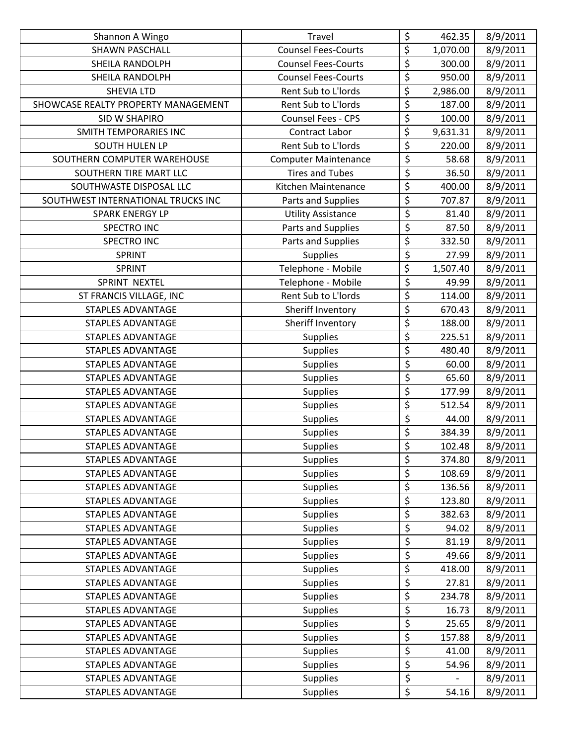| Shannon A Wingo                     | <b>Travel</b>               | \$                                  | 462.35   | 8/9/2011 |
|-------------------------------------|-----------------------------|-------------------------------------|----------|----------|
| <b>SHAWN PASCHALL</b>               | <b>Counsel Fees-Courts</b>  | \$                                  | 1,070.00 | 8/9/2011 |
| SHEILA RANDOLPH                     | <b>Counsel Fees-Courts</b>  | $\overline{\varsigma}$              | 300.00   | 8/9/2011 |
| <b>SHEILA RANDOLPH</b>              | <b>Counsel Fees-Courts</b>  | \$                                  | 950.00   | 8/9/2011 |
| <b>SHEVIA LTD</b>                   | Rent Sub to L'Iords         | $\overline{\xi}$                    | 2,986.00 | 8/9/2011 |
| SHOWCASE REALTY PROPERTY MANAGEMENT | Rent Sub to L'Iords         | \$                                  | 187.00   | 8/9/2011 |
| <b>SID W SHAPIRO</b>                | Counsel Fees - CPS          | \$                                  | 100.00   | 8/9/2011 |
| <b>SMITH TEMPORARIES INC</b>        | <b>Contract Labor</b>       | \$                                  | 9,631.31 | 8/9/2011 |
| <b>SOUTH HULEN LP</b>               | Rent Sub to L'Iords         | \$                                  | 220.00   | 8/9/2011 |
| SOUTHERN COMPUTER WAREHOUSE         | <b>Computer Maintenance</b> | $\overline{\varsigma}$              | 58.68    | 8/9/2011 |
| SOUTHERN TIRE MART LLC              | <b>Tires and Tubes</b>      | $\overline{\xi}$                    | 36.50    | 8/9/2011 |
| SOUTHWASTE DISPOSAL LLC             | Kitchen Maintenance         | \$                                  | 400.00   | 8/9/2011 |
| SOUTHWEST INTERNATIONAL TRUCKS INC  | Parts and Supplies          | \$                                  | 707.87   | 8/9/2011 |
| <b>SPARK ENERGY LP</b>              | <b>Utility Assistance</b>   | $\overline{\xi}$                    | 81.40    | 8/9/2011 |
| <b>SPECTRO INC</b>                  | Parts and Supplies          | $\overline{\boldsymbol{\varsigma}}$ | 87.50    | 8/9/2011 |
| SPECTRO INC                         | Parts and Supplies          | $\overline{\xi}$                    | 332.50   | 8/9/2011 |
| SPRINT                              | <b>Supplies</b>             | $\overline{\xi}$                    | 27.99    | 8/9/2011 |
| SPRINT                              | Telephone - Mobile          | \$                                  | 1,507.40 | 8/9/2011 |
| SPRINT NEXTEL                       | Telephone - Mobile          | \$                                  | 49.99    | 8/9/2011 |
| ST FRANCIS VILLAGE, INC             | Rent Sub to L'Iords         | $\overline{\xi}$                    | 114.00   | 8/9/2011 |
| <b>STAPLES ADVANTAGE</b>            | Sheriff Inventory           | \$                                  | 670.43   | 8/9/2011 |
| <b>STAPLES ADVANTAGE</b>            | Sheriff Inventory           | $\overline{\xi}$                    | 188.00   | 8/9/2011 |
| <b>STAPLES ADVANTAGE</b>            | <b>Supplies</b>             | $\overline{\xi}$                    | 225.51   | 8/9/2011 |
| <b>STAPLES ADVANTAGE</b>            | <b>Supplies</b>             | \$                                  | 480.40   | 8/9/2011 |
| STAPLES ADVANTAGE                   | <b>Supplies</b>             | $\overline{\xi}$                    | 60.00    | 8/9/2011 |
| <b>STAPLES ADVANTAGE</b>            | <b>Supplies</b>             | $\overline{\xi}$                    | 65.60    | 8/9/2011 |
| <b>STAPLES ADVANTAGE</b>            | <b>Supplies</b>             | $\overline{\xi}$                    | 177.99   | 8/9/2011 |
| <b>STAPLES ADVANTAGE</b>            | <b>Supplies</b>             | $\overline{\xi}$                    | 512.54   | 8/9/2011 |
| <b>STAPLES ADVANTAGE</b>            | <b>Supplies</b>             | $\overline{\xi}$                    | 44.00    | 8/9/2011 |
| <b>STAPLES ADVANTAGE</b>            | <b>Supplies</b>             | \$                                  | 384.39   | 8/9/2011 |
| <b>STAPLES ADVANTAGE</b>            | <b>Supplies</b>             | \$                                  | 102.48   | 8/9/2011 |
| <b>STAPLES ADVANTAGE</b>            | <b>Supplies</b>             | \$                                  | 374.80   | 8/9/2011 |
| <b>STAPLES ADVANTAGE</b>            | <b>Supplies</b>             | \$                                  | 108.69   | 8/9/2011 |
| <b>STAPLES ADVANTAGE</b>            | <b>Supplies</b>             | \$                                  | 136.56   | 8/9/2011 |
| <b>STAPLES ADVANTAGE</b>            | <b>Supplies</b>             | \$                                  | 123.80   | 8/9/2011 |
| <b>STAPLES ADVANTAGE</b>            | <b>Supplies</b>             | \$                                  | 382.63   | 8/9/2011 |
| <b>STAPLES ADVANTAGE</b>            | <b>Supplies</b>             | \$                                  | 94.02    | 8/9/2011 |
| <b>STAPLES ADVANTAGE</b>            | <b>Supplies</b>             | \$                                  | 81.19    | 8/9/2011 |
| <b>STAPLES ADVANTAGE</b>            | <b>Supplies</b>             | $\overline{\boldsymbol{\varsigma}}$ | 49.66    | 8/9/2011 |
| <b>STAPLES ADVANTAGE</b>            | <b>Supplies</b>             | \$                                  | 418.00   | 8/9/2011 |
| <b>STAPLES ADVANTAGE</b>            | <b>Supplies</b>             | $\overline{\xi}$                    | 27.81    | 8/9/2011 |
| <b>STAPLES ADVANTAGE</b>            | <b>Supplies</b>             | $\overline{\xi}$                    | 234.78   | 8/9/2011 |
| <b>STAPLES ADVANTAGE</b>            | <b>Supplies</b>             | $\overline{\varsigma}$              | 16.73    | 8/9/2011 |
| <b>STAPLES ADVANTAGE</b>            | <b>Supplies</b>             | \$                                  | 25.65    | 8/9/2011 |
| <b>STAPLES ADVANTAGE</b>            | <b>Supplies</b>             | $\overline{\xi}$                    | 157.88   | 8/9/2011 |
| <b>STAPLES ADVANTAGE</b>            | <b>Supplies</b>             | $\overline{\mathcal{L}}$            | 41.00    | 8/9/2011 |
| <b>STAPLES ADVANTAGE</b>            | <b>Supplies</b>             | $\overline{\xi}$                    | 54.96    | 8/9/2011 |
| <b>STAPLES ADVANTAGE</b>            | <b>Supplies</b>             | $\overline{\xi}$                    |          | 8/9/2011 |
| STAPLES ADVANTAGE                   | <b>Supplies</b>             | \$                                  | 54.16    | 8/9/2011 |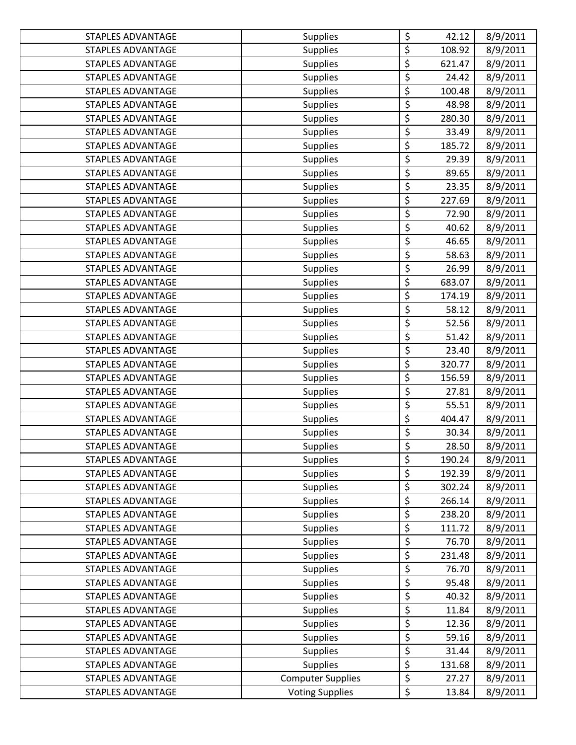| <b>STAPLES ADVANTAGE</b> | <b>Supplies</b>          | \$                                  | 42.12  | 8/9/2011 |
|--------------------------|--------------------------|-------------------------------------|--------|----------|
| <b>STAPLES ADVANTAGE</b> | <b>Supplies</b>          | $\overline{\xi}$                    | 108.92 | 8/9/2011 |
| <b>STAPLES ADVANTAGE</b> | <b>Supplies</b>          | $\overline{\varsigma}$              | 621.47 | 8/9/2011 |
| <b>STAPLES ADVANTAGE</b> | <b>Supplies</b>          | \$                                  | 24.42  | 8/9/2011 |
| <b>STAPLES ADVANTAGE</b> | <b>Supplies</b>          | \$                                  | 100.48 | 8/9/2011 |
| <b>STAPLES ADVANTAGE</b> | <b>Supplies</b>          | \$                                  | 48.98  | 8/9/2011 |
| <b>STAPLES ADVANTAGE</b> | <b>Supplies</b>          | \$                                  | 280.30 | 8/9/2011 |
| <b>STAPLES ADVANTAGE</b> | <b>Supplies</b>          | $\overline{\xi}$                    | 33.49  | 8/9/2011 |
| <b>STAPLES ADVANTAGE</b> | <b>Supplies</b>          | \$                                  | 185.72 | 8/9/2011 |
| <b>STAPLES ADVANTAGE</b> | <b>Supplies</b>          | $\overline{\xi}$                    | 29.39  | 8/9/2011 |
| <b>STAPLES ADVANTAGE</b> | <b>Supplies</b>          | $\overline{\varsigma}$              | 89.65  | 8/9/2011 |
| <b>STAPLES ADVANTAGE</b> | <b>Supplies</b>          | $\overline{\xi}$                    | 23.35  | 8/9/2011 |
| <b>STAPLES ADVANTAGE</b> | <b>Supplies</b>          | \$                                  | 227.69 | 8/9/2011 |
| <b>STAPLES ADVANTAGE</b> | <b>Supplies</b>          | \$                                  | 72.90  | 8/9/2011 |
| <b>STAPLES ADVANTAGE</b> | <b>Supplies</b>          | $\overline{\xi}$                    | 40.62  | 8/9/2011 |
| <b>STAPLES ADVANTAGE</b> | <b>Supplies</b>          | \$                                  | 46.65  | 8/9/2011 |
| STAPLES ADVANTAGE        | <b>Supplies</b>          | $\overline{\xi}$                    | 58.63  | 8/9/2011 |
| <b>STAPLES ADVANTAGE</b> | <b>Supplies</b>          | $\overline{\boldsymbol{\varsigma}}$ | 26.99  | 8/9/2011 |
| <b>STAPLES ADVANTAGE</b> | <b>Supplies</b>          | $\overline{\xi}$                    | 683.07 | 8/9/2011 |
| <b>STAPLES ADVANTAGE</b> | <b>Supplies</b>          | \$                                  | 174.19 | 8/9/2011 |
| <b>STAPLES ADVANTAGE</b> | <b>Supplies</b>          | $\overline{\xi}$                    | 58.12  | 8/9/2011 |
| <b>STAPLES ADVANTAGE</b> | <b>Supplies</b>          | $\overline{\xi}$                    | 52.56  | 8/9/2011 |
| <b>STAPLES ADVANTAGE</b> | <b>Supplies</b>          | $\overline{\xi}$                    | 51.42  | 8/9/2011 |
| <b>STAPLES ADVANTAGE</b> | <b>Supplies</b>          | $\overline{\xi}$                    | 23.40  | 8/9/2011 |
| <b>STAPLES ADVANTAGE</b> | <b>Supplies</b>          | $\overline{\xi}$                    | 320.77 | 8/9/2011 |
| <b>STAPLES ADVANTAGE</b> | <b>Supplies</b>          | \$                                  | 156.59 | 8/9/2011 |
| <b>STAPLES ADVANTAGE</b> | <b>Supplies</b>          | $\overline{\xi}$                    | 27.81  | 8/9/2011 |
| <b>STAPLES ADVANTAGE</b> | <b>Supplies</b>          | $\overline{\xi}$                    | 55.51  | 8/9/2011 |
| <b>STAPLES ADVANTAGE</b> | <b>Supplies</b>          | $\overline{\xi}$                    | 404.47 | 8/9/2011 |
| <b>STAPLES ADVANTAGE</b> | <b>Supplies</b>          | $\overline{\xi}$                    | 30.34  | 8/9/2011 |
| <b>STAPLES ADVANTAGE</b> | <b>Supplies</b>          | $\overline{\xi}$                    | 28.50  | 8/9/2011 |
| <b>STAPLES ADVANTAGE</b> | <b>Supplies</b>          | \$                                  | 190.24 | 8/9/2011 |
| <b>STAPLES ADVANTAGE</b> | <b>Supplies</b>          | \$                                  | 192.39 | 8/9/2011 |
| <b>STAPLES ADVANTAGE</b> | <b>Supplies</b>          | \$                                  | 302.24 | 8/9/2011 |
| <b>STAPLES ADVANTAGE</b> | <b>Supplies</b>          | $\overline{\boldsymbol{\zeta}}$     | 266.14 | 8/9/2011 |
| <b>STAPLES ADVANTAGE</b> | <b>Supplies</b>          | $\overline{\boldsymbol{\zeta}}$     | 238.20 | 8/9/2011 |
| <b>STAPLES ADVANTAGE</b> | <b>Supplies</b>          | \$                                  | 111.72 | 8/9/2011 |
| <b>STAPLES ADVANTAGE</b> | <b>Supplies</b>          | \$                                  | 76.70  | 8/9/2011 |
| STAPLES ADVANTAGE        | <b>Supplies</b>          | \$                                  | 231.48 | 8/9/2011 |
| <b>STAPLES ADVANTAGE</b> | <b>Supplies</b>          | \$                                  | 76.70  | 8/9/2011 |
| <b>STAPLES ADVANTAGE</b> | <b>Supplies</b>          | $\overline{\xi}$                    | 95.48  | 8/9/2011 |
| STAPLES ADVANTAGE        | <b>Supplies</b>          | $\overline{\varsigma}$              | 40.32  | 8/9/2011 |
| <b>STAPLES ADVANTAGE</b> | <b>Supplies</b>          | $\overline{\xi}$                    | 11.84  | 8/9/2011 |
| <b>STAPLES ADVANTAGE</b> | <b>Supplies</b>          | \$                                  | 12.36  | 8/9/2011 |
| <b>STAPLES ADVANTAGE</b> | <b>Supplies</b>          | $\overline{\xi}$                    | 59.16  | 8/9/2011 |
| STAPLES ADVANTAGE        | <b>Supplies</b>          | $\overline{\boldsymbol{\varsigma}}$ | 31.44  | 8/9/2011 |
| <b>STAPLES ADVANTAGE</b> | <b>Supplies</b>          | \$                                  | 131.68 | 8/9/2011 |
| <b>STAPLES ADVANTAGE</b> | <b>Computer Supplies</b> | $\boldsymbol{\xi}$                  | 27.27  | 8/9/2011 |
| <b>STAPLES ADVANTAGE</b> | <b>Voting Supplies</b>   | $\overline{\xi}$                    | 13.84  | 8/9/2011 |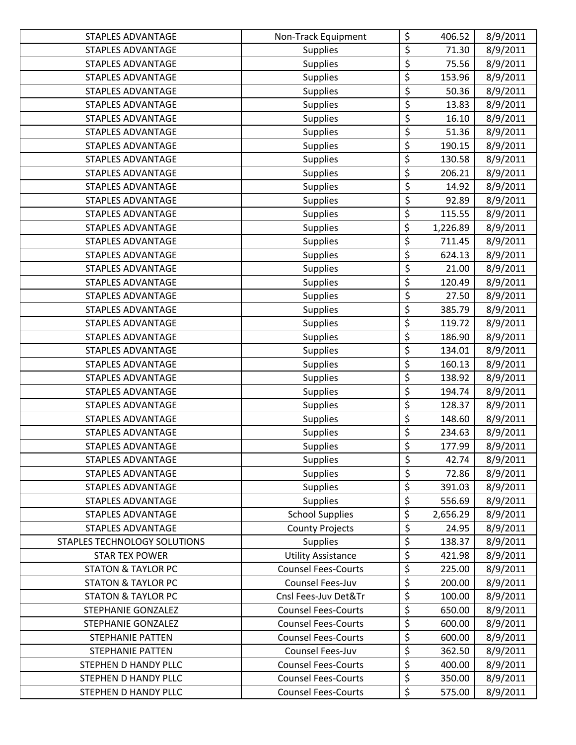| STAPLES ADVANTAGE             | Non-Track Equipment        | \$                                  | 406.52   | 8/9/2011 |
|-------------------------------|----------------------------|-------------------------------------|----------|----------|
| <b>STAPLES ADVANTAGE</b>      | <b>Supplies</b>            | \$                                  | 71.30    | 8/9/2011 |
| <b>STAPLES ADVANTAGE</b>      | <b>Supplies</b>            | $\overline{\boldsymbol{\varsigma}}$ | 75.56    | 8/9/2011 |
| <b>STAPLES ADVANTAGE</b>      | <b>Supplies</b>            | $\overline{\xi}$                    | 153.96   | 8/9/2011 |
| <b>STAPLES ADVANTAGE</b>      | <b>Supplies</b>            | $\overline{\xi}$                    | 50.36    | 8/9/2011 |
| <b>STAPLES ADVANTAGE</b>      | <b>Supplies</b>            | $\overline{\xi}$                    | 13.83    | 8/9/2011 |
| <b>STAPLES ADVANTAGE</b>      | <b>Supplies</b>            | \$                                  | 16.10    | 8/9/2011 |
| STAPLES ADVANTAGE             | <b>Supplies</b>            | $\overline{\xi}$                    | 51.36    | 8/9/2011 |
| <b>STAPLES ADVANTAGE</b>      | <b>Supplies</b>            | $\overline{\boldsymbol{\zeta}}$     | 190.15   | 8/9/2011 |
| <b>STAPLES ADVANTAGE</b>      | <b>Supplies</b>            | \$                                  | 130.58   | 8/9/2011 |
| <b>STAPLES ADVANTAGE</b>      | <b>Supplies</b>            | \$                                  | 206.21   | 8/9/2011 |
| <b>STAPLES ADVANTAGE</b>      | <b>Supplies</b>            | $\overline{\xi}$                    | 14.92    | 8/9/2011 |
| <b>STAPLES ADVANTAGE</b>      | <b>Supplies</b>            | \$                                  | 92.89    | 8/9/2011 |
| <b>STAPLES ADVANTAGE</b>      | Supplies                   | \$                                  | 115.55   | 8/9/2011 |
| <b>STAPLES ADVANTAGE</b>      | <b>Supplies</b>            | \$                                  | 1,226.89 | 8/9/2011 |
| <b>STAPLES ADVANTAGE</b>      | <b>Supplies</b>            | \$                                  | 711.45   | 8/9/2011 |
| <b>STAPLES ADVANTAGE</b>      | <b>Supplies</b>            | \$                                  | 624.13   | 8/9/2011 |
| <b>STAPLES ADVANTAGE</b>      | <b>Supplies</b>            | $\overline{\varsigma}$              | 21.00    | 8/9/2011 |
| <b>STAPLES ADVANTAGE</b>      | <b>Supplies</b>            | $\overline{\xi}$                    | 120.49   | 8/9/2011 |
| <b>STAPLES ADVANTAGE</b>      | <b>Supplies</b>            | $\overline{\xi}$                    | 27.50    | 8/9/2011 |
| <b>STAPLES ADVANTAGE</b>      | <b>Supplies</b>            | $\overline{\boldsymbol{\zeta}}$     | 385.79   | 8/9/2011 |
| <b>STAPLES ADVANTAGE</b>      | <b>Supplies</b>            | \$                                  | 119.72   | 8/9/2011 |
| <b>STAPLES ADVANTAGE</b>      | <b>Supplies</b>            | \$                                  | 186.90   | 8/9/2011 |
| <b>STAPLES ADVANTAGE</b>      | <b>Supplies</b>            | $\overline{\boldsymbol{\zeta}}$     | 134.01   | 8/9/2011 |
| STAPLES ADVANTAGE             | <b>Supplies</b>            | $\overline{\xi}$                    | 160.13   | 8/9/2011 |
| STAPLES ADVANTAGE             | <b>Supplies</b>            | $\overline{\xi}$                    | 138.92   | 8/9/2011 |
| <b>STAPLES ADVANTAGE</b>      | Supplies                   | \$                                  | 194.74   | 8/9/2011 |
| <b>STAPLES ADVANTAGE</b>      | <b>Supplies</b>            | \$                                  | 128.37   | 8/9/2011 |
| <b>STAPLES ADVANTAGE</b>      | <b>Supplies</b>            | $\overline{\xi}$                    | 148.60   | 8/9/2011 |
| <b>STAPLES ADVANTAGE</b>      | <b>Supplies</b>            | \$                                  | 234.63   | 8/9/2011 |
| <b>STAPLES ADVANTAGE</b>      | <b>Supplies</b>            | $\overline{\xi}$                    | 177.99   | 8/9/2011 |
| STAPLES ADVANTAGE             | <b>Supplies</b>            | \$                                  | 42.74    | 8/9/2011 |
| <b>STAPLES ADVANTAGE</b>      | <b>Supplies</b>            | \$                                  | 72.86    | 8/9/2011 |
| <b>STAPLES ADVANTAGE</b>      | <b>Supplies</b>            | \$                                  | 391.03   | 8/9/2011 |
| <b>STAPLES ADVANTAGE</b>      | Supplies                   | $\overline{\varsigma}$              | 556.69   | 8/9/2011 |
| <b>STAPLES ADVANTAGE</b>      | <b>School Supplies</b>     | \$                                  | 2,656.29 | 8/9/2011 |
| <b>STAPLES ADVANTAGE</b>      | <b>County Projects</b>     | \$                                  | 24.95    | 8/9/2011 |
| STAPLES TECHNOLOGY SOLUTIONS  | <b>Supplies</b>            | \$                                  | 138.37   | 8/9/2011 |
| <b>STAR TEX POWER</b>         | <b>Utility Assistance</b>  | $\overline{\xi}$                    | 421.98   | 8/9/2011 |
| <b>STATON &amp; TAYLOR PC</b> | <b>Counsel Fees-Courts</b> | $\overline{\xi}$                    | 225.00   | 8/9/2011 |
| <b>STATON &amp; TAYLOR PC</b> | Counsel Fees-Juv           | $\overline{\xi}$                    | 200.00   | 8/9/2011 |
| <b>STATON &amp; TAYLOR PC</b> | Cnsl Fees-Juv Det&Tr       | \$                                  | 100.00   | 8/9/2011 |
| STEPHANIE GONZALEZ            | <b>Counsel Fees-Courts</b> | $\overline{\varsigma}$              | 650.00   | 8/9/2011 |
| STEPHANIE GONZALEZ            | <b>Counsel Fees-Courts</b> | \$                                  | 600.00   | 8/9/2011 |
| <b>STEPHANIE PATTEN</b>       | <b>Counsel Fees-Courts</b> | $\overline{\xi}$                    | 600.00   | 8/9/2011 |
| STEPHANIE PATTEN              | Counsel Fees-Juv           | \$                                  | 362.50   | 8/9/2011 |
| STEPHEN D HANDY PLLC          | <b>Counsel Fees-Courts</b> | \$                                  | 400.00   | 8/9/2011 |
| STEPHEN D HANDY PLLC          | <b>Counsel Fees-Courts</b> | \$                                  | 350.00   | 8/9/2011 |
| STEPHEN D HANDY PLLC          | <b>Counsel Fees-Courts</b> | \$                                  | 575.00   | 8/9/2011 |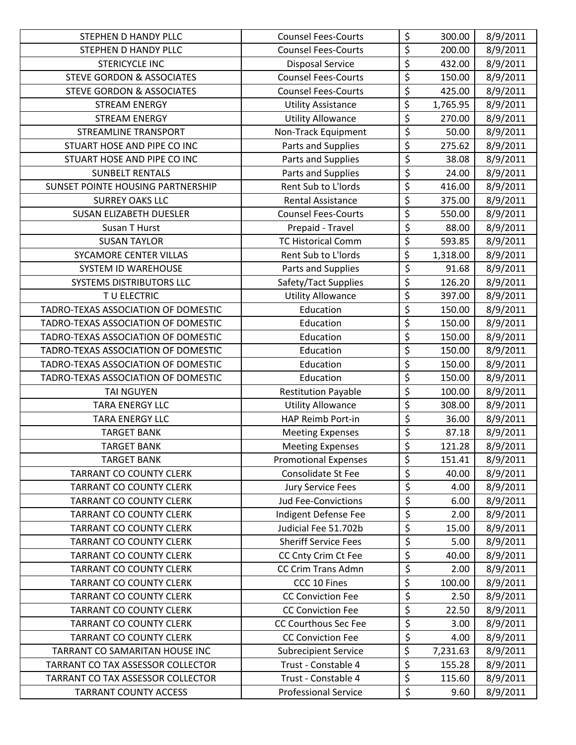| STEPHEN D HANDY PLLC                 | <b>Counsel Fees-Courts</b>  | \$                                  | 300.00   | 8/9/2011 |
|--------------------------------------|-----------------------------|-------------------------------------|----------|----------|
| STEPHEN D HANDY PLLC                 | <b>Counsel Fees-Courts</b>  | \$                                  | 200.00   | 8/9/2011 |
| <b>STERICYCLE INC</b>                | <b>Disposal Service</b>     | \$                                  | 432.00   | 8/9/2011 |
| <b>STEVE GORDON &amp; ASSOCIATES</b> | <b>Counsel Fees-Courts</b>  | \$                                  | 150.00   | 8/9/2011 |
| <b>STEVE GORDON &amp; ASSOCIATES</b> | <b>Counsel Fees-Courts</b>  | $\overline{\xi}$                    | 425.00   | 8/9/2011 |
| <b>STREAM ENERGY</b>                 | <b>Utility Assistance</b>   | \$                                  | 1,765.95 | 8/9/2011 |
| <b>STREAM ENERGY</b>                 | <b>Utility Allowance</b>    | \$                                  | 270.00   | 8/9/2011 |
| <b>STREAMLINE TRANSPORT</b>          | Non-Track Equipment         | $\overline{\xi}$                    | 50.00    | 8/9/2011 |
| STUART HOSE AND PIPE CO INC          | Parts and Supplies          | \$                                  | 275.62   | 8/9/2011 |
| STUART HOSE AND PIPE CO INC          | Parts and Supplies          | $\overline{\boldsymbol{\varsigma}}$ | 38.08    | 8/9/2011 |
| <b>SUNBELT RENTALS</b>               | Parts and Supplies          | $\overline{\xi}$                    | 24.00    | 8/9/2011 |
| SUNSET POINTE HOUSING PARTNERSHIP    | Rent Sub to L'Iords         | \$                                  | 416.00   | 8/9/2011 |
| <b>SURREY OAKS LLC</b>               | <b>Rental Assistance</b>    | \$                                  | 375.00   | 8/9/2011 |
| <b>SUSAN ELIZABETH DUESLER</b>       | <b>Counsel Fees-Courts</b>  | $\overline{\xi}$                    | 550.00   | 8/9/2011 |
| Susan T Hurst                        | Prepaid - Travel            | $\overline{\xi}$                    | 88.00    | 8/9/2011 |
| <b>SUSAN TAYLOR</b>                  | <b>TC Historical Comm</b>   | \$                                  | 593.85   | 8/9/2011 |
| SYCAMORE CENTER VILLAS               | Rent Sub to L'Iords         | \$                                  | 1,318.00 | 8/9/2011 |
| SYSTEM ID WAREHOUSE                  | Parts and Supplies          | $\overline{\xi}$                    | 91.68    | 8/9/2011 |
| SYSTEMS DISTRIBUTORS LLC             | Safety/Tact Supplies        | \$                                  | 126.20   | 8/9/2011 |
| TU ELECTRIC                          | <b>Utility Allowance</b>    | \$                                  | 397.00   | 8/9/2011 |
| TADRO-TEXAS ASSOCIATION OF DOMESTIC  | Education                   | \$                                  | 150.00   | 8/9/2011 |
| TADRO-TEXAS ASSOCIATION OF DOMESTIC  | Education                   | \$                                  | 150.00   | 8/9/2011 |
| TADRO-TEXAS ASSOCIATION OF DOMESTIC  | Education                   | \$                                  | 150.00   | 8/9/2011 |
| TADRO-TEXAS ASSOCIATION OF DOMESTIC  | Education                   | $\overline{\boldsymbol{\zeta}}$     | 150.00   | 8/9/2011 |
| TADRO-TEXAS ASSOCIATION OF DOMESTIC  | Education                   | \$                                  | 150.00   | 8/9/2011 |
| TADRO-TEXAS ASSOCIATION OF DOMESTIC  | Education                   | \$                                  | 150.00   | 8/9/2011 |
| <b>TAI NGUYEN</b>                    | <b>Restitution Payable</b>  | $\overline{\xi}$                    | 100.00   | 8/9/2011 |
| <b>TARA ENERGY LLC</b>               | <b>Utility Allowance</b>    | $\overline{\xi}$                    | 308.00   | 8/9/2011 |
| <b>TARA ENERGY LLC</b>               | HAP Reimb Port-in           | $\overline{\xi}$                    | 36.00    | 8/9/2011 |
| <b>TARGET BANK</b>                   | <b>Meeting Expenses</b>     | $\overline{\xi}$                    | 87.18    | 8/9/2011 |
| <b>TARGET BANK</b>                   | <b>Meeting Expenses</b>     | \$                                  | 121.28   | 8/9/2011 |
| <b>TARGET BANK</b>                   | <b>Promotional Expenses</b> | \$                                  | 151.41   | 8/9/2011 |
| <b>TARRANT CO COUNTY CLERK</b>       | Consolidate St Fee          | \$                                  | 40.00    | 8/9/2011 |
| <b>TARRANT CO COUNTY CLERK</b>       | <b>Jury Service Fees</b>    | \$                                  | 4.00     | 8/9/2011 |
| <b>TARRANT CO COUNTY CLERK</b>       | <b>Jud Fee-Convictions</b>  | $\overline{\xi}$                    | 6.00     | 8/9/2011 |
| <b>TARRANT CO COUNTY CLERK</b>       | Indigent Defense Fee        | \$                                  | 2.00     | 8/9/2011 |
| <b>TARRANT CO COUNTY CLERK</b>       | Judicial Fee 51.702b        | \$                                  | 15.00    | 8/9/2011 |
| <b>TARRANT CO COUNTY CLERK</b>       | <b>Sheriff Service Fees</b> | \$                                  | 5.00     | 8/9/2011 |
| <b>TARRANT CO COUNTY CLERK</b>       | CC Cnty Crim Ct Fee         | $\overline{\xi}$                    | 40.00    | 8/9/2011 |
| <b>TARRANT CO COUNTY CLERK</b>       | CC Crim Trans Admn          | \$                                  | 2.00     | 8/9/2011 |
| <b>TARRANT CO COUNTY CLERK</b>       | CCC 10 Fines                | $\overline{\xi}$                    | 100.00   | 8/9/2011 |
| <b>TARRANT CO COUNTY CLERK</b>       | <b>CC Conviction Fee</b>    | \$                                  | 2.50     | 8/9/2011 |
| <b>TARRANT CO COUNTY CLERK</b>       | <b>CC Conviction Fee</b>    | $\overline{\xi}$                    | 22.50    | 8/9/2011 |
| <b>TARRANT CO COUNTY CLERK</b>       | CC Courthous Sec Fee        | \$                                  | 3.00     | 8/9/2011 |
| <b>TARRANT CO COUNTY CLERK</b>       | <b>CC Conviction Fee</b>    | \$                                  | 4.00     | 8/9/2011 |
| TARRANT CO SAMARITAN HOUSE INC       | <b>Subrecipient Service</b> | \$                                  | 7,231.63 | 8/9/2011 |
| TARRANT CO TAX ASSESSOR COLLECTOR    | Trust - Constable 4         | \$                                  | 155.28   | 8/9/2011 |
| TARRANT CO TAX ASSESSOR COLLECTOR    | Trust - Constable 4         | $\boldsymbol{\zeta}$                | 115.60   | 8/9/2011 |
| <b>TARRANT COUNTY ACCESS</b>         | <b>Professional Service</b> | \$                                  | 9.60     | 8/9/2011 |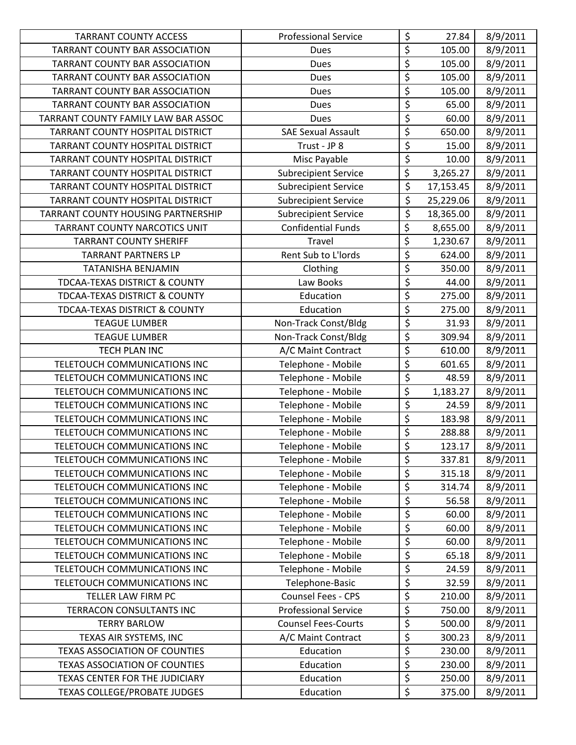| <b>TARRANT COUNTY ACCESS</b>             | <b>Professional Service</b> | \$                                  | 27.84     | 8/9/2011 |
|------------------------------------------|-----------------------------|-------------------------------------|-----------|----------|
| TARRANT COUNTY BAR ASSOCIATION           | Dues                        | \$                                  | 105.00    | 8/9/2011 |
| TARRANT COUNTY BAR ASSOCIATION           | <b>Dues</b>                 | $\overline{\xi}$                    | 105.00    | 8/9/2011 |
| TARRANT COUNTY BAR ASSOCIATION           | <b>Dues</b>                 | \$                                  | 105.00    | 8/9/2011 |
| <b>TARRANT COUNTY BAR ASSOCIATION</b>    | Dues                        | $\overline{\xi}$                    | 105.00    | 8/9/2011 |
| TARRANT COUNTY BAR ASSOCIATION           | Dues                        | $\overline{\xi}$                    | 65.00     | 8/9/2011 |
| TARRANT COUNTY FAMILY LAW BAR ASSOC      | <b>Dues</b>                 | $\overline{\varsigma}$              | 60.00     | 8/9/2011 |
| TARRANT COUNTY HOSPITAL DISTRICT         | <b>SAE Sexual Assault</b>   | $\overline{\xi}$                    | 650.00    | 8/9/2011 |
| TARRANT COUNTY HOSPITAL DISTRICT         | Trust - JP 8                | $\overline{\xi}$                    | 15.00     | 8/9/2011 |
| TARRANT COUNTY HOSPITAL DISTRICT         | Misc Payable                | $\overline{\varsigma}$              | 10.00     | 8/9/2011 |
| TARRANT COUNTY HOSPITAL DISTRICT         | <b>Subrecipient Service</b> | $\overline{\xi}$                    | 3,265.27  | 8/9/2011 |
| TARRANT COUNTY HOSPITAL DISTRICT         | <b>Subrecipient Service</b> | \$                                  | 17,153.45 | 8/9/2011 |
| TARRANT COUNTY HOSPITAL DISTRICT         | <b>Subrecipient Service</b> | \$                                  | 25,229.06 | 8/9/2011 |
| TARRANT COUNTY HOUSING PARTNERSHIP       | <b>Subrecipient Service</b> | \$                                  | 18,365.00 | 8/9/2011 |
| TARRANT COUNTY NARCOTICS UNIT            | <b>Confidential Funds</b>   | $\overline{\xi}$                    | 8,655.00  | 8/9/2011 |
| <b>TARRANT COUNTY SHERIFF</b>            | Travel                      | \$                                  | 1,230.67  | 8/9/2011 |
| <b>TARRANT PARTNERS LP</b>               | Rent Sub to L'Iords         | $\overline{\xi}$                    | 624.00    | 8/9/2011 |
| TATANISHA BENJAMIN                       | Clothing                    | $\overline{\xi}$                    | 350.00    | 8/9/2011 |
| <b>TDCAA-TEXAS DISTRICT &amp; COUNTY</b> | Law Books                   | \$                                  | 44.00     | 8/9/2011 |
| TDCAA-TEXAS DISTRICT & COUNTY            | Education                   | $\overline{\xi}$                    | 275.00    | 8/9/2011 |
| TDCAA-TEXAS DISTRICT & COUNTY            | Education                   | $\overline{\xi}$                    | 275.00    | 8/9/2011 |
| <b>TEAGUE LUMBER</b>                     | Non-Track Const/Bldg        | $\overline{\xi}$                    | 31.93     | 8/9/2011 |
| <b>TEAGUE LUMBER</b>                     | Non-Track Const/Bldg        | $\overline{\xi}$                    | 309.94    | 8/9/2011 |
| <b>TECH PLAN INC</b>                     | A/C Maint Contract          | $\overline{\xi}$                    | 610.00    | 8/9/2011 |
| TELETOUCH COMMUNICATIONS INC             | Telephone - Mobile          | $\overline{\xi}$                    | 601.65    | 8/9/2011 |
| TELETOUCH COMMUNICATIONS INC             | Telephone - Mobile          | \$                                  | 48.59     | 8/9/2011 |
| TELETOUCH COMMUNICATIONS INC             | Telephone - Mobile          | $\overline{\xi}$                    | 1,183.27  | 8/9/2011 |
| TELETOUCH COMMUNICATIONS INC             | Telephone - Mobile          | $\overline{\xi}$                    | 24.59     | 8/9/2011 |
| TELETOUCH COMMUNICATIONS INC             | Telephone - Mobile          | $\overline{\xi}$                    | 183.98    | 8/9/2011 |
| TELETOUCH COMMUNICATIONS INC             | Telephone - Mobile          | \$                                  | 288.88    | 8/9/2011 |
| TELETOUCH COMMUNICATIONS INC             | Telephone - Mobile          | $\overline{\xi}$                    | 123.17    | 8/9/2011 |
| TELETOUCH COMMUNICATIONS INC             | Telephone - Mobile          | \$                                  | 337.81    | 8/9/2011 |
| TELETOUCH COMMUNICATIONS INC             | Telephone - Mobile          | \$                                  | 315.18    | 8/9/2011 |
| TELETOUCH COMMUNICATIONS INC             | Telephone - Mobile          | $\overline{\boldsymbol{\varsigma}}$ | 314.74    | 8/9/2011 |
| TELETOUCH COMMUNICATIONS INC             | Telephone - Mobile          | \$                                  | 56.58     | 8/9/2011 |
| TELETOUCH COMMUNICATIONS INC             | Telephone - Mobile          | $\overline{\varsigma}$              | 60.00     | 8/9/2011 |
| TELETOUCH COMMUNICATIONS INC             | Telephone - Mobile          | $\zeta$                             | 60.00     | 8/9/2011 |
| TELETOUCH COMMUNICATIONS INC             | Telephone - Mobile          | \$                                  | 60.00     | 8/9/2011 |
| TELETOUCH COMMUNICATIONS INC             | Telephone - Mobile          | $\overline{\varsigma}$              | 65.18     | 8/9/2011 |
| TELETOUCH COMMUNICATIONS INC             | Telephone - Mobile          | $\overline{\xi}$                    | 24.59     | 8/9/2011 |
| TELETOUCH COMMUNICATIONS INC             | Telephone-Basic             | \$                                  | 32.59     | 8/9/2011 |
| TELLER LAW FIRM PC                       | Counsel Fees - CPS          | \$                                  | 210.00    | 8/9/2011 |
| TERRACON CONSULTANTS INC                 | <b>Professional Service</b> | $\overline{\xi}$                    | 750.00    | 8/9/2011 |
| <b>TERRY BARLOW</b>                      | <b>Counsel Fees-Courts</b>  | $\boldsymbol{\dot{\varsigma}}$      | 500.00    | 8/9/2011 |
| TEXAS AIR SYSTEMS, INC                   | A/C Maint Contract          | $\boldsymbol{\dot{\varsigma}}$      | 300.23    | 8/9/2011 |
| TEXAS ASSOCIATION OF COUNTIES            | Education                   | $\overline{\xi}$                    | 230.00    | 8/9/2011 |
| TEXAS ASSOCIATION OF COUNTIES            | Education                   | \$                                  | 230.00    | 8/9/2011 |
| TEXAS CENTER FOR THE JUDICIARY           | Education                   | $\boldsymbol{\dot{\varsigma}}$      | 250.00    | 8/9/2011 |
| <b>TEXAS COLLEGE/PROBATE JUDGES</b>      | Education                   | \$                                  | 375.00    | 8/9/2011 |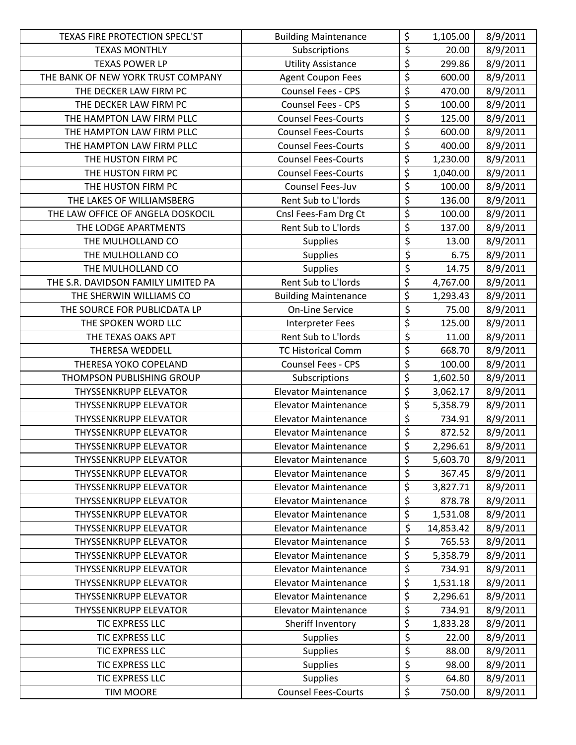| TEXAS FIRE PROTECTION SPECL'ST      | <b>Building Maintenance</b> | \$                              | 1,105.00  | 8/9/2011 |
|-------------------------------------|-----------------------------|---------------------------------|-----------|----------|
| <b>TEXAS MONTHLY</b>                | Subscriptions               | \$                              | 20.00     | 8/9/2011 |
| <b>TEXAS POWER LP</b>               | <b>Utility Assistance</b>   | $\overline{\xi}$                | 299.86    | 8/9/2011 |
| THE BANK OF NEW YORK TRUST COMPANY  | <b>Agent Coupon Fees</b>    | \$                              | 600.00    | 8/9/2011 |
| THE DECKER LAW FIRM PC              | Counsel Fees - CPS          | $\overline{\xi}$                | 470.00    | 8/9/2011 |
| THE DECKER LAW FIRM PC              | Counsel Fees - CPS          | $\overline{\xi}$                | 100.00    | 8/9/2011 |
| THE HAMPTON LAW FIRM PLLC           | <b>Counsel Fees-Courts</b>  | $\overline{\varsigma}$          | 125.00    | 8/9/2011 |
| THE HAMPTON LAW FIRM PLLC           | <b>Counsel Fees-Courts</b>  | \$                              | 600.00    | 8/9/2011 |
| THE HAMPTON LAW FIRM PLLC           | <b>Counsel Fees-Courts</b>  | $\overline{\xi}$                | 400.00    | 8/9/2011 |
| THE HUSTON FIRM PC                  | <b>Counsel Fees-Courts</b>  | \$                              | 1,230.00  | 8/9/2011 |
| THE HUSTON FIRM PC                  | <b>Counsel Fees-Courts</b>  | \$                              | 1,040.00  | 8/9/2011 |
| THE HUSTON FIRM PC                  | Counsel Fees-Juv            | $\overline{\xi}$                | 100.00    | 8/9/2011 |
| THE LAKES OF WILLIAMSBERG           | Rent Sub to L'Iords         | \$                              | 136.00    | 8/9/2011 |
| THE LAW OFFICE OF ANGELA DOSKOCIL   | Cnsl Fees-Fam Drg Ct        | $\overline{\varsigma}$          | 100.00    | 8/9/2011 |
| THE LODGE APARTMENTS                | Rent Sub to L'Iords         | $\overline{\xi}$                | 137.00    | 8/9/2011 |
| THE MULHOLLAND CO                   | <b>Supplies</b>             | \$                              | 13.00     | 8/9/2011 |
| THE MULHOLLAND CO                   | <b>Supplies</b>             | $\overline{\xi}$                | 6.75      | 8/9/2011 |
| THE MULHOLLAND CO                   | <b>Supplies</b>             | $\overline{\xi}$                | 14.75     | 8/9/2011 |
| THE S.R. DAVIDSON FAMILY LIMITED PA | Rent Sub to L'Iords         | $\overline{\xi}$                | 4,767.00  | 8/9/2011 |
| THE SHERWIN WILLIAMS CO             | <b>Building Maintenance</b> | \$                              | 1,293.43  | 8/9/2011 |
| THE SOURCE FOR PUBLICDATA LP        | <b>On-Line Service</b>      | $\overline{\xi}$                | 75.00     | 8/9/2011 |
| THE SPOKEN WORD LLC                 | Interpreter Fees            | $\overline{\xi}$                | 125.00    | 8/9/2011 |
| THE TEXAS OAKS APT                  | Rent Sub to L'Iords         | \$                              | 11.00     | 8/9/2011 |
| THERESA WEDDELL                     | <b>TC Historical Comm</b>   | $\overline{\boldsymbol{\zeta}}$ | 668.70    | 8/9/2011 |
| THERESA YOKO COPELAND               | Counsel Fees - CPS          | $\overline{\xi}$                | 100.00    | 8/9/2011 |
| THOMPSON PUBLISHING GROUP           | Subscriptions               | \$                              | 1,602.50  | 8/9/2011 |
| <b>THYSSENKRUPP ELEVATOR</b>        | <b>Elevator Maintenance</b> | \$                              | 3,062.17  | 8/9/2011 |
| <b>THYSSENKRUPP ELEVATOR</b>        | <b>Elevator Maintenance</b> | $\overline{\xi}$                | 5,358.79  | 8/9/2011 |
| <b>THYSSENKRUPP ELEVATOR</b>        | <b>Elevator Maintenance</b> | \$                              | 734.91    | 8/9/2011 |
| <b>THYSSENKRUPP ELEVATOR</b>        | <b>Elevator Maintenance</b> | \$                              | 872.52    | 8/9/2011 |
| <b>THYSSENKRUPP ELEVATOR</b>        | <b>Elevator Maintenance</b> | $\overline{\mathsf{S}}$         | 2,296.61  | 8/9/2011 |
| <b>THYSSENKRUPP ELEVATOR</b>        | <b>Elevator Maintenance</b> | \$                              | 5,603.70  | 8/9/2011 |
| <b>THYSSENKRUPP ELEVATOR</b>        | <b>Elevator Maintenance</b> | \$                              | 367.45    | 8/9/2011 |
| <b>THYSSENKRUPP ELEVATOR</b>        | <b>Elevator Maintenance</b> | \$                              | 3,827.71  | 8/9/2011 |
| <b>THYSSENKRUPP ELEVATOR</b>        | <b>Elevator Maintenance</b> | \$                              | 878.78    | 8/9/2011 |
| <b>THYSSENKRUPP ELEVATOR</b>        | <b>Elevator Maintenance</b> | $\overline{\mathcal{S}}$        | 1,531.08  | 8/9/2011 |
| <b>THYSSENKRUPP ELEVATOR</b>        | <b>Elevator Maintenance</b> | \$                              | 14,853.42 | 8/9/2011 |
| <b>THYSSENKRUPP ELEVATOR</b>        | <b>Elevator Maintenance</b> | \$                              | 765.53    | 8/9/2011 |
| THYSSENKRUPP ELEVATOR               | <b>Elevator Maintenance</b> | \$                              | 5,358.79  | 8/9/2011 |
| <b>THYSSENKRUPP ELEVATOR</b>        | <b>Elevator Maintenance</b> | \$                              | 734.91    | 8/9/2011 |
| <b>THYSSENKRUPP ELEVATOR</b>        | <b>Elevator Maintenance</b> | \$                              | 1,531.18  | 8/9/2011 |
| <b>THYSSENKRUPP ELEVATOR</b>        | <b>Elevator Maintenance</b> | \$                              | 2,296.61  | 8/9/2011 |
| <b>THYSSENKRUPP ELEVATOR</b>        | <b>Elevator Maintenance</b> | \$                              | 734.91    | 8/9/2011 |
| <b>TIC EXPRESS LLC</b>              | Sheriff Inventory           | \$                              | 1,833.28  | 8/9/2011 |
| TIC EXPRESS LLC                     | <b>Supplies</b>             | \$                              | 22.00     | 8/9/2011 |
| TIC EXPRESS LLC                     | <b>Supplies</b>             | $\overline{\varsigma}$          | 88.00     | 8/9/2011 |
| TIC EXPRESS LLC                     | <b>Supplies</b>             | \$                              | 98.00     | 8/9/2011 |
| <b>TIC EXPRESS LLC</b>              | <b>Supplies</b>             | \$                              | 64.80     | 8/9/2011 |
| <b>TIM MOORE</b>                    | <b>Counsel Fees-Courts</b>  | \$                              | 750.00    | 8/9/2011 |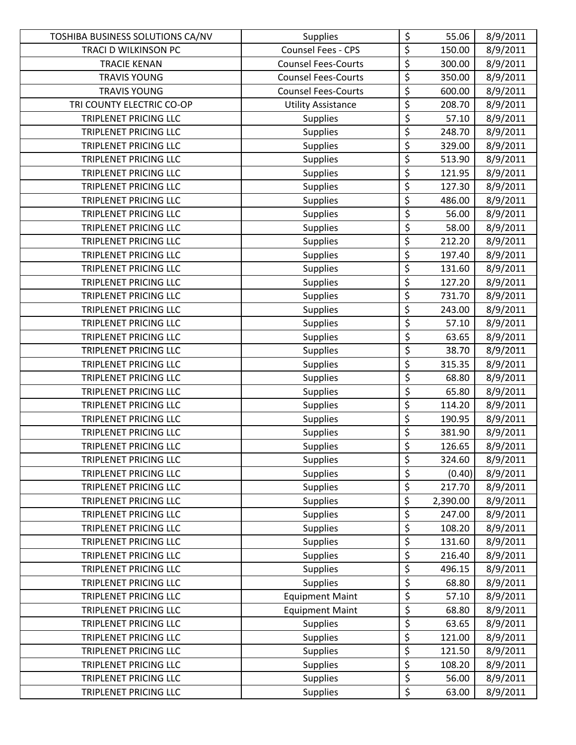| TOSHIBA BUSINESS SOLUTIONS CA/NV | <b>Supplies</b>            | \$                                  | 55.06    | 8/9/2011 |
|----------------------------------|----------------------------|-------------------------------------|----------|----------|
| TRACI D WILKINSON PC             | Counsel Fees - CPS         | $\overline{\xi}$                    | 150.00   | 8/9/2011 |
| <b>TRACIE KENAN</b>              | <b>Counsel Fees-Courts</b> | \$                                  | 300.00   | 8/9/2011 |
| <b>TRAVIS YOUNG</b>              | <b>Counsel Fees-Courts</b> | \$                                  | 350.00   | 8/9/2011 |
| <b>TRAVIS YOUNG</b>              | <b>Counsel Fees-Courts</b> | $\overline{\xi}$                    | 600.00   | 8/9/2011 |
| TRI COUNTY ELECTRIC CO-OP        | <b>Utility Assistance</b>  | \$                                  | 208.70   | 8/9/2011 |
| TRIPLENET PRICING LLC            | Supplies                   | $\overline{\xi}$                    | 57.10    | 8/9/2011 |
| TRIPLENET PRICING LLC            | <b>Supplies</b>            | \$                                  | 248.70   | 8/9/2011 |
| <b>TRIPLENET PRICING LLC</b>     | <b>Supplies</b>            | \$                                  | 329.00   | 8/9/2011 |
| TRIPLENET PRICING LLC            | <b>Supplies</b>            | $\overline{\xi}$                    | 513.90   | 8/9/2011 |
| TRIPLENET PRICING LLC            | <b>Supplies</b>            | \$                                  | 121.95   | 8/9/2011 |
| <b>TRIPLENET PRICING LLC</b>     | <b>Supplies</b>            | \$                                  | 127.30   | 8/9/2011 |
| TRIPLENET PRICING LLC            | <b>Supplies</b>            | \$                                  | 486.00   | 8/9/2011 |
| TRIPLENET PRICING LLC            | <b>Supplies</b>            | $\overline{\xi}$                    | 56.00    | 8/9/2011 |
| TRIPLENET PRICING LLC            | <b>Supplies</b>            | $\overline{\xi}$                    | 58.00    | 8/9/2011 |
| <b>TRIPLENET PRICING LLC</b>     | <b>Supplies</b>            | \$                                  | 212.20   | 8/9/2011 |
| TRIPLENET PRICING LLC            | <b>Supplies</b>            | $\overline{\xi}$                    | 197.40   | 8/9/2011 |
| TRIPLENET PRICING LLC            | <b>Supplies</b>            | $\overline{\xi}$                    | 131.60   | 8/9/2011 |
| <b>TRIPLENET PRICING LLC</b>     | <b>Supplies</b>            | \$                                  | 127.20   | 8/9/2011 |
| TRIPLENET PRICING LLC            | <b>Supplies</b>            | \$                                  | 731.70   | 8/9/2011 |
| TRIPLENET PRICING LLC            | <b>Supplies</b>            | $\overline{\xi}$                    | 243.00   | 8/9/2011 |
| TRIPLENET PRICING LLC            | <b>Supplies</b>            | $\overline{\xi}$                    | 57.10    | 8/9/2011 |
| TRIPLENET PRICING LLC            | <b>Supplies</b>            | $\overline{\xi}$                    | 63.65    | 8/9/2011 |
| TRIPLENET PRICING LLC            | <b>Supplies</b>            | $\overline{\xi}$                    | 38.70    | 8/9/2011 |
| TRIPLENET PRICING LLC            | <b>Supplies</b>            | \$                                  | 315.35   | 8/9/2011 |
| TRIPLENET PRICING LLC            | <b>Supplies</b>            | \$                                  | 68.80    | 8/9/2011 |
| TRIPLENET PRICING LLC            | <b>Supplies</b>            | \$                                  | 65.80    | 8/9/2011 |
| <b>TRIPLENET PRICING LLC</b>     | <b>Supplies</b>            | $\overline{\xi}$                    | 114.20   | 8/9/2011 |
| TRIPLENET PRICING LLC            | <b>Supplies</b>            | \$                                  | 190.95   | 8/9/2011 |
| TRIPLENET PRICING LLC            | <b>Supplies</b>            | \$                                  | 381.90   | 8/9/2011 |
| <b>TRIPLENET PRICING LLC</b>     | <b>Supplies</b>            | \$                                  | 126.65   | 8/9/2011 |
| TRIPLENET PRICING LLC            | <b>Supplies</b>            | \$                                  | 324.60   | 8/9/2011 |
| TRIPLENET PRICING LLC            | <b>Supplies</b>            | $\overline{\xi}$                    | (0.40)   | 8/9/2011 |
| TRIPLENET PRICING LLC            | <b>Supplies</b>            | \$                                  | 217.70   | 8/9/2011 |
| TRIPLENET PRICING LLC            | <b>Supplies</b>            | \$                                  | 2,390.00 | 8/9/2011 |
| TRIPLENET PRICING LLC            | <b>Supplies</b>            | \$                                  | 247.00   | 8/9/2011 |
| TRIPLENET PRICING LLC            | <b>Supplies</b>            | \$                                  | 108.20   | 8/9/2011 |
| TRIPLENET PRICING LLC            | <b>Supplies</b>            | \$                                  | 131.60   | 8/9/2011 |
| TRIPLENET PRICING LLC            | <b>Supplies</b>            | \$                                  | 216.40   | 8/9/2011 |
| TRIPLENET PRICING LLC            | <b>Supplies</b>            | \$                                  | 496.15   | 8/9/2011 |
| TRIPLENET PRICING LLC            | <b>Supplies</b>            | $\overline{\xi}$                    | 68.80    | 8/9/2011 |
| TRIPLENET PRICING LLC            | <b>Equipment Maint</b>     | $\overline{\xi}$                    | 57.10    | 8/9/2011 |
| TRIPLENET PRICING LLC            | <b>Equipment Maint</b>     | $\overline{\boldsymbol{\varsigma}}$ | 68.80    | 8/9/2011 |
| TRIPLENET PRICING LLC            | <b>Supplies</b>            | \$                                  | 63.65    | 8/9/2011 |
| TRIPLENET PRICING LLC            | <b>Supplies</b>            | \$                                  | 121.00   | 8/9/2011 |
| TRIPLENET PRICING LLC            | <b>Supplies</b>            | \$                                  | 121.50   | 8/9/2011 |
| TRIPLENET PRICING LLC            | <b>Supplies</b>            | \$                                  | 108.20   | 8/9/2011 |
| TRIPLENET PRICING LLC            | <b>Supplies</b>            | $\overline{\xi}$                    | 56.00    | 8/9/2011 |
| TRIPLENET PRICING LLC            | <b>Supplies</b>            | \$                                  | 63.00    | 8/9/2011 |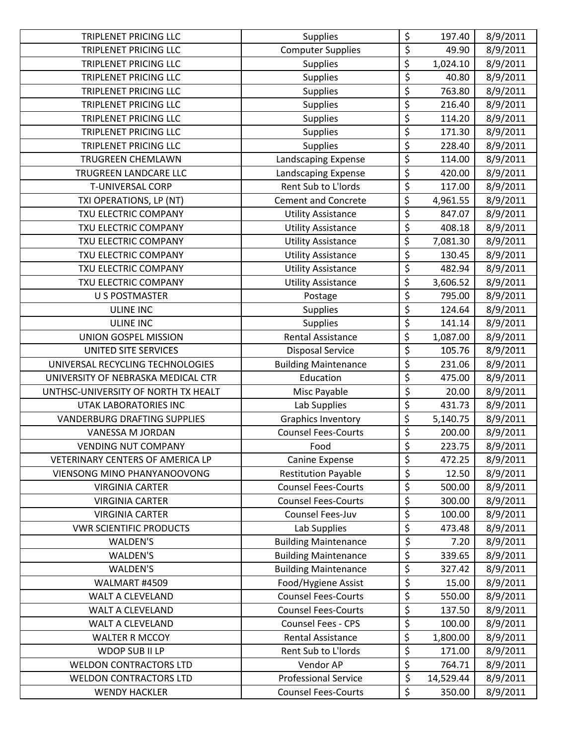| <b>TRIPLENET PRICING LLC</b>        | <b>Supplies</b>             | \$               | 197.40    | 8/9/2011 |
|-------------------------------------|-----------------------------|------------------|-----------|----------|
| <b>TRIPLENET PRICING LLC</b>        | <b>Computer Supplies</b>    | \$               | 49.90     | 8/9/2011 |
| TRIPLENET PRICING LLC               | <b>Supplies</b>             | \$               | 1,024.10  | 8/9/2011 |
| <b>TRIPLENET PRICING LLC</b>        | <b>Supplies</b>             | \$               | 40.80     | 8/9/2011 |
| TRIPLENET PRICING LLC               | <b>Supplies</b>             | \$               | 763.80    | 8/9/2011 |
| <b>TRIPLENET PRICING LLC</b>        | <b>Supplies</b>             | \$               | 216.40    | 8/9/2011 |
| TRIPLENET PRICING LLC               | <b>Supplies</b>             | \$               | 114.20    | 8/9/2011 |
| <b>TRIPLENET PRICING LLC</b>        | <b>Supplies</b>             | \$               | 171.30    | 8/9/2011 |
| <b>TRIPLENET PRICING LLC</b>        | <b>Supplies</b>             | \$               | 228.40    | 8/9/2011 |
| TRUGREEN CHEMLAWN                   | Landscaping Expense         | \$               | 114.00    | 8/9/2011 |
| TRUGREEN LANDCARE LLC               | Landscaping Expense         | \$               | 420.00    | 8/9/2011 |
| <b>T-UNIVERSAL CORP</b>             | Rent Sub to L'Iords         | \$               | 117.00    | 8/9/2011 |
| TXI OPERATIONS, LP (NT)             | Cement and Concrete         | \$               | 4,961.55  | 8/9/2011 |
| TXU ELECTRIC COMPANY                | <b>Utility Assistance</b>   | \$               | 847.07    | 8/9/2011 |
| TXU ELECTRIC COMPANY                | <b>Utility Assistance</b>   | $\overline{\xi}$ | 408.18    | 8/9/2011 |
| TXU ELECTRIC COMPANY                | <b>Utility Assistance</b>   | \$               | 7,081.30  | 8/9/2011 |
| TXU ELECTRIC COMPANY                | <b>Utility Assistance</b>   | \$               | 130.45    | 8/9/2011 |
| TXU ELECTRIC COMPANY                | <b>Utility Assistance</b>   | \$               | 482.94    | 8/9/2011 |
| TXU ELECTRIC COMPANY                | <b>Utility Assistance</b>   | \$               | 3,606.52  | 8/9/2011 |
| <b>U S POSTMASTER</b>               | Postage                     | \$               | 795.00    | 8/9/2011 |
| <b>ULINE INC</b>                    | <b>Supplies</b>             | \$               | 124.64    | 8/9/2011 |
| <b>ULINE INC</b>                    | <b>Supplies</b>             | \$               | 141.14    | 8/9/2011 |
| UNION GOSPEL MISSION                | <b>Rental Assistance</b>    | \$               | 1,087.00  | 8/9/2011 |
| UNITED SITE SERVICES                | <b>Disposal Service</b>     | \$               | 105.76    | 8/9/2011 |
| UNIVERSAL RECYCLING TECHNOLOGIES    | <b>Building Maintenance</b> | \$               | 231.06    | 8/9/2011 |
| UNIVERSITY OF NEBRASKA MEDICAL CTR  | Education                   | \$               | 475.00    | 8/9/2011 |
| UNTHSC-UNIVERSITY OF NORTH TX HEALT | Misc Payable                | \$               | 20.00     | 8/9/2011 |
| UTAK LABORATORIES INC               | Lab Supplies                | \$               | 431.73    | 8/9/2011 |
| <b>VANDERBURG DRAFTING SUPPLIES</b> | <b>Graphics Inventory</b>   | $\overline{\xi}$ | 5,140.75  | 8/9/2011 |
| VANESSA M JORDAN                    | <b>Counsel Fees-Courts</b>  | \$               | 200.00    | 8/9/2011 |
| <b>VENDING NUT COMPANY</b>          | Food                        | $\overline{\xi}$ | 223.75    | 8/9/2011 |
| VETERINARY CENTERS OF AMERICA LP    | Canine Expense              | \$               | 472.25    | 8/9/2011 |
| VIENSONG MINO PHANYANOOVONG         | <b>Restitution Payable</b>  | \$               | 12.50     | 8/9/2011 |
| <b>VIRGINIA CARTER</b>              | <b>Counsel Fees-Courts</b>  | \$               | 500.00    | 8/9/2011 |
| <b>VIRGINIA CARTER</b>              | <b>Counsel Fees-Courts</b>  | \$               | 300.00    | 8/9/2011 |
| <b>VIRGINIA CARTER</b>              | Counsel Fees-Juv            | \$               | 100.00    | 8/9/2011 |
| <b>VWR SCIENTIFIC PRODUCTS</b>      | Lab Supplies                | \$               | 473.48    | 8/9/2011 |
| WALDEN'S                            | <b>Building Maintenance</b> | \$               | 7.20      | 8/9/2011 |
| WALDEN'S                            | <b>Building Maintenance</b> | \$               | 339.65    | 8/9/2011 |
| <b>WALDEN'S</b>                     | <b>Building Maintenance</b> | \$               | 327.42    | 8/9/2011 |
| WALMART #4509                       | Food/Hygiene Assist         | \$               | 15.00     | 8/9/2011 |
| <b>WALT A CLEVELAND</b>             | <b>Counsel Fees-Courts</b>  | \$               | 550.00    | 8/9/2011 |
| <b>WALT A CLEVELAND</b>             | <b>Counsel Fees-Courts</b>  | \$               | 137.50    | 8/9/2011 |
| <b>WALT A CLEVELAND</b>             | Counsel Fees - CPS          | \$               | 100.00    | 8/9/2011 |
| <b>WALTER R MCCOY</b>               | <b>Rental Assistance</b>    | \$               | 1,800.00  | 8/9/2011 |
| WDOP SUB II LP                      | Rent Sub to L'Iords         | \$               | 171.00    | 8/9/2011 |
| <b>WELDON CONTRACTORS LTD</b>       | Vendor AP                   | \$               | 764.71    | 8/9/2011 |
| <b>WELDON CONTRACTORS LTD</b>       | <b>Professional Service</b> | \$               | 14,529.44 | 8/9/2011 |
| <b>WENDY HACKLER</b>                | <b>Counsel Fees-Courts</b>  | \$               | 350.00    | 8/9/2011 |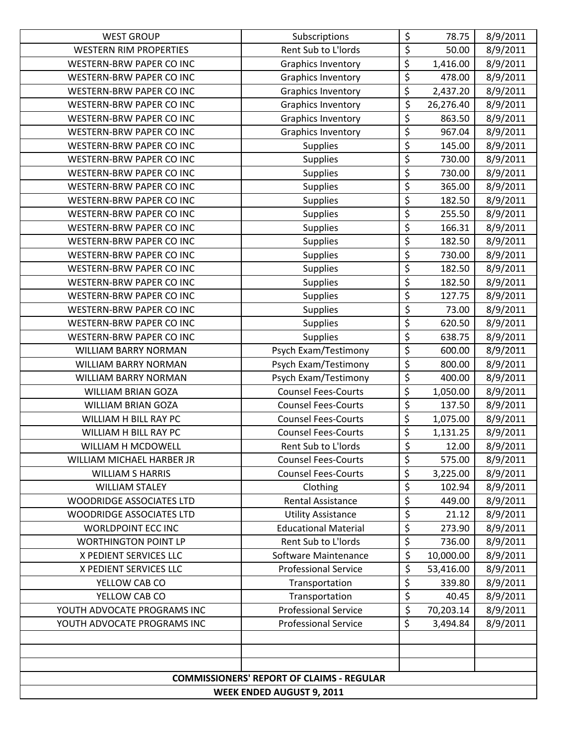| <b>WEST GROUP</b>                | Subscriptions                                    | \$                              | 78.75     | 8/9/2011 |
|----------------------------------|--------------------------------------------------|---------------------------------|-----------|----------|
| <b>WESTERN RIM PROPERTIES</b>    | Rent Sub to L'Iords                              | \$                              | 50.00     | 8/9/2011 |
| <b>WESTERN-BRW PAPER CO INC</b>  | <b>Graphics Inventory</b>                        | \$                              | 1,416.00  | 8/9/2011 |
| WESTERN-BRW PAPER CO INC         | <b>Graphics Inventory</b>                        | \$                              | 478.00    | 8/9/2011 |
| <b>WESTERN-BRW PAPER CO INC</b>  | <b>Graphics Inventory</b>                        | \$                              | 2,437.20  | 8/9/2011 |
| <b>WESTERN-BRW PAPER CO INC</b>  | <b>Graphics Inventory</b>                        | \$                              | 26,276.40 | 8/9/2011 |
| WESTERN-BRW PAPER CO INC         | <b>Graphics Inventory</b>                        | $\overline{\varsigma}$          | 863.50    | 8/9/2011 |
| WESTERN-BRW PAPER CO INC         | <b>Graphics Inventory</b>                        | \$                              | 967.04    | 8/9/2011 |
| <b>WESTERN-BRW PAPER CO INC</b>  | <b>Supplies</b>                                  | \$                              | 145.00    | 8/9/2011 |
| <b>WESTERN-BRW PAPER CO INC</b>  | <b>Supplies</b>                                  | \$                              | 730.00    | 8/9/2011 |
| WESTERN-BRW PAPER CO INC         | <b>Supplies</b>                                  | $\overline{\boldsymbol{\zeta}}$ | 730.00    | 8/9/2011 |
| WESTERN-BRW PAPER CO INC         | <b>Supplies</b>                                  | $\overline{\xi}$                | 365.00    | 8/9/2011 |
| <b>WESTERN-BRW PAPER CO INC</b>  | <b>Supplies</b>                                  | $\overline{\xi}$                | 182.50    | 8/9/2011 |
| <b>WESTERN-BRW PAPER CO INC</b>  | <b>Supplies</b>                                  | $\overline{\varsigma}$          | 255.50    | 8/9/2011 |
| <b>WESTERN-BRW PAPER CO INC</b>  | <b>Supplies</b>                                  | \$                              | 166.31    | 8/9/2011 |
| <b>WESTERN-BRW PAPER CO INC</b>  | <b>Supplies</b>                                  | \$                              | 182.50    | 8/9/2011 |
| <b>WESTERN-BRW PAPER CO INC</b>  | <b>Supplies</b>                                  | $\overline{\varsigma}$          | 730.00    | 8/9/2011 |
| <b>WESTERN-BRW PAPER CO INC</b>  | <b>Supplies</b>                                  | \$                              | 182.50    | 8/9/2011 |
| <b>WESTERN-BRW PAPER CO INC</b>  | <b>Supplies</b>                                  | $\overline{\xi}$                | 182.50    | 8/9/2011 |
| <b>WESTERN-BRW PAPER CO INC</b>  | <b>Supplies</b>                                  | \$                              | 127.75    | 8/9/2011 |
| WESTERN-BRW PAPER CO INC         | <b>Supplies</b>                                  | $\overline{\varsigma}$          | 73.00     | 8/9/2011 |
| WESTERN-BRW PAPER CO INC         | <b>Supplies</b>                                  | $\overline{\xi}$                | 620.50    | 8/9/2011 |
| <b>WESTERN-BRW PAPER CO INC</b>  | <b>Supplies</b>                                  | \$                              | 638.75    | 8/9/2011 |
| <b>WILLIAM BARRY NORMAN</b>      | Psych Exam/Testimony                             | \$                              | 600.00    | 8/9/2011 |
| <b>WILLIAM BARRY NORMAN</b>      | Psych Exam/Testimony                             | $\overline{\varsigma}$          | 800.00    | 8/9/2011 |
| <b>WILLIAM BARRY NORMAN</b>      | Psych Exam/Testimony                             | \$                              | 400.00    | 8/9/2011 |
| WILLIAM BRIAN GOZA               | <b>Counsel Fees-Courts</b>                       | \$                              | 1,050.00  | 8/9/2011 |
| <b>WILLIAM BRIAN GOZA</b>        | <b>Counsel Fees-Courts</b>                       | \$                              | 137.50    | 8/9/2011 |
| WILLIAM H BILL RAY PC            | <b>Counsel Fees-Courts</b>                       | \$                              | 1,075.00  | 8/9/2011 |
| WILLIAM H BILL RAY PC            | <b>Counsel Fees-Courts</b>                       | \$                              | 1,131.25  | 8/9/2011 |
| WILLIAM H MCDOWELL               | Rent Sub to L'Iords                              | \$                              | 12.00     | 8/9/2011 |
| WILLIAM MICHAEL HARBER JR        | <b>Counsel Fees-Courts</b>                       | \$                              | 575.00    | 8/9/2011 |
| <b>WILLIAM S HARRIS</b>          | <b>Counsel Fees-Courts</b>                       | \$                              | 3,225.00  | 8/9/2011 |
| <b>WILLIAM STALEY</b>            | Clothing                                         | \$                              | 102.94    | 8/9/2011 |
| <b>WOODRIDGE ASSOCIATES LTD</b>  | <b>Rental Assistance</b>                         | \$                              | 449.00    | 8/9/2011 |
| <b>WOODRIDGE ASSOCIATES LTD</b>  | <b>Utility Assistance</b>                        | $\overline{\xi}$                | 21.12     | 8/9/2011 |
| <b>WORLDPOINT ECC INC</b>        | <b>Educational Material</b>                      | \$                              | 273.90    | 8/9/2011 |
| <b>WORTHINGTON POINT LP</b>      | Rent Sub to L'Iords                              | \$                              | 736.00    | 8/9/2011 |
| X PEDIENT SERVICES LLC           | Software Maintenance                             | \$                              | 10,000.00 | 8/9/2011 |
| X PEDIENT SERVICES LLC           | <b>Professional Service</b>                      | \$                              | 53,416.00 | 8/9/2011 |
| YELLOW CAB CO                    | Transportation                                   | \$                              | 339.80    | 8/9/2011 |
| YELLOW CAB CO                    | Transportation                                   | \$                              | 40.45     | 8/9/2011 |
| YOUTH ADVOCATE PROGRAMS INC      | <b>Professional Service</b>                      | $\overline{\varsigma}$          | 70,203.14 | 8/9/2011 |
| YOUTH ADVOCATE PROGRAMS INC      | <b>Professional Service</b>                      | \$                              | 3,494.84  | 8/9/2011 |
|                                  |                                                  |                                 |           |          |
|                                  |                                                  |                                 |           |          |
|                                  | <b>COMMISSIONERS' REPORT OF CLAIMS - REGULAR</b> |                                 |           |          |
|                                  |                                                  |                                 |           |          |
| <b>WEEK ENDED AUGUST 9, 2011</b> |                                                  |                                 |           |          |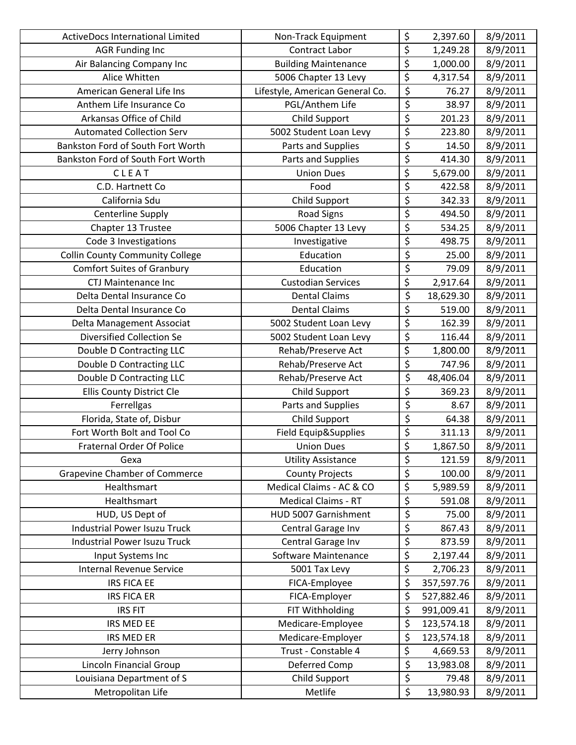| <b>ActiveDocs International Limited</b> | Non-Track Equipment             | \$                              | 2,397.60   | 8/9/2011 |
|-----------------------------------------|---------------------------------|---------------------------------|------------|----------|
| <b>AGR Funding Inc</b>                  | <b>Contract Labor</b>           | $\overline{\xi}$                | 1,249.28   | 8/9/2011 |
| Air Balancing Company Inc               | <b>Building Maintenance</b>     | \$                              | 1,000.00   | 8/9/2011 |
| Alice Whitten                           | 5006 Chapter 13 Levy            | \$                              | 4,317.54   | 8/9/2011 |
| American General Life Ins               | Lifestyle, American General Co. | $\overline{\xi}$                | 76.27      | 8/9/2011 |
| Anthem Life Insurance Co                | PGL/Anthem Life                 | \$                              | 38.97      | 8/9/2011 |
| Arkansas Office of Child                | Child Support                   | $\overline{\varsigma}$          | 201.23     | 8/9/2011 |
| <b>Automated Collection Serv</b>        | 5002 Student Loan Levy          | $\overline{\xi}$                | 223.80     | 8/9/2011 |
| Bankston Ford of South Fort Worth       | Parts and Supplies              | $\overline{\xi}$                | 14.50      | 8/9/2011 |
| Bankston Ford of South Fort Worth       | Parts and Supplies              | $\overline{\xi}$                | 414.30     | 8/9/2011 |
| CLEAT                                   | <b>Union Dues</b>               | \$                              | 5,679.00   | 8/9/2011 |
| C.D. Hartnett Co                        | Food                            | \$                              | 422.58     | 8/9/2011 |
| California Sdu                          | Child Support                   | \$                              | 342.33     | 8/9/2011 |
| <b>Centerline Supply</b>                | <b>Road Signs</b>               | $\overline{\boldsymbol{\zeta}}$ | 494.50     | 8/9/2011 |
| Chapter 13 Trustee                      | 5006 Chapter 13 Levy            | \$                              | 534.25     | 8/9/2011 |
| Code 3 Investigations                   | Investigative                   | \$                              | 498.75     | 8/9/2011 |
| <b>Collin County Community College</b>  | Education                       | $\overline{\mathcal{L}}$        | 25.00      | 8/9/2011 |
| <b>Comfort Suites of Granbury</b>       | Education                       | $\overline{\xi}$                | 79.09      | 8/9/2011 |
| <b>CTJ Maintenance Inc</b>              | <b>Custodian Services</b>       | \$                              | 2,917.64   | 8/9/2011 |
| Delta Dental Insurance Co               | <b>Dental Claims</b>            | \$                              | 18,629.30  | 8/9/2011 |
| Delta Dental Insurance Co               | <b>Dental Claims</b>            | $\overline{\xi}$                | 519.00     | 8/9/2011 |
| Delta Management Associat               | 5002 Student Loan Levy          | \$                              | 162.39     | 8/9/2011 |
| Diversified Collection Se               | 5002 Student Loan Levy          | \$                              | 116.44     | 8/9/2011 |
| Double D Contracting LLC                | Rehab/Preserve Act              | $\overline{\boldsymbol{\zeta}}$ | 1,800.00   | 8/9/2011 |
| Double D Contracting LLC                | Rehab/Preserve Act              | \$                              | 747.96     | 8/9/2011 |
| Double D Contracting LLC                | Rehab/Preserve Act              | \$                              | 48,406.04  | 8/9/2011 |
| Ellis County District Cle               | Child Support                   | \$                              | 369.23     | 8/9/2011 |
| Ferrellgas                              | Parts and Supplies              | $\overline{\mathcal{L}}$        | 8.67       | 8/9/2011 |
| Florida, State of, Disbur               | Child Support                   | $\overline{\xi}$                | 64.38      | 8/9/2011 |
| Fort Worth Bolt and Tool Co             | Field Equip&Supplies            | \$                              | 311.13     | 8/9/2011 |
| <b>Fraternal Order Of Police</b>        | <b>Union Dues</b>               | $\overline{\xi}$                | 1,867.50   | 8/9/2011 |
| Gexa                                    | <b>Utility Assistance</b>       | \$                              | 121.59     | 8/9/2011 |
| <b>Grapevine Chamber of Commerce</b>    | <b>County Projects</b>          | \$                              | 100.00     | 8/9/2011 |
| Healthsmart                             | Medical Claims - AC & CO        | \$                              | 5,989.59   | 8/9/2011 |
| Healthsmart                             | <b>Medical Claims - RT</b>      | \$                              | 591.08     | 8/9/2011 |
| HUD, US Dept of                         | HUD 5007 Garnishment            | \$                              | 75.00      | 8/9/2011 |
| <b>Industrial Power Isuzu Truck</b>     | Central Garage Inv              | \$                              | 867.43     | 8/9/2011 |
| <b>Industrial Power Isuzu Truck</b>     | Central Garage Inv              | \$                              | 873.59     | 8/9/2011 |
| Input Systems Inc                       | Software Maintenance            | \$                              | 2,197.44   | 8/9/2011 |
| Internal Revenue Service                | 5001 Tax Levy                   | \$                              | 2,706.23   | 8/9/2011 |
| <b>IRS FICA EE</b>                      | FICA-Employee                   | \$                              | 357,597.76 | 8/9/2011 |
| <b>IRS FICA ER</b>                      | FICA-Employer                   | \$                              | 527,882.46 | 8/9/2011 |
| <b>IRS FIT</b>                          | FIT Withholding                 | \$                              | 991,009.41 | 8/9/2011 |
| IRS MED EE                              | Medicare-Employee               | \$                              | 123,574.18 | 8/9/2011 |
| <b>IRS MED ER</b>                       | Medicare-Employer               | \$                              | 123,574.18 | 8/9/2011 |
| Jerry Johnson                           | Trust - Constable 4             | \$                              | 4,669.53   | 8/9/2011 |
| Lincoln Financial Group                 | Deferred Comp                   | \$                              | 13,983.08  | 8/9/2011 |
| Louisiana Department of S               | Child Support                   | $\overline{\xi}$                | 79.48      | 8/9/2011 |
| Metropolitan Life                       | Metlife                         | \$                              | 13,980.93  | 8/9/2011 |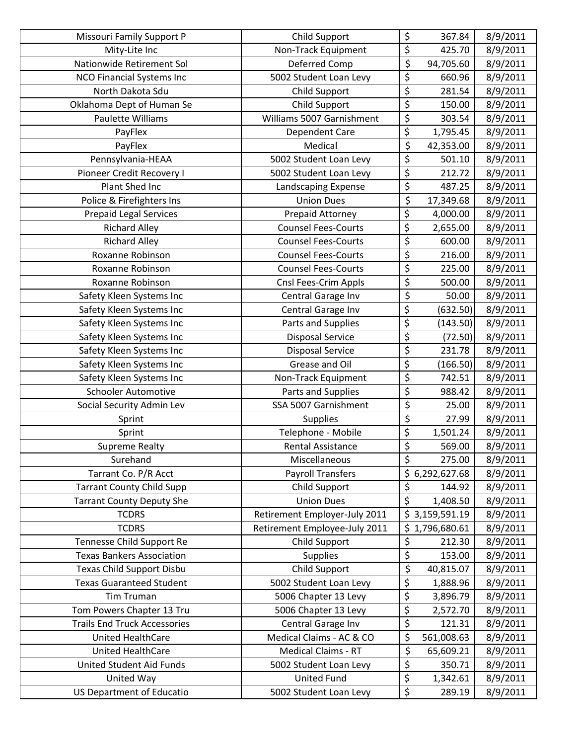| Missouri Family Support P           | Child Support                 | \$                              | 367.84         | 8/9/2011 |
|-------------------------------------|-------------------------------|---------------------------------|----------------|----------|
| Mity-Lite Inc                       | Non-Track Equipment           | \$                              | 425.70         | 8/9/2011 |
| Nationwide Retirement Sol           | Deferred Comp                 | \$                              | 94,705.60      | 8/9/2011 |
| <b>NCO Financial Systems Inc</b>    | 5002 Student Loan Levy        | \$                              | 660.96         | 8/9/2011 |
| North Dakota Sdu                    | Child Support                 | $\overline{\xi}$                | 281.54         | 8/9/2011 |
| Oklahoma Dept of Human Se           | Child Support                 | \$                              | 150.00         | 8/9/2011 |
| Paulette Williams                   | Williams 5007 Garnishment     | $\overline{\boldsymbol{\zeta}}$ | 303.54         | 8/9/2011 |
| PayFlex                             | Dependent Care                | \$                              | 1,795.45       | 8/9/2011 |
| PayFlex                             | Medical                       | \$                              | 42,353.00      | 8/9/2011 |
| Pennsylvania-HEAA                   | 5002 Student Loan Levy        | \$                              | 501.10         | 8/9/2011 |
| Pioneer Credit Recovery I           | 5002 Student Loan Levy        | \$                              | 212.72         | 8/9/2011 |
| Plant Shed Inc                      | Landscaping Expense           | \$                              | 487.25         | 8/9/2011 |
| Police & Firefighters Ins           | <b>Union Dues</b>             | \$                              | 17,349.68      | 8/9/2011 |
| <b>Prepaid Legal Services</b>       | Prepaid Attorney              | \$                              | 4,000.00       | 8/9/2011 |
| <b>Richard Alley</b>                | <b>Counsel Fees-Courts</b>    | \$                              | 2,655.00       | 8/9/2011 |
| <b>Richard Alley</b>                | <b>Counsel Fees-Courts</b>    | \$                              | 600.00         | 8/9/2011 |
| Roxanne Robinson                    | <b>Counsel Fees-Courts</b>    | $\overline{\varsigma}$          | 216.00         | 8/9/2011 |
| Roxanne Robinson                    | <b>Counsel Fees-Courts</b>    | $\overline{\xi}$                | 225.00         | 8/9/2011 |
| Roxanne Robinson                    | Cnsl Fees-Crim Appls          | \$                              | 500.00         | 8/9/2011 |
| Safety Kleen Systems Inc            | Central Garage Inv            | \$                              | 50.00          | 8/9/2011 |
| Safety Kleen Systems Inc            | Central Garage Inv            | \$                              | (632.50)       | 8/9/2011 |
| Safety Kleen Systems Inc            | Parts and Supplies            | $\overline{\xi}$                | (143.50)       | 8/9/2011 |
| Safety Kleen Systems Inc            | <b>Disposal Service</b>       | \$                              | (72.50)        | 8/9/2011 |
| Safety Kleen Systems Inc            | <b>Disposal Service</b>       | $\overline{\boldsymbol{\zeta}}$ | 231.78         | 8/9/2011 |
| Safety Kleen Systems Inc            | Grease and Oil                | \$                              | (166.50)       | 8/9/2011 |
| Safety Kleen Systems Inc            | Non-Track Equipment           | \$                              | 742.51         | 8/9/2011 |
| <b>Schooler Automotive</b>          | Parts and Supplies            | $\overline{\xi}$                | 988.42         | 8/9/2011 |
| Social Security Admin Lev           | SSA 5007 Garnishment          | $\overline{\varsigma}$          | 25.00          | 8/9/2011 |
| Sprint                              | <b>Supplies</b>               | $\overline{\xi}$                | 27.99          | 8/9/2011 |
| Sprint                              | Telephone - Mobile            | \$                              | 1,501.24       | 8/9/2011 |
| <b>Supreme Realty</b>               | <b>Rental Assistance</b>      | \$                              | 569.00         | 8/9/2011 |
| Surehand                            | Miscellaneous                 | \$                              | 275.00         | 8/9/2011 |
| Tarrant Co. P/R Acct                | <b>Payroll Transfers</b>      |                                 | \$6,292,627.68 | 8/9/2011 |
| <b>Tarrant County Child Supp</b>    | Child Support                 | \$                              | 144.92         | 8/9/2011 |
| <b>Tarrant County Deputy She</b>    | <b>Union Dues</b>             | $\overline{\xi}$                | 1,408.50       | 8/9/2011 |
| <b>TCDRS</b>                        | Retirement Employer-July 2011 |                                 | \$3,159,591.19 | 8/9/2011 |
| <b>TCDRS</b>                        | Retirement Employee-July 2011 |                                 | \$1,796,680.61 | 8/9/2011 |
| Tennesse Child Support Re           | Child Support                 | \$                              | 212.30         | 8/9/2011 |
| <b>Texas Bankers Association</b>    | <b>Supplies</b>               | $\overline{\xi}$                | 153.00         | 8/9/2011 |
| Texas Child Support Disbu           | Child Support                 | \$                              | 40,815.07      | 8/9/2011 |
| <b>Texas Guaranteed Student</b>     | 5002 Student Loan Levy        | \$                              | 1,888.96       | 8/9/2011 |
| <b>Tim Truman</b>                   | 5006 Chapter 13 Levy          | \$                              | 3,896.79       | 8/9/2011 |
| Tom Powers Chapter 13 Tru           | 5006 Chapter 13 Levy          | \$                              | 2,572.70       | 8/9/2011 |
| <b>Trails End Truck Accessories</b> | Central Garage Inv            | \$                              | 121.31         | 8/9/2011 |
| United HealthCare                   | Medical Claims - AC & CO      | \$                              | 561,008.63     | 8/9/2011 |
| United HealthCare                   | <b>Medical Claims - RT</b>    | $\overline{\varsigma}$          | 65,609.21      | 8/9/2011 |
| United Student Aid Funds            | 5002 Student Loan Levy        | \$                              | 350.71         | 8/9/2011 |
| United Way                          | <b>United Fund</b>            | $\overline{\xi}$                | 1,342.61       | 8/9/2011 |
| US Department of Educatio           | 5002 Student Loan Levy        | \$                              | 289.19         | 8/9/2011 |